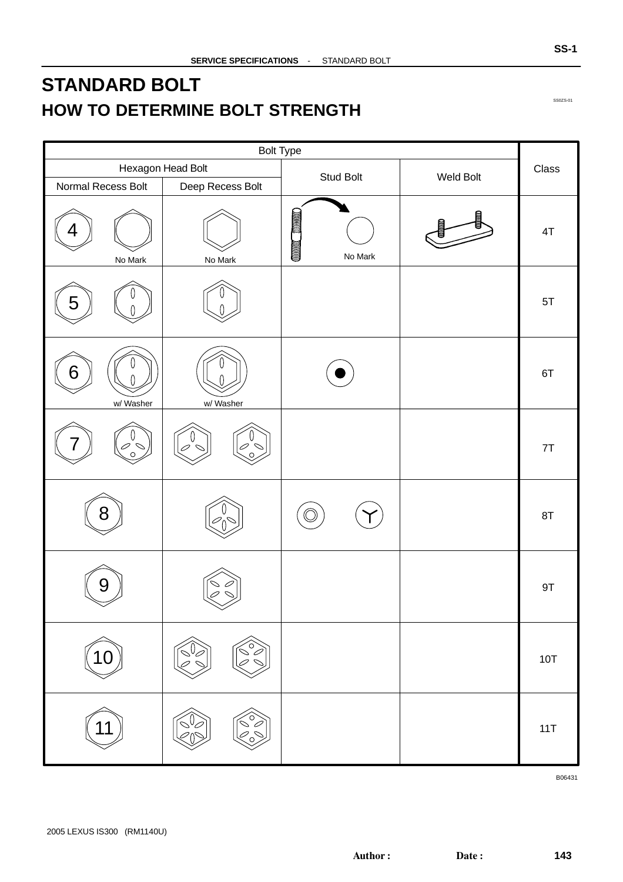## <span id="page-0-0"></span>**STANDARD BOLT HOW TO DETERMINE BOLT STRENGTH**

| <b>Bolt Type</b>    |                                                      |                                     |           |               |
|---------------------|------------------------------------------------------|-------------------------------------|-----------|---------------|
|                     | Hexagon Head Bolt                                    | Stud Bolt                           | Weld Bolt | Class         |
| Normal Recess Bolt  | Deep Recess Bolt                                     |                                     |           |               |
| 4<br>No Mark        | No Mark                                              | <b>COLORED TRANSPORT</b><br>No Mark |           | $4\mathsf{T}$ |
| 5                   |                                                      |                                     |           | 5T            |
| 6<br>w/ Washer      | w/ Washer                                            |                                     |           | 6T            |
| $\sigma$<br>$\circ$ |                                                      |                                     |           | 7T            |
| 8                   |                                                      |                                     |           | 8T            |
| 9                   |                                                      |                                     |           | 9T            |
|                     | $\left\{ \begin{matrix} 0 \ 0 \end{matrix} \right\}$ |                                     |           | 10T           |
|                     | $\circ$                                              |                                     |           | 11T           |

SS0ZS-01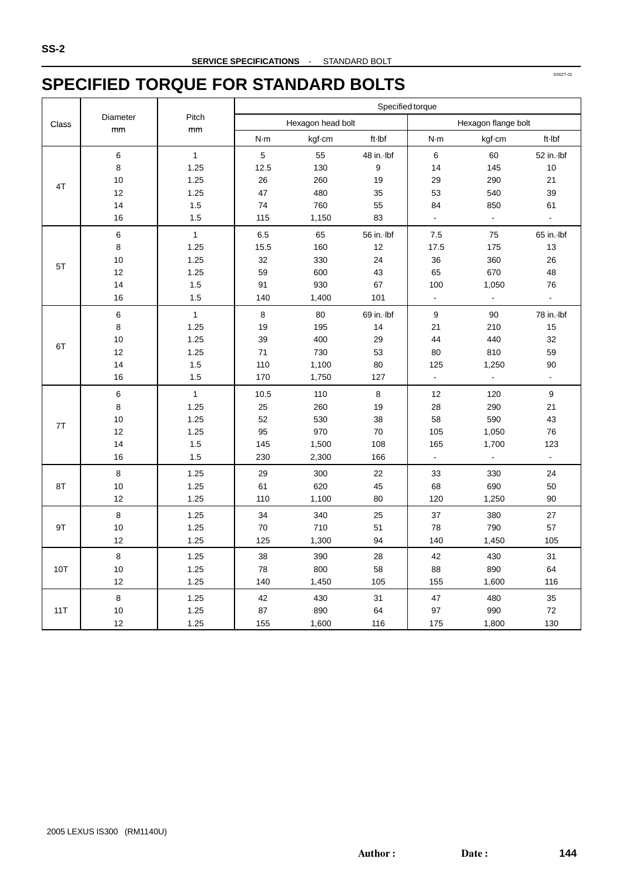### **SPECIFIED TORQUE FOR STANDARD BOLTS**

|       |          |              | Specified torque |                   |                  |                |                     |                  |
|-------|----------|--------------|------------------|-------------------|------------------|----------------|---------------------|------------------|
| Class | Diameter | Pitch        |                  | Hexagon head bolt |                  |                | Hexagon flange bolt |                  |
|       | mm       | mm           | N·m              | kgf cm            | ft-Ibf           | N·m            | kgf-cm              | ft-Ibf           |
|       | 6        | $\mathbf{1}$ | 5                | 55                | 48 in. Ibf       | 6              | 60                  | 52 in.-lbf       |
|       | 8        | 1.25         | 12.5             | 130               | $\boldsymbol{9}$ | 14             | 145                 | 10               |
|       | 10       | 1.25         | 26               | 260               | 19               | 29             | 290                 | 21               |
| 4T    | 12       | 1.25         | 47               | 480               | 35               | 53             | 540                 | 39               |
|       | 14       | $1.5\,$      | 74               | 760               | 55               | 84             | 850                 | 61               |
|       | 16       | 1.5          | 115              | 1,150             | 83               | ä,             | $\Box$              | $\Box$           |
|       | $\,6$    | $\mathbf{1}$ | 6.5              | 65                | 56 in.-lbf       | 7.5            | 75                  | 65 in.-lbf       |
|       | 8        | 1.25         | 15.5             | 160               | 12               | 17.5           | 175                 | 13               |
| 5T    | 10       | 1.25         | 32               | 330               | 24               | 36             | 360                 | 26               |
|       | 12       | 1.25         | 59               | 600               | 43               | 65             | 670                 | 48               |
|       | 14       | 1.5          | 91               | 930               | 67               | 100            | 1,050               | 76               |
|       | 16       | 1.5          | 140              | 1,400             | 101              | $\blacksquare$ | $\blacksquare$      | $\Box$           |
|       | $\,6$    | $\mathbf{1}$ | $\bf8$           | 80                | 69 in.-lbf       | 9              | 90                  | 78 in.-lbf       |
|       | 8        | 1.25         | 19               | 195               | 14               | 21             | 210                 | 15               |
| 6T    | 10       | 1.25         | 39               | 400               | 29               | 44             | 440                 | 32               |
|       | 12       | 1.25         | 71               | 730               | 53               | 80             | 810                 | 59               |
|       | 14       | 1.5          | 110              | 1,100             | 80               | 125            | 1,250               | 90               |
|       | 16       | 1.5          | 170              | 1,750             | 127              | $\blacksquare$ | $\blacksquare$      | $\blacksquare$   |
|       | 6        | $\mathbf{1}$ | 10.5             | 110               | 8                | 12             | 120                 | $\boldsymbol{9}$ |
|       | 8        | 1.25         | 25               | 260               | 19               | 28             | 290                 | 21               |
| 7T    | 10       | 1.25         | 52               | 530               | 38               | 58             | 590                 | 43               |
|       | 12       | 1.25         | 95               | 970               | 70               | 105            | 1,050               | 76               |
|       | 14       | 1.5          | 145              | 1,500             | 108              | 165            | 1,700               | 123              |
|       | 16       | 1.5          | 230              | 2,300             | 166              | $\Box$         | $\Box$              | $\Box$           |
|       | 8        | 1.25         | 29               | 300               | 22               | 33             | 330                 | 24               |
| 8T    | 10       | 1.25         | 61               | 620               | 45               | 68             | 690                 | 50               |
|       | 12       | 1.25         | 110              | 1,100             | 80               | 120            | 1,250               | 90               |
|       | 8        | 1.25         | 34               | 340               | 25               | 37             | 380                 | 27               |
| 9T    | 10       | 1.25         | 70               | 710               | 51               | 78             | 790                 | 57               |
|       | 12       | 1.25         | 125              | 1,300             | 94               | 140            | 1,450               | 105              |
|       | 8        | 1.25         | 38               | 390               | 28               | 42             | 430                 | 31               |
| 10T   | 10       | 1.25         | 78               | 800               | 58               | 88             | 890                 | 64               |
|       | 12       | 1.25         | 140              | 1,450             | 105              | 155            | 1,600               | 116              |
|       | 8        | 1.25         | 42               | 430               | 31               | 47             | 480                 | 35               |
| 11T   | 10       | 1.25         | 87               | 890               | 64               | 97             | 990                 | 72               |
|       | 12       | 1.25         | 155              | 1,600             | 116              | 175            | 1,800               | 130              |

SS0ZT-01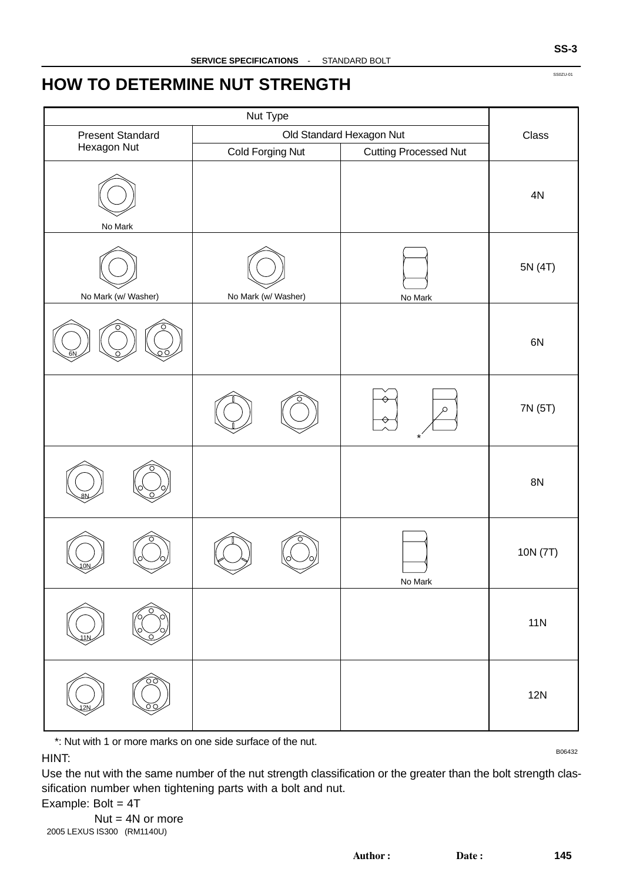### **HOW TO DETERMINE NUT STRENGTH**

| <b>Present Standard</b> |                     | Old Standard Hexagon Nut     | Class     |
|-------------------------|---------------------|------------------------------|-----------|
| Hexagon Nut             | Cold Forging Nut    | <b>Cutting Processed Nut</b> |           |
| No Mark                 |                     |                              | $4N$      |
| No Mark (w/ Washer)     | No Mark (w/ Washer) | No Mark                      | 5N (4T)   |
|                         |                     |                              | 6N        |
|                         |                     | ρ                            | 7N (5T)   |
|                         |                     |                              | <b>8N</b> |
|                         |                     | No Mark                      | 10N (7T)  |
|                         |                     |                              | 11N       |
|                         |                     |                              | 12N       |

\*: Nut with 1 or more marks on one side surface of the nut.

B06432

HINT:

Use the nut with the same number of the nut strength classification or the greater than the bolt strength classification number when tightening parts with a bolt and nut.

Example: Bolt = 4T

SS0ZU-01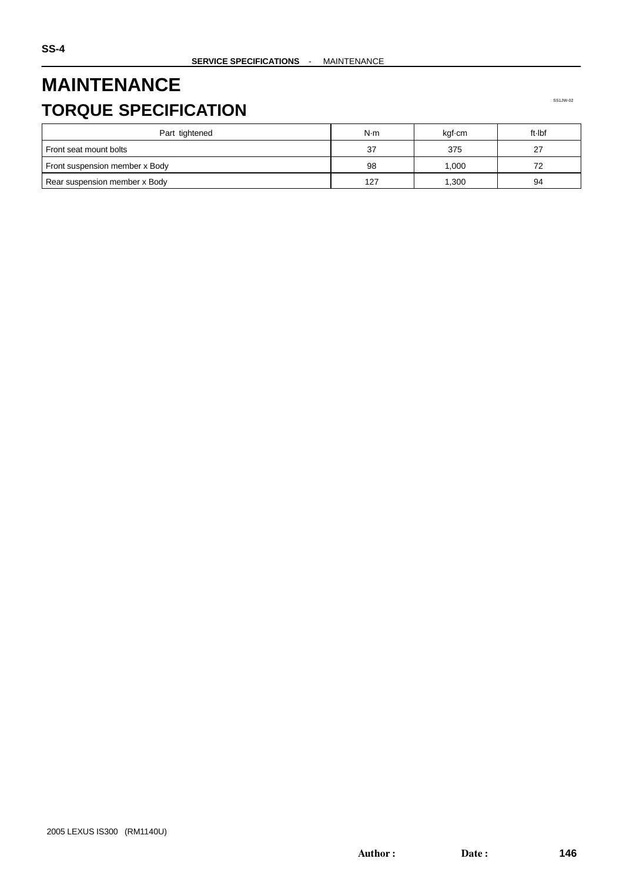## **MAINTENANCE TORQUE SPECIFICATION**

| Part tightened                 | N·m | kgf-cm | ft Ibf |
|--------------------------------|-----|--------|--------|
| Front seat mount bolts         | 37  | 375    | 27     |
| Front suspension member x Body | 98  | 000.1  | 72     |
| Rear suspension member x Body  | 127 | ,300   | 94     |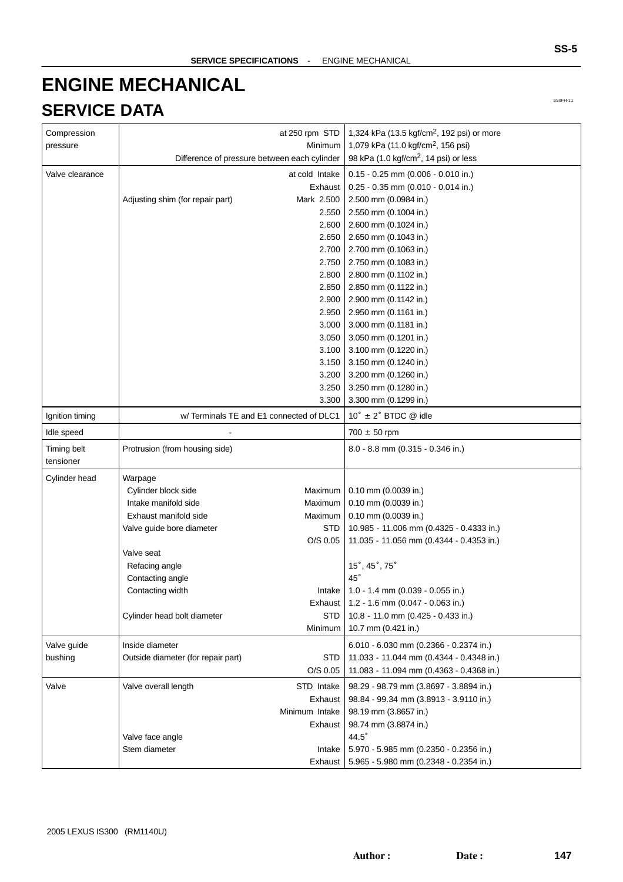# **ENGINE MECHANICAL SERVICE DATA**

| Compression     |                                    | at 250 rpm STD                               | 1,324 kPa (13.5 kgf/cm <sup>2</sup> , 192 psi) or more |
|-----------------|------------------------------------|----------------------------------------------|--------------------------------------------------------|
| pressure        |                                    | Minimum                                      | 1,079 kPa (11.0 kgf/cm <sup>2</sup> , 156 psi)         |
|                 |                                    | Difference of pressure between each cylinder | 98 kPa (1.0 kgf/cm <sup>2</sup> , 14 psi) or less      |
| Valve clearance |                                    | at cold Intake                               | $0.15 - 0.25$ mm (0.006 - 0.010 in.)                   |
|                 |                                    | Exhaust                                      | $0.25 - 0.35$ mm (0.010 - 0.014 in.)                   |
|                 | Adjusting shim (for repair part)   | Mark 2.500                                   | 2.500 mm (0.0984 in.)                                  |
|                 |                                    | 2.550                                        | 2.550 mm (0.1004 in.)                                  |
|                 |                                    | 2.600                                        | 2.600 mm (0.1024 in.)                                  |
|                 |                                    | 2.650                                        | 2.650 mm (0.1043 in.)                                  |
|                 |                                    | 2.700                                        | 2.700 mm (0.1063 in.)                                  |
|                 |                                    | 2.750                                        | 2.750 mm (0.1083 in.)                                  |
|                 |                                    | 2.800                                        | 2.800 mm (0.1102 in.)                                  |
|                 |                                    | 2.850                                        | 2.850 mm (0.1122 in.)                                  |
|                 |                                    | 2.900                                        | 2.900 mm (0.1142 in.)                                  |
|                 |                                    | 2.950                                        | 2.950 mm (0.1161 in.)                                  |
|                 |                                    | 3.000                                        | 3.000 mm (0.1181 in.)                                  |
|                 |                                    | 3.050                                        | 3.050 mm (0.1201 in.)                                  |
|                 |                                    | 3.100                                        |                                                        |
|                 |                                    | 3.150                                        | 3.100 mm (0.1220 in.)                                  |
|                 |                                    |                                              | 3.150 mm (0.1240 in.)                                  |
|                 |                                    | 3.200                                        | 3.200 mm (0.1260 in.)                                  |
|                 |                                    | 3.250                                        | 3.250 mm (0.1280 in.)                                  |
|                 |                                    | 3.300                                        | 3.300 mm (0.1299 in.)                                  |
| Ignition timing |                                    | w/Terminals TE and E1 connected of DLC1      | $10^{\circ}$ ± 2° BTDC @ idle                          |
| Idle speed      |                                    |                                              | $700 \pm 50$ rpm                                       |
| Timing belt     | Protrusion (from housing side)     |                                              | 8.0 - 8.8 mm (0.315 - 0.346 in.)                       |
| tensioner       |                                    |                                              |                                                        |
| Cylinder head   | Warpage                            |                                              |                                                        |
|                 | Cylinder block side                | Maximum                                      | 0.10 mm (0.0039 in.)                                   |
|                 | Intake manifold side               | Maximum                                      | 0.10 mm (0.0039 in.)                                   |
|                 | Exhaust manifold side              | Maximum                                      | 0.10 mm (0.0039 in.)                                   |
|                 | Valve guide bore diameter          | <b>STD</b>                                   | 10.985 - 11.006 mm (0.4325 - 0.4333 in.)               |
|                 |                                    | O/S 0.05                                     | 11.035 - 11.056 mm (0.4344 - 0.4353 in.)               |
|                 | Valve seat                         |                                              |                                                        |
|                 | Refacing angle                     |                                              | 15°, 45°, 75°                                          |
|                 | Contacting angle                   |                                              | $45^{\circ}$                                           |
|                 | Contacting width                   | Intake                                       | 1.0 - 1.4 mm (0.039 - 0.055 in.)                       |
|                 |                                    | Exhaust                                      | 1.2 - 1.6 mm (0.047 - 0.063 in.)                       |
|                 | Cylinder head bolt diameter        | STD                                          | 10.8 - 11.0 mm (0.425 - 0.433 in.)                     |
|                 |                                    | Minimum                                      | 10.7 mm (0.421 in.)                                    |
| Valve guide     | Inside diameter                    |                                              | $6.010 - 6.030$ mm $(0.2366 - 0.2374$ in.)             |
| bushing         | Outside diameter (for repair part) | STD                                          | 11.033 - 11.044 mm (0.4344 - 0.4348 in.)               |
|                 |                                    | $O/S$ 0.05                                   | 11.083 - 11.094 mm (0.4363 - 0.4368 in.)               |
|                 |                                    |                                              |                                                        |
| Valve           | Valve overall length               | STD Intake                                   | 98.29 - 98.79 mm (3.8697 - 3.8894 in.)                 |
|                 |                                    | Exhaust                                      | 98.84 - 99.34 mm (3.8913 - 3.9110 in.)                 |
|                 |                                    | Minimum Intake                               | 98.19 mm (3.8657 in.)                                  |
|                 |                                    | Exhaust                                      | 98.74 mm (3.8874 in.)                                  |
|                 | Valve face angle                   |                                              | $44.5^\circ$                                           |
|                 | Stem diameter                      | Intake                                       | 5.970 - 5.985 mm (0.2350 - 0.2356 in.)                 |
|                 |                                    | Exhaust                                      | 5.965 - 5.980 mm (0.2348 - 0.2354 in.)                 |

**SS-5**

SS0FH-11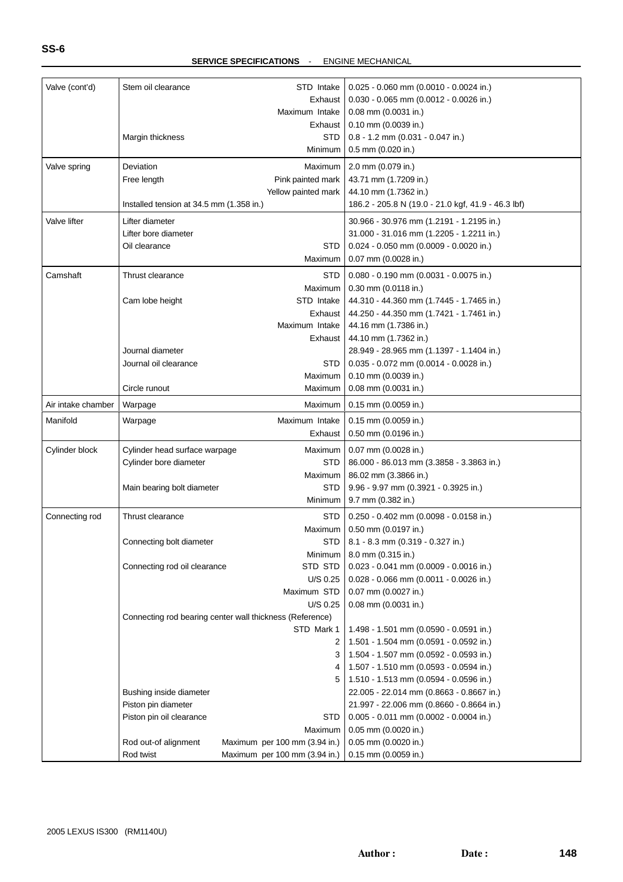| Valve (cont'd)     | Stem oil clearance                       | STD Intake                                                             | $0.025 - 0.060$ mm (0.0010 - 0.0024 in.)                                         |
|--------------------|------------------------------------------|------------------------------------------------------------------------|----------------------------------------------------------------------------------|
|                    |                                          | Exhaust                                                                | 0.030 - 0.065 mm (0.0012 - 0.0026 in.)                                           |
|                    |                                          | Maximum Intake                                                         | $0.08$ mm $(0.0031$ in.)                                                         |
|                    |                                          | Exhaust                                                                | $0.10$ mm (0.0039 in.)                                                           |
|                    | Margin thickness                         | <b>STD</b>                                                             | $0.8 - 1.2$ mm (0.031 - 0.047 in.)                                               |
|                    |                                          | Minimum                                                                | 0.5 mm (0.020 in.)                                                               |
| Valve spring       | Deviation                                | Maximum                                                                | 2.0 mm (0.079 in.)                                                               |
|                    | Free length                              | Pink painted mark                                                      | 43.71 mm (1.7209 in.)                                                            |
|                    |                                          | Yellow painted mark                                                    | 44.10 mm (1.7362 in.)                                                            |
|                    | Installed tension at 34.5 mm (1.358 in.) |                                                                        | 186.2 - 205.8 N (19.0 - 21.0 kgf, 41.9 - 46.3 lbf)                               |
| Valve lifter       | Lifter diameter                          |                                                                        | 30.966 - 30.976 mm (1.2191 - 1.2195 in.)                                         |
|                    | Lifter bore diameter                     |                                                                        | 31.000 - 31.016 mm (1.2205 - 1.2211 in.)                                         |
|                    | Oil clearance                            | <b>STD</b>                                                             | $0.024 - 0.050$ mm $(0.0009 - 0.0020$ in.)                                       |
|                    |                                          | Maximum                                                                | 0.07 mm (0.0028 in.)                                                             |
| Camshaft           | Thrust clearance                         | STD                                                                    | 0.080 - 0.190 mm (0.0031 - 0.0075 in.)                                           |
|                    |                                          | Maximum                                                                | $0.30$ mm $(0.0118$ in.)                                                         |
|                    | Cam lobe height                          | STD Intake                                                             | 44.310 - 44.360 mm (1.7445 - 1.7465 in.)                                         |
|                    |                                          | Exhaust                                                                | 44.250 - 44.350 mm (1.7421 - 1.7461 in.)                                         |
|                    |                                          | Maximum Intake                                                         | 44.16 mm (1.7386 in.)                                                            |
|                    |                                          | Exhaust                                                                | 44.10 mm (1.7362 in.)                                                            |
|                    | Journal diameter                         |                                                                        | 28.949 - 28.965 mm (1.1397 - 1.1404 in.)                                         |
|                    | Journal oil clearance                    | <b>STD</b>                                                             | 0.035 - 0.072 mm (0.0014 - 0.0028 in.)                                           |
|                    |                                          | Maximum                                                                | 0.10 mm (0.0039 in.)                                                             |
|                    | Circle runout                            | Maximum                                                                | 0.08 mm (0.0031 in.)                                                             |
| Air intake chamber | Warpage                                  | Maximum                                                                | $0.15$ mm $(0.0059$ in.)                                                         |
| Manifold           | Warpage                                  | Maximum Intake                                                         | $0.15$ mm $(0.0059$ in.)                                                         |
|                    |                                          | Exhaust                                                                | 0.50 mm (0.0196 in.)                                                             |
|                    |                                          |                                                                        |                                                                                  |
| Cylinder block     | Cylinder head surface warpage            | Maximum                                                                | 0.07 mm (0.0028 in.)                                                             |
|                    | Cylinder bore diameter                   | STD                                                                    | 86.000 - 86.013 mm (3.3858 - 3.3863 in.)                                         |
|                    |                                          | Maximum                                                                | 86.02 mm (3.3866 in.)                                                            |
|                    | Main bearing bolt diameter               | STD                                                                    | 9.96 - 9.97 mm (0.3921 - 0.3925 in.)<br>9.7 mm (0.382 in.)                       |
|                    |                                          | Minimum                                                                |                                                                                  |
| Connecting rod     | Thrust clearance                         | STD                                                                    | 0.250 - 0.402 mm (0.0098 - 0.0158 in.)                                           |
|                    |                                          | Maximum                                                                | 0.50 mm (0.0197 in.)                                                             |
|                    | Connecting bolt diameter                 |                                                                        | STD   8.1 - 8.3 mm (0.319 - 0.327 in.)                                           |
|                    |                                          | Minimum                                                                | 8.0 mm (0.315 in.)                                                               |
|                    | Connecting rod oil clearance             | STD STD                                                                | 0.023 - 0.041 mm (0.0009 - 0.0016 in.)                                           |
|                    |                                          | U/S 0.25                                                               | 0.028 - 0.066 mm (0.0011 - 0.0026 in.)                                           |
|                    |                                          | Maximum STD                                                            | 0.07 mm (0.0027 in.)                                                             |
|                    |                                          | U/S 0.25                                                               | 0.08 mm (0.0031 in.)                                                             |
|                    |                                          | Connecting rod bearing center wall thickness (Reference)<br>STD Mark 1 |                                                                                  |
|                    |                                          | 2                                                                      | 1.498 - 1.501 mm (0.0590 - 0.0591 in.)<br>1.501 - 1.504 mm (0.0591 - 0.0592 in.) |
|                    |                                          | 3                                                                      | $1.504 - 1.507$ mm (0.0592 - 0.0593 in.)                                         |
|                    |                                          | 4                                                                      | 1.507 - 1.510 mm (0.0593 - 0.0594 in.)                                           |
|                    |                                          | 5                                                                      | 1.510 - 1.513 mm (0.0594 - 0.0596 in.)                                           |
|                    | Bushing inside diameter                  |                                                                        | 22.005 - 22.014 mm (0.8663 - 0.8667 in.)                                         |
|                    | Piston pin diameter                      |                                                                        | 21.997 - 22.006 mm (0.8660 - 0.8664 in.)                                         |
|                    | Piston pin oil clearance                 | STD                                                                    | 0.005 - 0.011 mm (0.0002 - 0.0004 in.)                                           |
|                    |                                          | Maximum                                                                | 0.05 mm (0.0020 in.)                                                             |
|                    | Rod out-of alignment                     | Maximum per 100 mm (3.94 in.)                                          | 0.05 mm (0.0020 in.)                                                             |
|                    | Rod twist                                | Maximum per 100 mm (3.94 in.)                                          | $0.15$ mm (0.0059 in.)                                                           |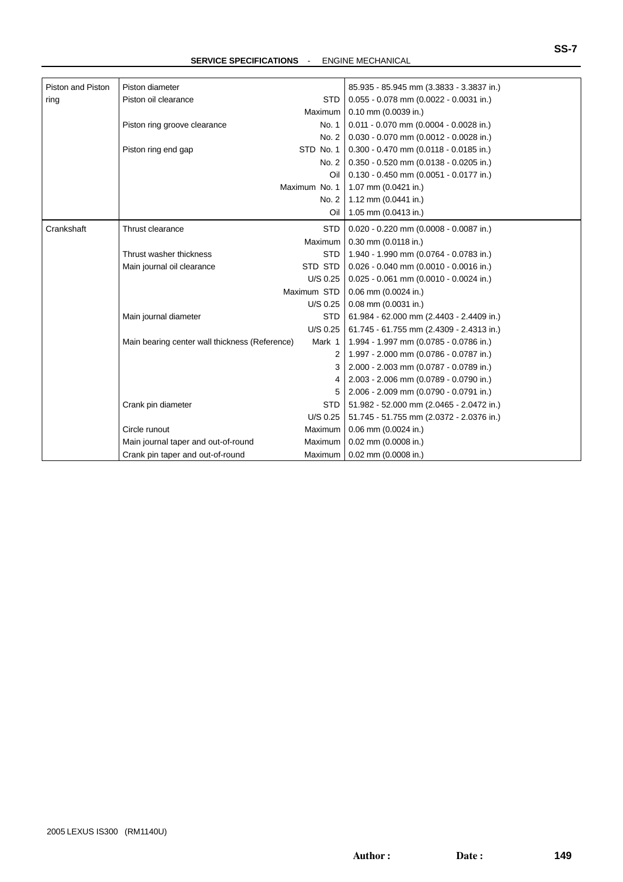**SERVICE SPECIFICATIONS** - ENGINE MECHANICAL

| Piston and Piston | Piston diameter                                |                | 85.935 - 85.945 mm (3.3833 - 3.3837 in.)   |
|-------------------|------------------------------------------------|----------------|--------------------------------------------|
| ring              | Piston oil clearance                           | <b>STD</b>     | $0.055 - 0.078$ mm (0.0022 - 0.0031 in.)   |
|                   |                                                | Maximum        | 0.10 mm (0.0039 in.)                       |
|                   | Piston ring groove clearance                   | No. 1          | $0.011 - 0.070$ mm $(0.0004 - 0.0028$ in.) |
|                   |                                                | No. 2          | $0.030 - 0.070$ mm (0.0012 - 0.0028 in.)   |
|                   | Piston ring end gap                            | STD No. 1      | $0.300 - 0.470$ mm (0.0118 - 0.0185 in.)   |
|                   |                                                | No. 2          | $0.350 - 0.520$ mm $(0.0138 - 0.0205$ in.) |
|                   |                                                | Oil            | $0.130 - 0.450$ mm (0.0051 - 0.0177 in.)   |
|                   |                                                | Maximum No. 1  | 1.07 mm (0.0421 in.)                       |
|                   |                                                | No. 2          | 1.12 mm (0.0441 in.)                       |
|                   |                                                | Oil            | 1.05 mm (0.0413 in.)                       |
| Crankshaft        | Thrust clearance                               | <b>STD</b>     | $0.020 - 0.220$ mm $(0.0008 - 0.0087$ in.) |
|                   |                                                | Maximum        | $0.30$ mm $(0.0118$ in.)                   |
|                   | Thrust washer thickness                        | <b>STD</b>     | 1.940 - 1.990 mm (0.0764 - 0.0783 in.)     |
|                   | Main journal oil clearance                     | STD STD        | $0.026 - 0.040$ mm (0.0010 - 0.0016 in.)   |
|                   |                                                | U/S 0.25       | $0.025 - 0.061$ mm (0.0010 - 0.0024 in.)   |
|                   |                                                | Maximum STD    | $0.06$ mm $(0.0024$ in.)                   |
|                   |                                                | $U/S$ 0.25     | $0.08$ mm $(0.0031$ in.)                   |
|                   | Main journal diameter                          | <b>STD</b>     | 61.984 - 62.000 mm (2.4403 - 2.4409 in.)   |
|                   |                                                | U/S 0.25       | 61.745 - 61.755 mm (2.4309 - 2.4313 in.)   |
|                   | Main bearing center wall thickness (Reference) | Mark 1         | 1.994 - 1.997 mm (0.0785 - 0.0786 in.)     |
|                   |                                                | 2              | 1.997 - 2.000 mm (0.0786 - 0.0787 in.)     |
|                   |                                                | 3              | 2.000 - 2.003 mm (0.0787 - 0.0789 in.)     |
|                   |                                                | 4              | 2.003 - 2.006 mm (0.0789 - 0.0790 in.)     |
|                   |                                                | 5              | 2.006 - 2.009 mm (0.0790 - 0.0791 in.)     |
|                   | Crank pin diameter                             | <b>STD</b>     | 51.982 - 52.000 mm (2.0465 - 2.0472 in.)   |
|                   |                                                | U/S 0.25       | 51.745 - 51.755 mm (2.0372 - 2.0376 in.)   |
|                   | Circle runout                                  | Maximum        | 0.06 mm (0.0024 in.)                       |
|                   | Main journal taper and out-of-round            | Maximum        | 0.02 mm (0.0008 in.)                       |
|                   | Crank pin taper and out-of-round               | <b>Maximum</b> | $0.02$ mm $(0.0008$ in.)                   |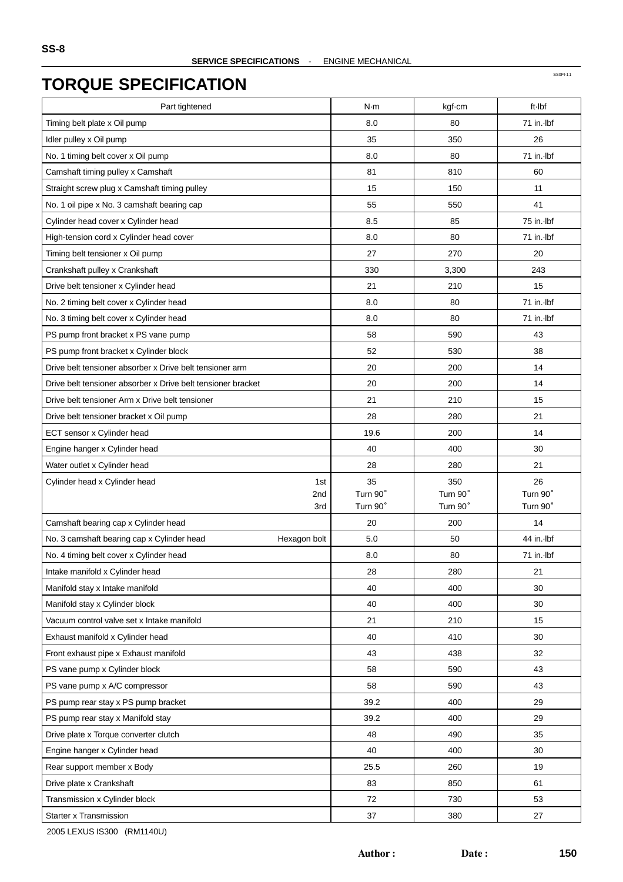SS0FI-11

| Part tightened                                                                     | N·m                  | kgf-cm               | ft-Ibf         |
|------------------------------------------------------------------------------------|----------------------|----------------------|----------------|
| Timing belt plate x Oil pump                                                       | 8.0                  | 80                   | 71 in. Ibf     |
| Idler pulley x Oil pump                                                            | 35                   | 350                  | 26             |
| No. 1 timing belt cover x Oil pump                                                 | 8.0                  | 80                   | 71 in. Ibf     |
| Camshaft timing pulley x Camshaft                                                  | 81                   | 810                  | 60             |
| Straight screw plug x Camshaft timing pulley                                       | 15                   | 150                  | 11             |
| No. 1 oil pipe x No. 3 camshaft bearing cap                                        | 55                   | 550                  | 41             |
| Cylinder head cover x Cylinder head                                                | 8.5                  | 85                   | 75 in. Ibf     |
| High-tension cord x Cylinder head cover                                            | 8.0                  | 80                   | 71 in. Ibf     |
| Timing belt tensioner x Oil pump                                                   | 27                   | 270                  | 20             |
| Crankshaft pulley x Crankshaft                                                     | 330                  | 3,300                | 243            |
| Drive belt tensioner x Cylinder head                                               | 21                   | 210                  | 15             |
|                                                                                    | 8.0                  | 80                   | 71 in. Ibf     |
| No. 2 timing belt cover x Cylinder head<br>No. 3 timing belt cover x Cylinder head | 8.0                  | 80                   | 71 in.-lbf     |
|                                                                                    |                      |                      |                |
| PS pump front bracket x PS vane pump                                               | 58                   | 590                  | 43             |
| PS pump front bracket x Cylinder block                                             | 52                   | 530                  | 38             |
| Drive belt tensioner absorber x Drive belt tensioner arm                           | 20                   | 200                  | 14             |
| Drive belt tensioner absorber x Drive belt tensioner bracket                       | 20                   | 200                  | 14             |
| Drive belt tensioner Arm x Drive belt tensioner                                    | 21                   | 210                  | 15             |
| Drive belt tensioner bracket x Oil pump                                            | 28                   | 280                  | 21             |
| ECT sensor x Cylinder head                                                         | 19.6                 | 200                  | 14             |
| Engine hanger x Cylinder head                                                      | 40                   | 400                  | 30             |
| Water outlet x Cylinder head                                                       | 28                   | 280                  | 21             |
| Cylinder head x Cylinder head<br>1st                                               | 35                   | 350                  | 26<br>Turn 90° |
| 2nd<br>3rd                                                                         | Turn 90°<br>Turn 90° | Turn 90°<br>Turn 90° | Turn 90°       |
| Camshaft bearing cap x Cylinder head                                               | 20                   | 200                  | 14             |
| No. 3 camshaft bearing cap x Cylinder head<br>Hexagon bolt                         | 5.0                  | 50                   | 44 in. Ibf     |
| No. 4 timing belt cover x Cylinder head                                            | 8.0                  | 80                   | 71 in. Ibf     |
| Intake manifold x Cylinder head                                                    | 28                   | 280                  | 21             |
| Manifold stay x Intake manifold                                                    | 40                   | 400                  | 30             |
| Manifold stay x Cylinder block                                                     | 40                   | 400                  | 30             |
| Vacuum control valve set x Intake manifold                                         | 21                   | 210                  | 15             |
| Exhaust manifold x Cylinder head                                                   | 40                   | 410                  | 30             |
| Front exhaust pipe x Exhaust manifold                                              | 43                   | 438                  | 32             |
| PS vane pump x Cylinder block                                                      | 58                   | 590                  | 43             |
| PS vane pump x A/C compressor                                                      | 58                   | 590                  | 43             |
| PS pump rear stay x PS pump bracket                                                | 39.2                 | 400                  | 29             |
| PS pump rear stay x Manifold stay                                                  | 39.2                 | 400                  | 29             |
| Drive plate x Torque converter clutch                                              | 48                   | 490                  | 35             |
| Engine hanger x Cylinder head                                                      | 40                   | 400                  | 30             |
| Rear support member x Body                                                         | 25.5                 | 260                  | 19             |
| Drive plate x Crankshaft                                                           | 83                   | 850                  | 61             |
| Transmission x Cylinder block                                                      | 72                   | 730                  | 53             |
| Starter x Transmission                                                             | 37                   | 380                  | 27             |
|                                                                                    |                      |                      |                |

2005 LEXUS IS300 (RM1140U)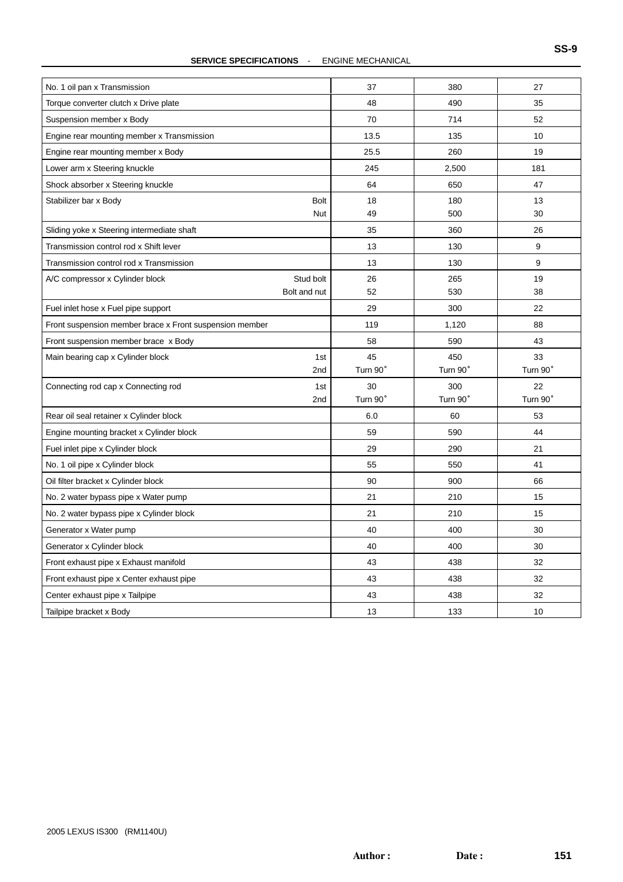#### **SERVICE SPECIFICATIONS** - ENGINE MECHANICAL

| No. 1 oil pan x Transmission                            | 37       | 380      | 27       |
|---------------------------------------------------------|----------|----------|----------|
| Torque converter clutch x Drive plate                   | 48       | 490      | 35       |
| Suspension member x Body                                | 70       | 714      | 52       |
| Engine rear mounting member x Transmission              | 13.5     | 135      | 10       |
| Engine rear mounting member x Body                      | 25.5     | 260      | 19       |
| Lower arm x Steering knuckle                            | 245      | 2,500    | 181      |
| Shock absorber x Steering knuckle                       | 64       | 650      | 47       |
| <b>Bolt</b><br>Stabilizer bar x Body                    | 18       | 180      | 13       |
| Nut                                                     | 49       | 500      | 30       |
| Sliding yoke x Steering intermediate shaft              | 35       | 360      | 26       |
| Transmission control rod x Shift lever                  | 13       | 130      | 9        |
| Transmission control rod x Transmission                 | 13       | 130      | 9        |
| Stud bolt<br>A/C compressor x Cylinder block            | 26       | 265      | 19       |
| Bolt and nut                                            | 52       | 530      | 38       |
| Fuel inlet hose x Fuel pipe support                     | 29       | 300      | 22       |
| Front suspension member brace x Front suspension member | 119      | 1,120    | 88       |
| Front suspension member brace x Body                    | 58       | 590      | 43       |
| Main bearing cap x Cylinder block<br>1st                | 45       | 450      | 33       |
| 2nd                                                     | Turn 90° | Turn 90° | Turn 90° |
| Connecting rod cap x Connecting rod<br>1st              | 30       | 300      | 22       |
| 2 <sub>nd</sub>                                         | Turn 90° | Turn 90° | Turn 90° |
| Rear oil seal retainer x Cylinder block                 | 6.0      | 60       | 53       |
| Engine mounting bracket x Cylinder block                | 59       | 590      | 44       |
|                                                         |          |          |          |
| Fuel inlet pipe x Cylinder block                        | 29       | 290      | 21       |
| No. 1 oil pipe x Cylinder block                         | 55       | 550      | 41       |
| Oil filter bracket x Cylinder block                     | 90       | 900      | 66       |
| No. 2 water bypass pipe x Water pump                    | 21       | 210      | 15       |
| No. 2 water bypass pipe x Cylinder block                | 21       | 210      | 15       |
| Generator x Water pump                                  | 40       | 400      | 30       |
| Generator x Cylinder block                              | 40       | 400      | 30       |
| Front exhaust pipe x Exhaust manifold                   | 43       | 438      | 32       |
| Front exhaust pipe x Center exhaust pipe                | 43       | 438      | 32       |
| Center exhaust pipe x Tailpipe                          | 43       | 438      | 32       |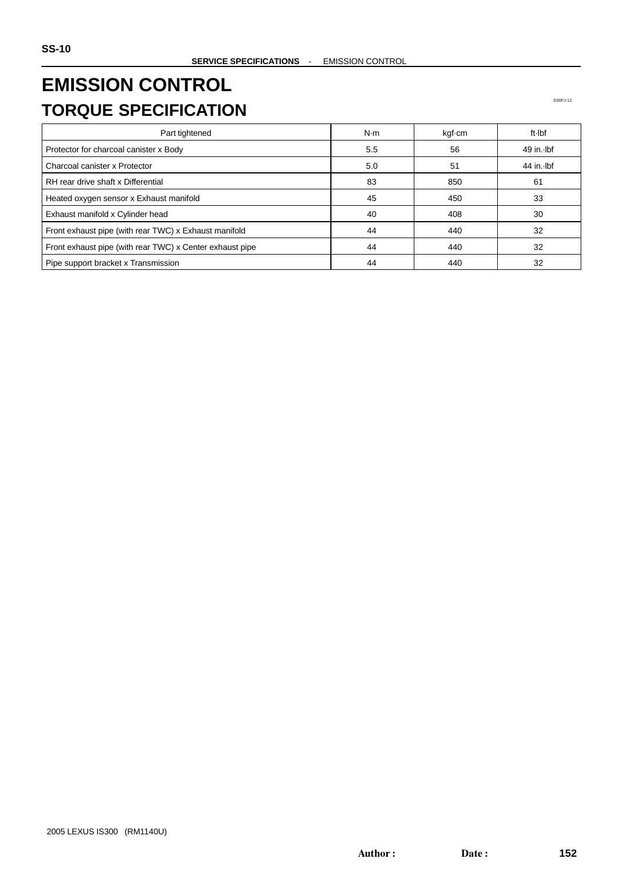# **EMISSION CONTROL TORQUE SPECIFICATION**

| Part tightened                                           | N·m | kgf-cm | ft Ibf       |
|----------------------------------------------------------|-----|--------|--------------|
| Protector for charcoal canister x Body                   | 5.5 | 56     | $49$ in. Ibf |
| Charcoal canister x Protector                            | 5.0 | 51     | 44 in. Ibf   |
| RH rear drive shaft x Differential                       | 83  | 850    | 61           |
| Heated oxygen sensor x Exhaust manifold                  | 45  | 450    | 33           |
| Exhaust manifold x Cylinder head                         | 40  | 408    | 30           |
| Front exhaust pipe (with rear TWC) x Exhaust manifold    | 44  | 440    | 32           |
| Front exhaust pipe (with rear TWC) x Center exhaust pipe | 44  | 440    | 32           |
| Pipe support bracket x Transmission                      | 44  | 440    | 32           |

SS0FJ-12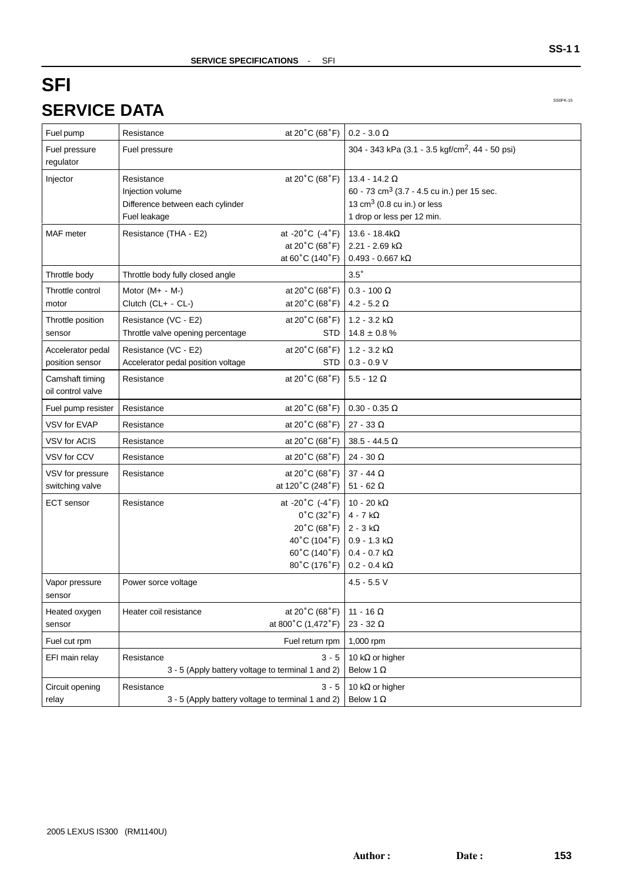# **SFI SERVICE DATA**

SS0FK-15

**SS-1 1**

| Fuel pump                            | Resistance                                                                         | at 20 $^{\circ}$ C (68 $^{\circ}$ F)                                                                                                    | $0.2 - 3.0 \Omega$                                                                                                                            |
|--------------------------------------|------------------------------------------------------------------------------------|-----------------------------------------------------------------------------------------------------------------------------------------|-----------------------------------------------------------------------------------------------------------------------------------------------|
| Fuel pressure<br>regulator           | Fuel pressure                                                                      |                                                                                                                                         | 304 - 343 kPa (3.1 - 3.5 kgf/cm <sup>2</sup> , 44 - 50 psi)                                                                                   |
| Injector                             | Resistance<br>Injection volume<br>Difference between each cylinder<br>Fuel leakage | at 20°C (68°F)                                                                                                                          | 13.4 - 14.2 $\Omega$<br>60 - 73 cm <sup>3</sup> (3.7 - 4.5 cu in.) per 15 sec.<br>13 $cm3$ (0.8 cu in.) or less<br>1 drop or less per 12 min. |
| <b>MAF</b> meter                     | Resistance (THA - E2)                                                              | at -20 $^{\circ}$ C (-4 $^{\circ}$ F)<br>at 20 $^{\circ}$ C (68 $^{\circ}$ F)<br>at 60°C (140°F)                                        | $13.6 - 18.4k\Omega$<br>$2.21 - 2.69$ k $\Omega$<br>0.493 - 0.667 k $\Omega$                                                                  |
| Throttle body                        | Throttle body fully closed angle                                                   |                                                                                                                                         | $3.5^\circ$                                                                                                                                   |
| Throttle control<br>motor            | Motor (M+ - M-)<br>Clutch (CL+ - CL-)                                              | at $20^{\circ}$ C (68 $^{\circ}$ F)<br>at $20^{\circ}$ C (68 $^{\circ}$ F)                                                              | 0.3 - 100 $\Omega$<br>4.2 - 5.2 $\Omega$                                                                                                      |
| Throttle position<br>sensor          | Resistance (VC - E2)<br>Throttle valve opening percentage                          | at $20^{\circ}$ C (68 $^{\circ}$ F)<br>STD                                                                                              | 1.2 - 3.2 $k\Omega$<br>$14.8 \pm 0.8$ %                                                                                                       |
| Accelerator pedal<br>position sensor | Resistance (VC - E2)<br>Accelerator pedal position voltage                         | at $20^{\circ}$ C (68 $^{\circ}$ F)<br>STD                                                                                              | $1.2 - 3.2 k\Omega$<br>$0.3 - 0.9 V$                                                                                                          |
| Camshaft timing<br>oil control valve | Resistance                                                                         | at 20°C (68°F)                                                                                                                          | $5.5 - 12 \Omega$                                                                                                                             |
| Fuel pump resister                   | Resistance                                                                         | at 20°C (68°F)                                                                                                                          | $0.30 - 0.35 \Omega$                                                                                                                          |
| VSV for EVAP                         | Resistance                                                                         | at $20^{\circ}$ C (68 $^{\circ}$ F)                                                                                                     | 27 - 33 $\Omega$                                                                                                                              |
| <b>VSV for ACIS</b>                  | Resistance                                                                         | at 20 $^{\circ}$ C (68 $^{\circ}$ F)                                                                                                    | $38.5 - 44.5 \Omega$                                                                                                                          |
| VSV for CCV                          | Resistance                                                                         | at 20 $^{\circ}$ C (68 $^{\circ}$ F)                                                                                                    | 24 - 30 $\Omega$                                                                                                                              |
| VSV for pressure<br>switching valve  | Resistance                                                                         | at 20°C (68°F)<br>at 120°C (248°F)                                                                                                      | 37 - 44 $\Omega$<br>51 - 62 $\Omega$                                                                                                          |
| <b>ECT</b> sensor                    | Resistance                                                                         | at -20 $^{\circ}$ C (-4 $^{\circ}$ F)<br>$0^{\circ}$ C (32 $^{\circ}$ F)<br>20°C (68°F)<br>40°C (104°F)<br>60°C (140°F)<br>80°C (176°F) | 10 - 20 k $\Omega$<br>4 - 7 k $\Omega$<br>$2 - 3 k\Omega$<br>$0.9 - 1.3 k\Omega$<br>$0.4 - 0.7$ k $\Omega$<br>$0.2 - 0.4$ k $\Omega$          |
| Vapor pressure<br>sensor             | Power sorce voltage                                                                |                                                                                                                                         | $4.5 - 5.5$ V                                                                                                                                 |
| Heated oxygen<br>sensor              | Heater coil resistance                                                             | at 20°C (68°F)<br>at 800°C (1,472°F)                                                                                                    | 11 - 16 $\Omega$<br>23 - 32 $\Omega$                                                                                                          |
| Fuel cut rpm                         |                                                                                    | Fuel return rpm                                                                                                                         | 1,000 rpm                                                                                                                                     |
| EFI main relay                       | Resistance<br>3 - 5 (Apply battery voltage to terminal 1 and 2)                    | $3 - 5$                                                                                                                                 | 10 k $\Omega$ or higher<br>Below 1 $\Omega$                                                                                                   |
| Circuit opening<br>relay             | Resistance<br>3 - 5 (Apply battery voltage to terminal 1 and 2)                    | $3 - 5$                                                                                                                                 | 10 k $\Omega$ or higher<br>Below 1 $\Omega$                                                                                                   |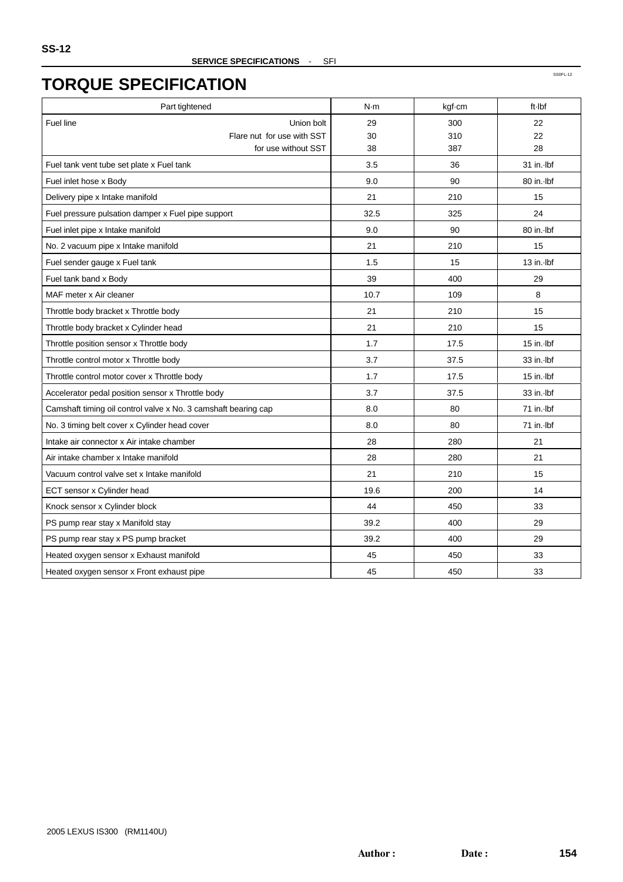| Part tightened                                                 | N·m  | kgf-cm | ft-Ibf       |
|----------------------------------------------------------------|------|--------|--------------|
| <b>Fuel line</b><br>Union bolt                                 | 29   | 300    | 22           |
| Flare nut for use with SST                                     | 30   | 310    | 22           |
| for use without SST                                            | 38   | 387    | 28           |
| Fuel tank vent tube set plate x Fuel tank                      | 3.5  | 36     | 31 in. lbf   |
| Fuel inlet hose x Body                                         | 9.0  | 90     | 80 in. Ibf   |
| Delivery pipe x Intake manifold                                | 21   | 210    | 15           |
| Fuel pressure pulsation damper x Fuel pipe support             | 32.5 | 325    | 24           |
| Fuel inlet pipe x Intake manifold                              | 9.0  | 90     | 80 in. Ibf   |
| No. 2 vacuum pipe x Intake manifold                            | 21   | 210    | 15           |
| Fuel sender gauge x Fuel tank                                  | 1.5  | 15     | 13 in. Ibf   |
| Fuel tank band x Body                                          | 39   | 400    | 29           |
| MAF meter x Air cleaner                                        | 10.7 | 109    | 8            |
| Throttle body bracket x Throttle body                          | 21   | 210    | 15           |
| Throttle body bracket x Cylinder head                          | 21   | 210    | 15           |
| Throttle position sensor x Throttle body                       | 1.7  | 17.5   | $15$ in. Ibf |
| Throttle control motor x Throttle body                         | 3.7  | 37.5   | 33 in. Ibf   |
| Throttle control motor cover x Throttle body                   | 1.7  | 17.5   | $15$ in. Ibf |
| Accelerator pedal position sensor x Throttle body              | 3.7  | 37.5   | 33 in. Ibf   |
| Camshaft timing oil control valve x No. 3 camshaft bearing cap | 8.0  | 80     | 71 in. Ibf   |
| No. 3 timing belt cover x Cylinder head cover                  | 8.0  | 80     | 71 in. Ibf   |
| Intake air connector x Air intake chamber                      | 28   | 280    | 21           |
| Air intake chamber x Intake manifold                           | 28   | 280    | 21           |
| Vacuum control valve set x Intake manifold                     | 21   | 210    | 15           |
| ECT sensor x Cylinder head                                     | 19.6 | 200    | 14           |
| Knock sensor x Cylinder block                                  | 44   | 450    | 33           |
| PS pump rear stay x Manifold stay                              | 39.2 | 400    | 29           |
| PS pump rear stay x PS pump bracket                            | 39.2 | 400    | 29           |
| Heated oxygen sensor x Exhaust manifold                        | 45   | 450    | 33           |
| Heated oxygen sensor x Front exhaust pipe                      | 45   | 450    | 33           |

SS0FL-12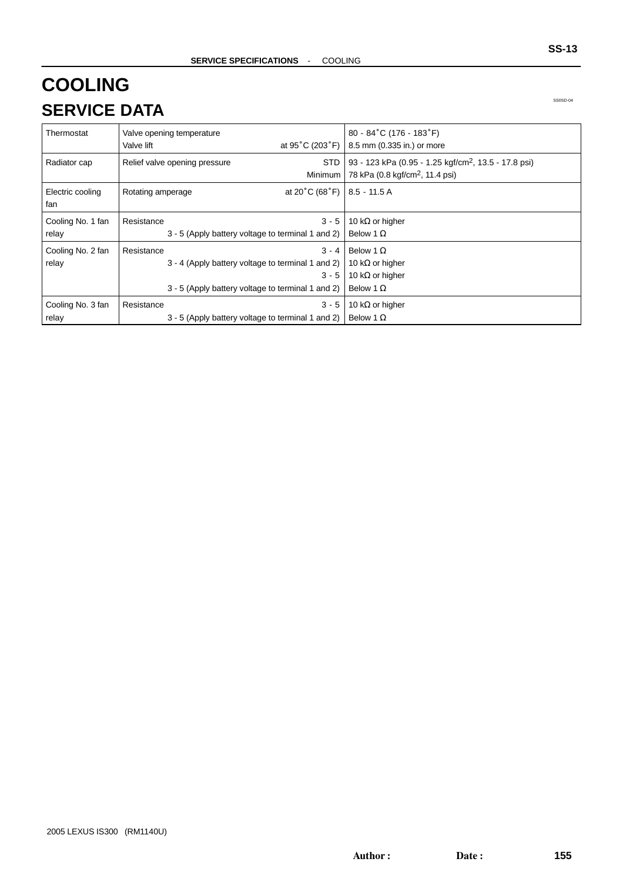# **COOLING SERVICE DATA**

SS0SD-04

| Thermostat                 | Valve opening temperature<br>at 95 $^{\circ}$ C (203 $^{\circ}$ F)  <br>Valve lift                                                         | $80 - 84^{\circ}$ C (176 - 183 $^{\circ}$ F)<br>8.5 mm (0.335 in.) or more                                      |
|----------------------------|--------------------------------------------------------------------------------------------------------------------------------------------|-----------------------------------------------------------------------------------------------------------------|
| Radiator cap               | STD.<br>Relief valve opening pressure<br>Minimum                                                                                           | 93 - 123 kPa (0.95 - 1.25 kgf/cm <sup>2</sup> , 13.5 - 17.8 psi)<br>78 kPa (0.8 kgf/cm <sup>2</sup> , 11.4 psi) |
| Electric cooling<br>fan    | at 20°C (68°F)   8.5 - 11.5 A<br>Rotating amperage                                                                                         |                                                                                                                 |
| Cooling No. 1 fan<br>relay | $3 - 5$<br>Resistance<br>3 - 5 (Apply battery voltage to terminal 1 and 2)                                                                 | 10 k $\Omega$ or higher<br>Below 1 $\Omega$                                                                     |
| Cooling No. 2 fan<br>relay | $3 - 4$<br>Resistance<br>3 - 4 (Apply battery voltage to terminal 1 and 2)<br>$3 - 5$<br>3 - 5 (Apply battery voltage to terminal 1 and 2) | Below 1 $\Omega$<br>10 k $\Omega$ or higher<br>10 k $\Omega$ or higher<br>Below 1 $\Omega$                      |
| Cooling No. 3 fan<br>relay | $3 - 5$<br>Resistance<br>3 - 5 (Apply battery voltage to terminal 1 and 2)                                                                 | 10 k $\Omega$ or higher<br>Below 1 $\Omega$                                                                     |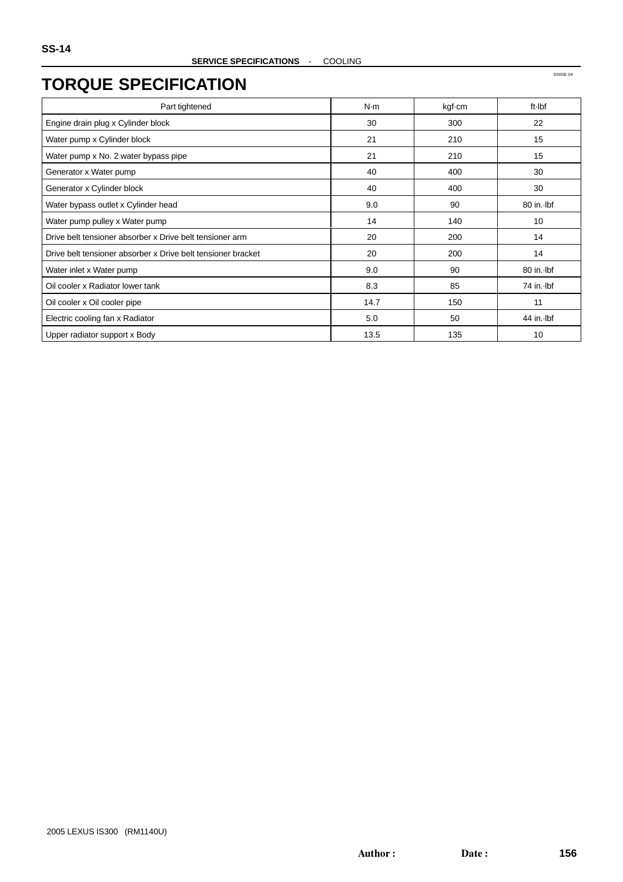SS0SE-04

### **TORQUE SPECIFICATION**

| Part tightened                                               | N·m  | kgf-cm | ft-Ibf     |
|--------------------------------------------------------------|------|--------|------------|
| Engine drain plug x Cylinder block                           | 30   | 300    | 22         |
| Water pump x Cylinder block                                  | 21   | 210    | 15         |
| Water pump x No. 2 water bypass pipe                         | 21   | 210    | 15         |
| Generator x Water pump                                       | 40   | 400    | 30         |
| Generator x Cylinder block                                   | 40   | 400    | 30         |
| Water bypass outlet x Cylinder head                          | 9.0  | 90     | 80 in. Ibf |
| Water pump pulley x Water pump                               | 14   | 140    | 10         |
| Drive belt tensioner absorber x Drive belt tensioner arm     | 20   | 200    | 14         |
| Drive belt tensioner absorber x Drive belt tensioner bracket | 20   | 200    | 14         |
| Water inlet x Water pump                                     | 9.0  | 90     | 80 in. Ibf |
| Oil cooler x Radiator lower tank                             | 8.3  | 85     | 74 in. Ibf |
| Oil cooler x Oil cooler pipe                                 | 14.7 | 150    | 11         |
| Electric cooling fan x Radiator                              | 5.0  | 50     | 44 in. Ibf |
| Upper radiator support x Body                                | 13.5 | 135    | 10         |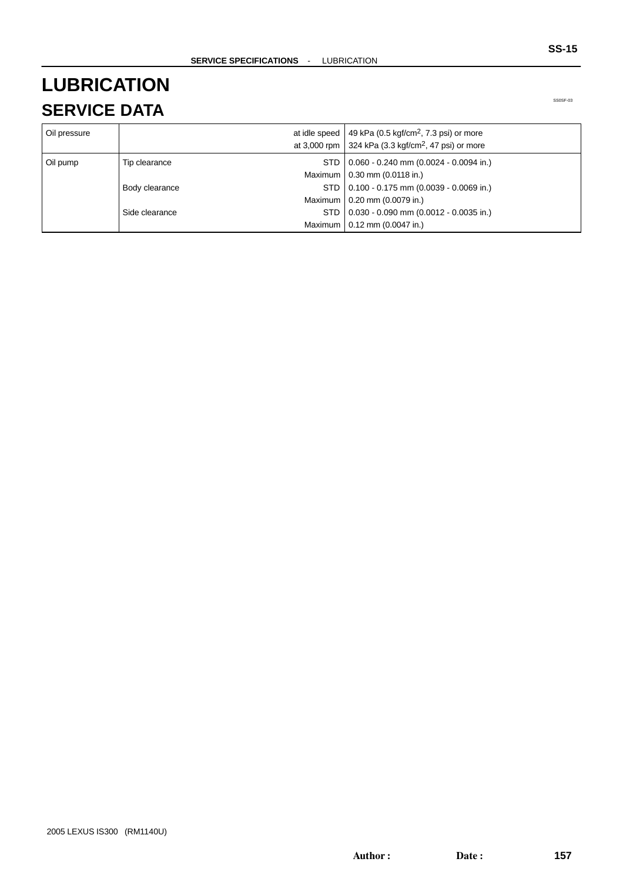## **LUBRICATION SERVICE DATA**

| Oil pressure |                | at idle speed   49 kPa (0.5 kgf/cm <sup>2</sup> , 7.3 psi) or more<br>at 3,000 rpm 324 kPa (3.3 kgf/cm <sup>2</sup> , 47 psi) or more |
|--------------|----------------|---------------------------------------------------------------------------------------------------------------------------------------|
| Oil pump     | Tip clearance  | STD   0.060 - 0.240 mm (0.0024 - 0.0094 in.)                                                                                          |
|              |                | Maximum   0.30 mm (0.0118 in.)                                                                                                        |
|              | Body clearance | STD   0.100 - 0.175 mm (0.0039 - 0.0069 in.)                                                                                          |
|              |                | Maximum   0.20 mm (0.0079 in.)                                                                                                        |
|              | Side clearance | STD   0.030 - 0.090 mm (0.0012 - 0.0035 in.)                                                                                          |
|              |                | Maximum   0.12 mm (0.0047 in.)                                                                                                        |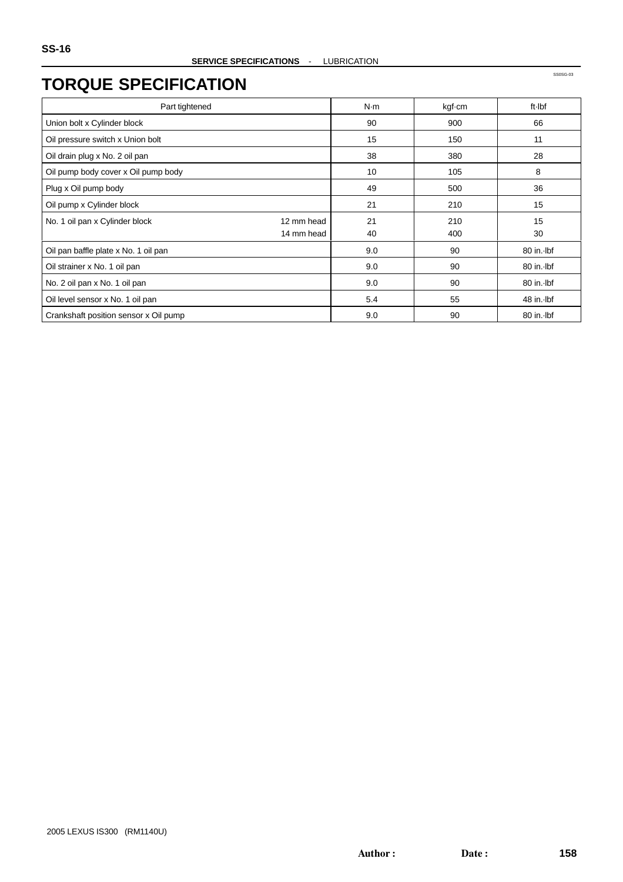| Part tightened                               | N·m | kgf-cm | ft Ibf     |
|----------------------------------------------|-----|--------|------------|
| Union bolt x Cylinder block                  | 90  | 900    | 66         |
| Oil pressure switch x Union bolt             | 15  | 150    | 11         |
| Oil drain plug x No. 2 oil pan               | 38  | 380    | 28         |
| Oil pump body cover x Oil pump body          | 10  | 105    | 8          |
| Plug x Oil pump body                         | 49  | 500    | 36         |
| Oil pump x Cylinder block                    | 21  | 210    | 15         |
| No. 1 oil pan x Cylinder block<br>12 mm head | 21  | 210    | 15         |
| 14 mm head                                   | 40  | 400    | 30         |
| Oil pan baffle plate x No. 1 oil pan         | 9.0 | 90     | 80 in. Ibf |
| Oil strainer x No. 1 oil pan                 | 9.0 | 90     | 80 in. Ibf |
| No. 2 oil pan x No. 1 oil pan                | 9.0 | 90     | 80 in. Ibf |
| Oil level sensor x No. 1 oil pan             | 5.4 | 55     | 48 in. Ibf |
| Crankshaft position sensor x Oil pump        | 9.0 | 90     | 80 in. Ibf |

SS0SG-03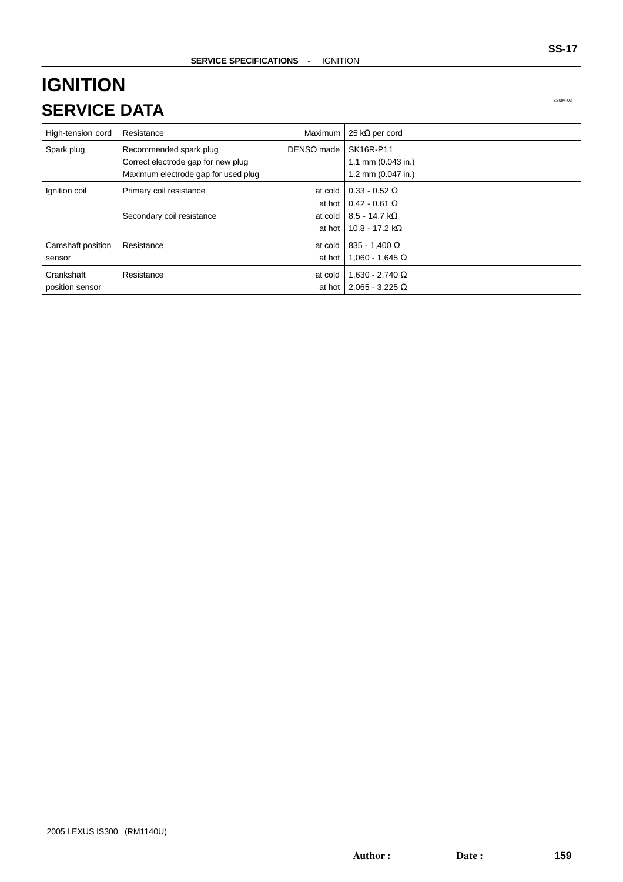## **IGNITION SERVICE DATA**

SS0IM-03

| High-tension cord             | Resistance                                                                                          | Maximum               | 25 k $\Omega$ per cord                                                                                        |
|-------------------------------|-----------------------------------------------------------------------------------------------------|-----------------------|---------------------------------------------------------------------------------------------------------------|
| Spark plug                    | Recommended spark plug<br>Correct electrode gap for new plug<br>Maximum electrode gap for used plug | DENSO made            | SK16R-P11<br>1.1 mm $(0.043$ in.)<br>1.2 mm (0.047 in.)                                                       |
| Ignition coil                 | Primary coil resistance<br>Secondary coil resistance                                                | at cold  <br>at hot I | $0.33 - 0.52 \Omega$<br>at hot $0.42 - 0.61$ Ω<br>at cold   $8.5 - 14.7$ k $\Omega$<br>10.8 - 17.2 k $\Omega$ |
| Camshaft position<br>sensor   | Resistance                                                                                          | at cold<br>at hot     | $835 - 1,400 \Omega$<br>$1,060 - 1,645 \Omega$                                                                |
| Crankshaft<br>position sensor | Resistance                                                                                          | at cold               | $1,630 - 2,740 \Omega$<br>at hot 2,065 - 3,225 $\Omega$                                                       |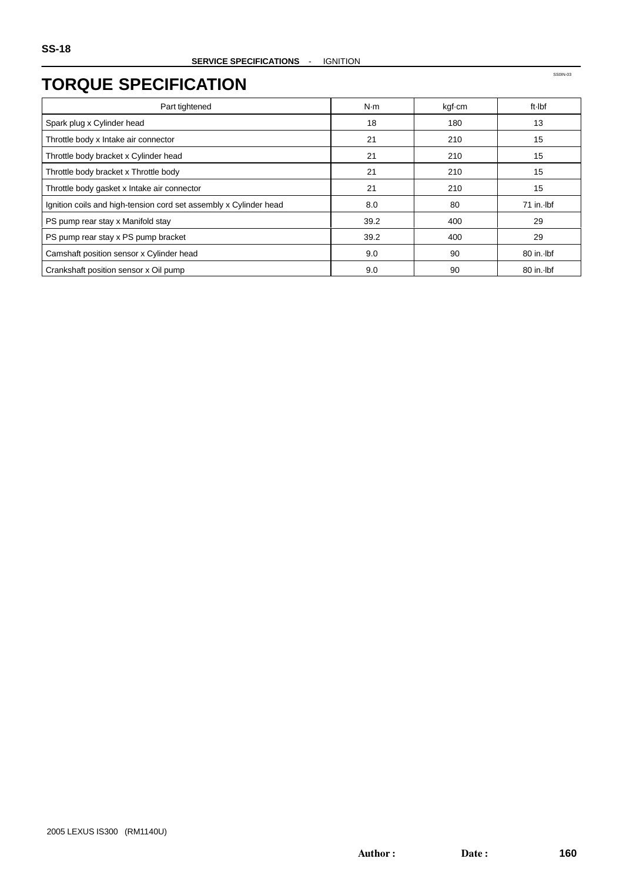SS0IN-03

#### **TORQUE SPECIFICATION**

| Part tightened                                                    | N·m  | kgf-cm | ft Ibf       |
|-------------------------------------------------------------------|------|--------|--------------|
| Spark plug x Cylinder head                                        | 18   | 180    | 13           |
| Throttle body x Intake air connector                              | 21   | 210    | 15           |
| Throttle body bracket x Cylinder head                             | 21   | 210    | 15           |
| Throttle body bracket x Throttle body                             | 21   | 210    | 15           |
| Throttle body gasket x Intake air connector                       | 21   | 210    | 15           |
| Ignition coils and high-tension cord set assembly x Cylinder head | 8.0  | 80     | $71$ in. Ibf |
| PS pump rear stay x Manifold stay                                 | 39.2 | 400    | 29           |
| PS pump rear stay x PS pump bracket                               | 39.2 | 400    | 29           |
| Camshaft position sensor x Cylinder head                          | 9.0  | 90     | 80 in. Ibf   |
| Crankshaft position sensor x Oil pump                             | 9.0  | 90     | 80 in. Ibf   |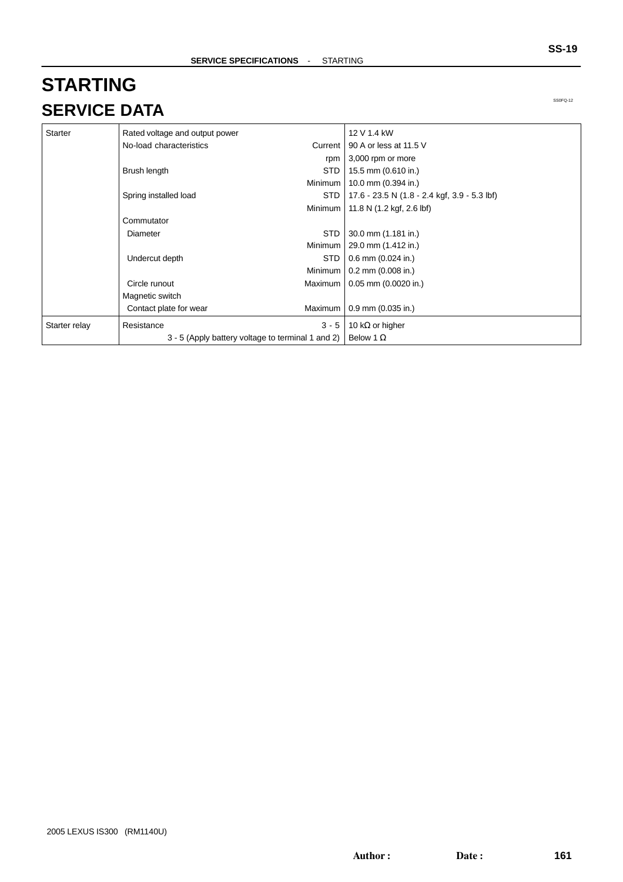# **STARTING SERVICE DATA**

| <b>Starter</b> | Rated voltage and output power                    |            | 12 V 1.4 kW                                    |
|----------------|---------------------------------------------------|------------|------------------------------------------------|
|                | No-load characteristics                           |            | Current   90 A or less at 11.5 V               |
|                |                                                   | rpm        | $\vert$ 3,000 rpm or more                      |
|                | Brush length                                      | <b>STD</b> | 15.5 mm (0.610 in.)                            |
|                |                                                   | Minimum    | 10.0 mm (0.394 in.)                            |
|                | Spring installed load                             | <b>STD</b> | $17.6 - 23.5 N (1.8 - 2.4 kgf, 3.9 - 5.3 lbf)$ |
|                |                                                   |            | Minimum   11.8 N (1.2 kgf, 2.6 lbf)            |
|                | Commutator                                        |            |                                                |
|                | Diameter                                          | STD.       | $30.0$ mm $(1.181$ in.)                        |
|                |                                                   |            | Minimum   29.0 mm (1.412 in.)                  |
|                | Undercut depth                                    | <b>STD</b> | $0.6$ mm $(0.024$ in.)                         |
|                |                                                   |            | Minimum   0.2 mm (0.008 in.)                   |
|                | Circle runout                                     |            | Maximum   0.05 mm (0.0020 in.)                 |
|                | Magnetic switch                                   |            |                                                |
|                | Contact plate for wear                            | Maximum    | $0.9$ mm (0.035 in.)                           |
| Starter relay  | Resistance                                        | $3 - 5$    | 10 k $\Omega$ or higher                        |
|                | 3 - 5 (Apply battery voltage to terminal 1 and 2) |            | Below 1 $\Omega$                               |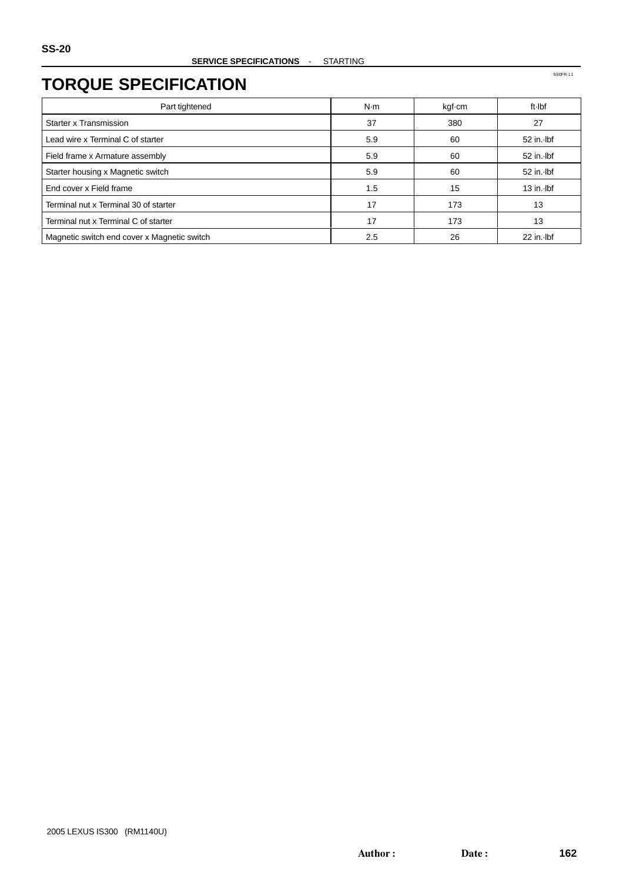SS0FR-11

### **TORQUE SPECIFICATION**

| Part tightened                              | N·m | kgf-cm | ft-Ibf       |
|---------------------------------------------|-----|--------|--------------|
| Starter x Transmission                      | 37  | 380    | 27           |
| Lead wire x Terminal C of starter           | 5.9 | 60     | 52 in. Ibf   |
| Field frame x Armature assembly             | 5.9 | 60     | 52 in. Ibf   |
| Starter housing x Magnetic switch           | 5.9 | 60     | 52 in. lbf   |
| End cover x Field frame                     | 1.5 | 15     | $13$ in. Ibf |
| Terminal nut x Terminal 30 of starter       | 17  | 173    | 13           |
| Terminal nut x Terminal C of starter        | 17  | 173    | 13           |
| Magnetic switch end cover x Magnetic switch | 2.5 | 26     | 22 in. Ibf   |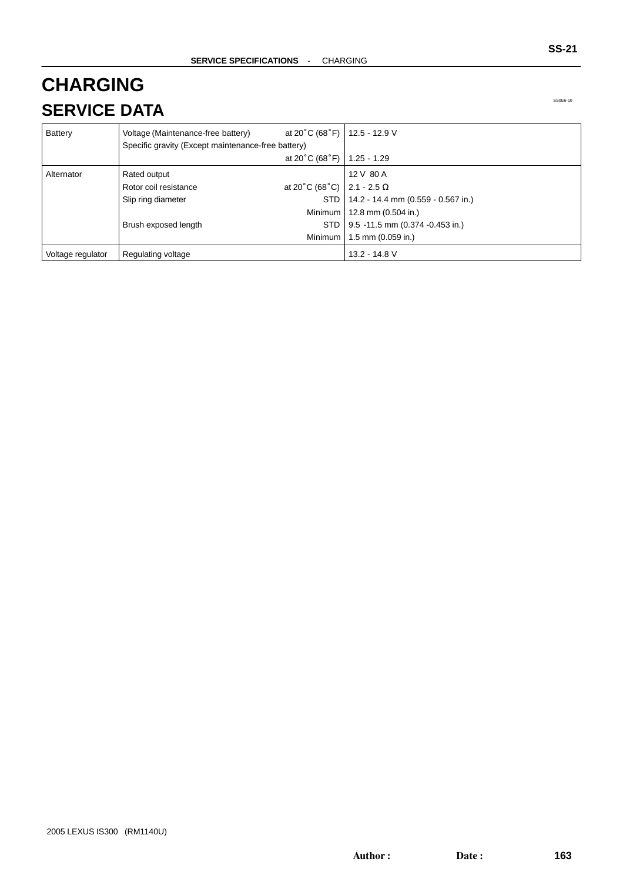# **CHARGING SERVICE DATA**

| Battery           | Voltage (Maintenance-free battery)                 | at 20°C (68°F)   12.5 - 12.9 V      |                                    |
|-------------------|----------------------------------------------------|-------------------------------------|------------------------------------|
|                   | Specific gravity (Except maintenance-free battery) |                                     |                                    |
|                   |                                                    | at $20^{\circ}$ C (68 $^{\circ}$ F) | $1.25 - 1.29$                      |
| Alternator        | Rated output                                       |                                     | 12 V 80 A                          |
|                   | Rotor coil resistance                              | at 20°C (68°C)   2.1 - 2.5 $\Omega$ |                                    |
|                   | Slip ring diameter                                 | STD.                                | 14.2 - 14.4 mm (0.559 - 0.567 in.) |
|                   |                                                    |                                     | Minimum   12.8 mm (0.504 in.)      |
|                   | Brush exposed length                               | <b>STD</b>                          | 9.5 -11.5 mm (0.374 -0.453 in.)    |
|                   |                                                    | <b>Minimum</b>                      | 1.5 mm $(0.059$ in.)               |
| Voltage regulator | Regulating voltage                                 |                                     | 13.2 - 14.8 V                      |

SS0E6-10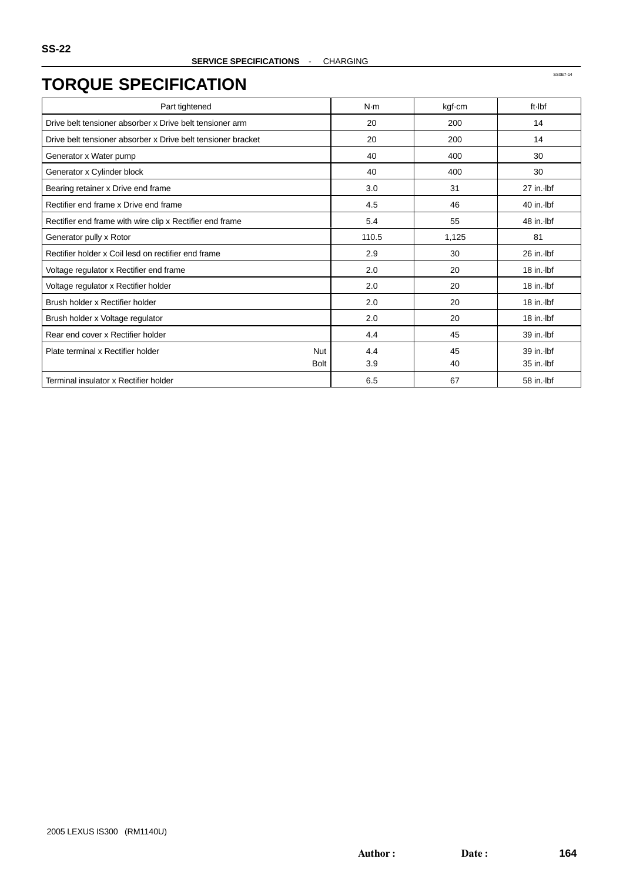| Part tightened                                               | N·m   | kgf-cm | ft-Ibf       |
|--------------------------------------------------------------|-------|--------|--------------|
| Drive belt tensioner absorber x Drive belt tensioner arm     | 20    | 200    | 14           |
| Drive belt tensioner absorber x Drive belt tensioner bracket | 20    | 200    | 14           |
| Generator x Water pump                                       | 40    | 400    | 30           |
| Generator x Cylinder block                                   | 40    | 400    | 30           |
| Bearing retainer x Drive end frame                           | 3.0   | 31     | 27 in. lbf   |
| Rectifier end frame x Drive end frame                        | 4.5   | 46     | $40$ in. Ibf |
| Rectifier end frame with wire clip x Rectifier end frame     | 5.4   | 55     | 48 in. Ibf   |
| Generator pully x Rotor                                      | 110.5 | 1,125  | 81           |
| Rectifier holder x Coil lesd on rectifier end frame          | 2.9   | 30     | $26$ in. Ibf |
| Voltage regulator x Rectifier end frame                      | 2.0   | 20     | 18 in. Ibf   |
| Voltage regulator x Rectifier holder                         | 2.0   | 20     | 18 in. Ibf   |
| Brush holder x Rectifier holder                              | 2.0   | 20     | 18 in. Ibf   |
| Brush holder x Voltage regulator                             | 2.0   | 20     | 18 in. Ibf   |
| Rear end cover x Rectifier holder                            | 4.4   | 45     | 39 in. Ibf   |
| Plate terminal x Rectifier holder<br>Nut                     | 4.4   | 45     | 39 in. lbf   |
| <b>Bolt</b>                                                  | 3.9   | 40     | 35 in. lbf   |
| Terminal insulator x Rectifier holder                        | 6.5   | 67     | 58 in. Ibf   |

SS0E7-14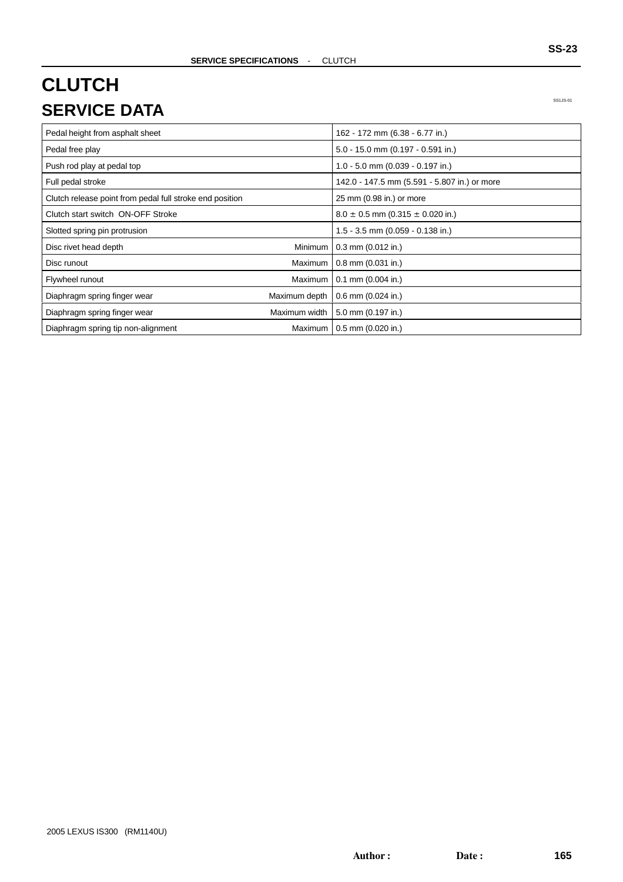## **CLUTCH SERVICE DATA**

SS1JS-01

| Pedal height from asphalt sheet                          |                | 162 - 172 mm (6.38 - 6.77 in.)               |
|----------------------------------------------------------|----------------|----------------------------------------------|
| Pedal free play                                          |                | 5.0 - 15.0 mm (0.197 - 0.591 in.)            |
| Push rod play at pedal top                               |                | 1.0 - 5.0 mm (0.039 - 0.197 in.)             |
| Full pedal stroke                                        |                | 142.0 - 147.5 mm (5.591 - 5.807 in.) or more |
| Clutch release point from pedal full stroke end position |                | 25 mm (0.98 in.) or more                     |
| Clutch start switch ON-OFF Stroke                        |                | $8.0 \pm 0.5$ mm (0.315 $\pm$ 0.020 in.)     |
| Slotted spring pin protrusion                            |                | 1.5 - 3.5 mm (0.059 - 0.138 in.)             |
| Disc rivet head depth                                    | <b>Minimum</b> | $0.3$ mm $(0.012$ in.)                       |
| Disc runout                                              | Maximum        | $0.8$ mm $(0.031$ in.)                       |
| Flywheel runout                                          | Maximum        | $0.1$ mm $(0.004$ in.)                       |
| Diaphragm spring finger wear                             | Maximum depth  | $0.6$ mm $(0.024$ in.)                       |
| Diaphragm spring finger wear                             | Maximum width  | 5.0 mm (0.197 in.)                           |
| Diaphragm spring tip non-alignment                       | Maximum        | $0.5$ mm $(0.020$ in.)                       |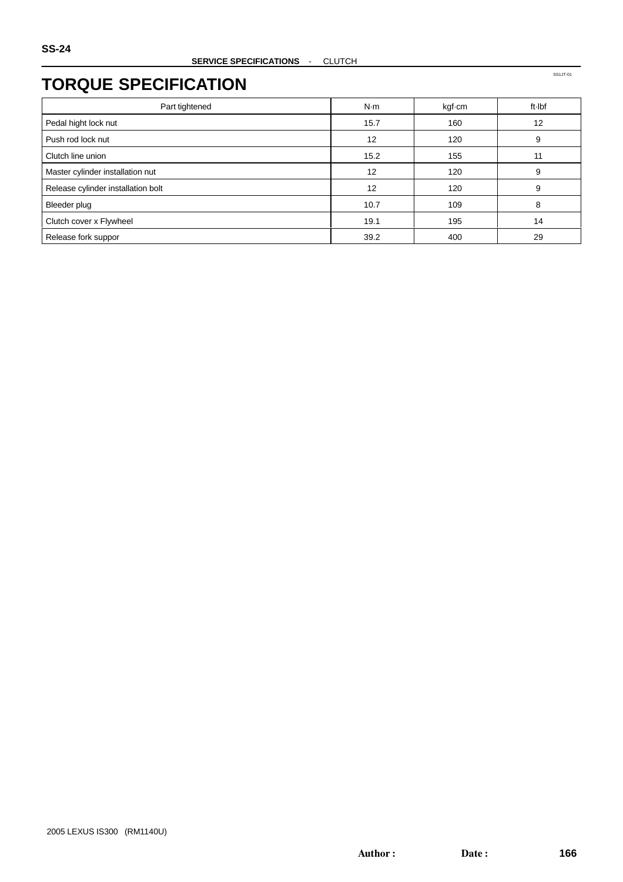SS1JT-01

### **TORQUE SPECIFICATION**

| Part tightened                     | N·m  | kgf-cm | ft Ibf |
|------------------------------------|------|--------|--------|
| Pedal hight lock nut               | 15.7 | 160    | 12     |
| Push rod lock nut                  | 12   | 120    | 9      |
| Clutch line union                  | 15.2 | 155    | 11     |
| Master cylinder installation nut   | 12   | 120    | 9      |
| Release cylinder installation bolt | 12   | 120    | 9      |
| Bleeder plug                       | 10.7 | 109    | 8      |
| Clutch cover x Flywheel            | 19.1 | 195    | 14     |
| Release fork suppor                | 39.2 | 400    | 29     |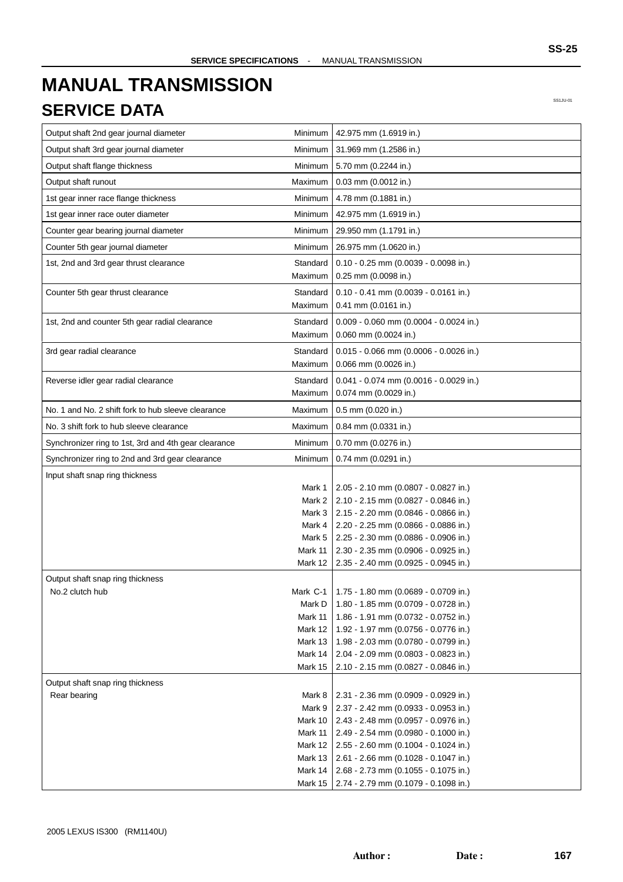# **MANUAL TRANSMISSION SERVICE DATA**

Output shaft 2nd gear journal diameter  $\blacksquare$  Minimum  $\big|$  42.975 mm

|                | SS1JU-01 |
|----------------|----------|
| $(1.6919$ in.) |          |
| (1.2586 in.)   |          |
| 2244 in.)      |          |
| 0012 in.)      |          |
| 1881 in.)      |          |
| $(1.6919$ in.) |          |
| $(1.1791$ in.) |          |
| (1.0620 in.)   |          |

| Output shaft flange thickness<br>Minimum<br>5.70 mm (0.2244 in.)<br>Output shaft runout<br>Maximum<br>$0.03$ mm $(0.0012$ in.)<br>1st gear inner race flange thickness<br>Minimum<br>4.78 mm (0.1881 in.)<br>1st gear inner race outer diameter<br>Minimum<br>42.975 mm (1.6919 in.)<br>Counter gear bearing journal diameter<br>Minimum<br>29.950 mm (1.1791 in.)<br>Counter 5th gear journal diameter<br>26.975 mm (1.0620 in.)<br>Minimum<br>1st, 2nd and 3rd gear thrust clearance<br>Standard<br>$0.10 - 0.25$ mm (0.0039 - 0.0098 in.)<br>Maximum<br>0.25 mm (0.0098 in.)<br>Counter 5th gear thrust clearance<br>$0.10 - 0.41$ mm (0.0039 - 0.0161 in.)<br>Standard<br>Maximum<br>$0.41$ mm $(0.0161$ in.)<br>Standard<br>$0.009 - 0.060$ mm $(0.0004 - 0.0024$ in.)<br>1st, 2nd and counter 5th gear radial clearance<br>0.060 mm (0.0024 in.)<br>Maximum<br>0.015 - 0.066 mm (0.0006 - 0.0026 in.)<br>3rd gear radial clearance<br>Standard<br>0.066 mm (0.0026 in.)<br>Maximum<br>$0.041 - 0.074$ mm (0.0016 - 0.0029 in.)<br>Reverse idler gear radial clearance<br>Standard<br>0.074 mm (0.0029 in.)<br>Maximum<br>No. 1 and No. 2 shift fork to hub sleeve clearance<br>Maximum<br>0.5 mm (0.020 in.)<br>No. 3 shift fork to hub sleeve clearance<br>Maximum<br>0.84 mm (0.0331 in.)<br>Minimum<br>0.70 mm (0.0276 in.)<br>Synchronizer ring to 1st, 3rd and 4th gear clearance<br>Synchronizer ring to 2nd and 3rd gear clearance<br>Minimum<br>$0.74$ mm $(0.0291$ in.)<br>Input shaft snap ring thickness<br>Mark 1<br>$2.05 - 2.10$ mm (0.0807 - 0.0827 in.)<br>2.10 - 2.15 mm (0.0827 - 0.0846 in.)<br>Mark 2<br>2.15 - 2.20 mm (0.0846 - 0.0866 in.)<br>Mark 3<br>2.20 - 2.25 mm (0.0866 - 0.0886 in.)<br>Mark 4<br>Mark 5<br>2.25 - 2.30 mm (0.0886 - 0.0906 in.)<br>Mark 11<br>2.30 - 2.35 mm (0.0906 - 0.0925 in.)<br>Mark 12<br>2.35 - 2.40 mm (0.0925 - 0.0945 in.)<br>Output shaft snap ring thickness<br>No.2 clutch hub<br>1.75 - 1.80 mm (0.0689 - 0.0709 in.)<br>Mark C-1<br>1.80 - 1.85 mm (0.0709 - 0.0728 in.)<br>Mark D<br>Mark 11<br>1.86 - 1.91 mm (0.0732 - 0.0752 in.)<br>Mark 12<br>1.92 - 1.97 mm (0.0756 - 0.0776 in.)<br>Mark 13<br>1.98 - 2.03 mm (0.0780 - 0.0799 in.)<br>Mark 14<br>2.04 - 2.09 mm (0.0803 - 0.0823 in.)<br>Mark 15<br>$2.10 - 2.15$ mm (0.0827 - 0.0846 in.)<br>Output shaft snap ring thickness<br>Rear bearing<br>Mark 8<br>2.31 - 2.36 mm (0.0909 - 0.0929 in.)<br>Mark 9<br>2.37 - 2.42 mm (0.0933 - 0.0953 in.)<br>Mark 10<br>$2.43 - 2.48$ mm (0.0957 - 0.0976 in.)<br>Mark 11<br>2.49 - 2.54 mm (0.0980 - 0.1000 in.)<br>Mark 12<br>2.55 - 2.60 mm (0.1004 - 0.1024 in.)<br>Mark 13<br>2.61 - 2.66 mm (0.1028 - 0.1047 in.)<br>Mark 14<br>2.68 - 2.73 mm (0.1055 - 0.1075 in.)<br>Mark 15<br>2.74 - 2.79 mm (0.1079 - 0.1098 in.) | Output shaft 3rd gear journal diameter | Minimum | 31.969 mm (1.2586 in.) |
|-------------------------------------------------------------------------------------------------------------------------------------------------------------------------------------------------------------------------------------------------------------------------------------------------------------------------------------------------------------------------------------------------------------------------------------------------------------------------------------------------------------------------------------------------------------------------------------------------------------------------------------------------------------------------------------------------------------------------------------------------------------------------------------------------------------------------------------------------------------------------------------------------------------------------------------------------------------------------------------------------------------------------------------------------------------------------------------------------------------------------------------------------------------------------------------------------------------------------------------------------------------------------------------------------------------------------------------------------------------------------------------------------------------------------------------------------------------------------------------------------------------------------------------------------------------------------------------------------------------------------------------------------------------------------------------------------------------------------------------------------------------------------------------------------------------------------------------------------------------------------------------------------------------------------------------------------------------------------------------------------------------------------------------------------------------------------------------------------------------------------------------------------------------------------------------------------------------------------------------------------------------------------------------------------------------------------------------------------------------------------------------------------------------------------------------------------------------------------------------------------------------------------------------------------------------------------------------------------------------------------------------------------------------------------------------------------------------------------------------------------------------------------------------------------------|----------------------------------------|---------|------------------------|
|                                                                                                                                                                                                                                                                                                                                                                                                                                                                                                                                                                                                                                                                                                                                                                                                                                                                                                                                                                                                                                                                                                                                                                                                                                                                                                                                                                                                                                                                                                                                                                                                                                                                                                                                                                                                                                                                                                                                                                                                                                                                                                                                                                                                                                                                                                                                                                                                                                                                                                                                                                                                                                                                                                                                                                                                       |                                        |         |                        |
|                                                                                                                                                                                                                                                                                                                                                                                                                                                                                                                                                                                                                                                                                                                                                                                                                                                                                                                                                                                                                                                                                                                                                                                                                                                                                                                                                                                                                                                                                                                                                                                                                                                                                                                                                                                                                                                                                                                                                                                                                                                                                                                                                                                                                                                                                                                                                                                                                                                                                                                                                                                                                                                                                                                                                                                                       |                                        |         |                        |
|                                                                                                                                                                                                                                                                                                                                                                                                                                                                                                                                                                                                                                                                                                                                                                                                                                                                                                                                                                                                                                                                                                                                                                                                                                                                                                                                                                                                                                                                                                                                                                                                                                                                                                                                                                                                                                                                                                                                                                                                                                                                                                                                                                                                                                                                                                                                                                                                                                                                                                                                                                                                                                                                                                                                                                                                       |                                        |         |                        |
|                                                                                                                                                                                                                                                                                                                                                                                                                                                                                                                                                                                                                                                                                                                                                                                                                                                                                                                                                                                                                                                                                                                                                                                                                                                                                                                                                                                                                                                                                                                                                                                                                                                                                                                                                                                                                                                                                                                                                                                                                                                                                                                                                                                                                                                                                                                                                                                                                                                                                                                                                                                                                                                                                                                                                                                                       |                                        |         |                        |
|                                                                                                                                                                                                                                                                                                                                                                                                                                                                                                                                                                                                                                                                                                                                                                                                                                                                                                                                                                                                                                                                                                                                                                                                                                                                                                                                                                                                                                                                                                                                                                                                                                                                                                                                                                                                                                                                                                                                                                                                                                                                                                                                                                                                                                                                                                                                                                                                                                                                                                                                                                                                                                                                                                                                                                                                       |                                        |         |                        |
|                                                                                                                                                                                                                                                                                                                                                                                                                                                                                                                                                                                                                                                                                                                                                                                                                                                                                                                                                                                                                                                                                                                                                                                                                                                                                                                                                                                                                                                                                                                                                                                                                                                                                                                                                                                                                                                                                                                                                                                                                                                                                                                                                                                                                                                                                                                                                                                                                                                                                                                                                                                                                                                                                                                                                                                                       |                                        |         |                        |
|                                                                                                                                                                                                                                                                                                                                                                                                                                                                                                                                                                                                                                                                                                                                                                                                                                                                                                                                                                                                                                                                                                                                                                                                                                                                                                                                                                                                                                                                                                                                                                                                                                                                                                                                                                                                                                                                                                                                                                                                                                                                                                                                                                                                                                                                                                                                                                                                                                                                                                                                                                                                                                                                                                                                                                                                       |                                        |         |                        |
|                                                                                                                                                                                                                                                                                                                                                                                                                                                                                                                                                                                                                                                                                                                                                                                                                                                                                                                                                                                                                                                                                                                                                                                                                                                                                                                                                                                                                                                                                                                                                                                                                                                                                                                                                                                                                                                                                                                                                                                                                                                                                                                                                                                                                                                                                                                                                                                                                                                                                                                                                                                                                                                                                                                                                                                                       |                                        |         |                        |
|                                                                                                                                                                                                                                                                                                                                                                                                                                                                                                                                                                                                                                                                                                                                                                                                                                                                                                                                                                                                                                                                                                                                                                                                                                                                                                                                                                                                                                                                                                                                                                                                                                                                                                                                                                                                                                                                                                                                                                                                                                                                                                                                                                                                                                                                                                                                                                                                                                                                                                                                                                                                                                                                                                                                                                                                       |                                        |         |                        |
|                                                                                                                                                                                                                                                                                                                                                                                                                                                                                                                                                                                                                                                                                                                                                                                                                                                                                                                                                                                                                                                                                                                                                                                                                                                                                                                                                                                                                                                                                                                                                                                                                                                                                                                                                                                                                                                                                                                                                                                                                                                                                                                                                                                                                                                                                                                                                                                                                                                                                                                                                                                                                                                                                                                                                                                                       |                                        |         |                        |
|                                                                                                                                                                                                                                                                                                                                                                                                                                                                                                                                                                                                                                                                                                                                                                                                                                                                                                                                                                                                                                                                                                                                                                                                                                                                                                                                                                                                                                                                                                                                                                                                                                                                                                                                                                                                                                                                                                                                                                                                                                                                                                                                                                                                                                                                                                                                                                                                                                                                                                                                                                                                                                                                                                                                                                                                       |                                        |         |                        |
|                                                                                                                                                                                                                                                                                                                                                                                                                                                                                                                                                                                                                                                                                                                                                                                                                                                                                                                                                                                                                                                                                                                                                                                                                                                                                                                                                                                                                                                                                                                                                                                                                                                                                                                                                                                                                                                                                                                                                                                                                                                                                                                                                                                                                                                                                                                                                                                                                                                                                                                                                                                                                                                                                                                                                                                                       |                                        |         |                        |
|                                                                                                                                                                                                                                                                                                                                                                                                                                                                                                                                                                                                                                                                                                                                                                                                                                                                                                                                                                                                                                                                                                                                                                                                                                                                                                                                                                                                                                                                                                                                                                                                                                                                                                                                                                                                                                                                                                                                                                                                                                                                                                                                                                                                                                                                                                                                                                                                                                                                                                                                                                                                                                                                                                                                                                                                       |                                        |         |                        |
|                                                                                                                                                                                                                                                                                                                                                                                                                                                                                                                                                                                                                                                                                                                                                                                                                                                                                                                                                                                                                                                                                                                                                                                                                                                                                                                                                                                                                                                                                                                                                                                                                                                                                                                                                                                                                                                                                                                                                                                                                                                                                                                                                                                                                                                                                                                                                                                                                                                                                                                                                                                                                                                                                                                                                                                                       |                                        |         |                        |
|                                                                                                                                                                                                                                                                                                                                                                                                                                                                                                                                                                                                                                                                                                                                                                                                                                                                                                                                                                                                                                                                                                                                                                                                                                                                                                                                                                                                                                                                                                                                                                                                                                                                                                                                                                                                                                                                                                                                                                                                                                                                                                                                                                                                                                                                                                                                                                                                                                                                                                                                                                                                                                                                                                                                                                                                       |                                        |         |                        |
|                                                                                                                                                                                                                                                                                                                                                                                                                                                                                                                                                                                                                                                                                                                                                                                                                                                                                                                                                                                                                                                                                                                                                                                                                                                                                                                                                                                                                                                                                                                                                                                                                                                                                                                                                                                                                                                                                                                                                                                                                                                                                                                                                                                                                                                                                                                                                                                                                                                                                                                                                                                                                                                                                                                                                                                                       |                                        |         |                        |
|                                                                                                                                                                                                                                                                                                                                                                                                                                                                                                                                                                                                                                                                                                                                                                                                                                                                                                                                                                                                                                                                                                                                                                                                                                                                                                                                                                                                                                                                                                                                                                                                                                                                                                                                                                                                                                                                                                                                                                                                                                                                                                                                                                                                                                                                                                                                                                                                                                                                                                                                                                                                                                                                                                                                                                                                       |                                        |         |                        |
|                                                                                                                                                                                                                                                                                                                                                                                                                                                                                                                                                                                                                                                                                                                                                                                                                                                                                                                                                                                                                                                                                                                                                                                                                                                                                                                                                                                                                                                                                                                                                                                                                                                                                                                                                                                                                                                                                                                                                                                                                                                                                                                                                                                                                                                                                                                                                                                                                                                                                                                                                                                                                                                                                                                                                                                                       |                                        |         |                        |
|                                                                                                                                                                                                                                                                                                                                                                                                                                                                                                                                                                                                                                                                                                                                                                                                                                                                                                                                                                                                                                                                                                                                                                                                                                                                                                                                                                                                                                                                                                                                                                                                                                                                                                                                                                                                                                                                                                                                                                                                                                                                                                                                                                                                                                                                                                                                                                                                                                                                                                                                                                                                                                                                                                                                                                                                       |                                        |         |                        |
|                                                                                                                                                                                                                                                                                                                                                                                                                                                                                                                                                                                                                                                                                                                                                                                                                                                                                                                                                                                                                                                                                                                                                                                                                                                                                                                                                                                                                                                                                                                                                                                                                                                                                                                                                                                                                                                                                                                                                                                                                                                                                                                                                                                                                                                                                                                                                                                                                                                                                                                                                                                                                                                                                                                                                                                                       |                                        |         |                        |
|                                                                                                                                                                                                                                                                                                                                                                                                                                                                                                                                                                                                                                                                                                                                                                                                                                                                                                                                                                                                                                                                                                                                                                                                                                                                                                                                                                                                                                                                                                                                                                                                                                                                                                                                                                                                                                                                                                                                                                                                                                                                                                                                                                                                                                                                                                                                                                                                                                                                                                                                                                                                                                                                                                                                                                                                       |                                        |         |                        |
|                                                                                                                                                                                                                                                                                                                                                                                                                                                                                                                                                                                                                                                                                                                                                                                                                                                                                                                                                                                                                                                                                                                                                                                                                                                                                                                                                                                                                                                                                                                                                                                                                                                                                                                                                                                                                                                                                                                                                                                                                                                                                                                                                                                                                                                                                                                                                                                                                                                                                                                                                                                                                                                                                                                                                                                                       |                                        |         |                        |
|                                                                                                                                                                                                                                                                                                                                                                                                                                                                                                                                                                                                                                                                                                                                                                                                                                                                                                                                                                                                                                                                                                                                                                                                                                                                                                                                                                                                                                                                                                                                                                                                                                                                                                                                                                                                                                                                                                                                                                                                                                                                                                                                                                                                                                                                                                                                                                                                                                                                                                                                                                                                                                                                                                                                                                                                       |                                        |         |                        |
|                                                                                                                                                                                                                                                                                                                                                                                                                                                                                                                                                                                                                                                                                                                                                                                                                                                                                                                                                                                                                                                                                                                                                                                                                                                                                                                                                                                                                                                                                                                                                                                                                                                                                                                                                                                                                                                                                                                                                                                                                                                                                                                                                                                                                                                                                                                                                                                                                                                                                                                                                                                                                                                                                                                                                                                                       |                                        |         |                        |
|                                                                                                                                                                                                                                                                                                                                                                                                                                                                                                                                                                                                                                                                                                                                                                                                                                                                                                                                                                                                                                                                                                                                                                                                                                                                                                                                                                                                                                                                                                                                                                                                                                                                                                                                                                                                                                                                                                                                                                                                                                                                                                                                                                                                                                                                                                                                                                                                                                                                                                                                                                                                                                                                                                                                                                                                       |                                        |         |                        |
|                                                                                                                                                                                                                                                                                                                                                                                                                                                                                                                                                                                                                                                                                                                                                                                                                                                                                                                                                                                                                                                                                                                                                                                                                                                                                                                                                                                                                                                                                                                                                                                                                                                                                                                                                                                                                                                                                                                                                                                                                                                                                                                                                                                                                                                                                                                                                                                                                                                                                                                                                                                                                                                                                                                                                                                                       |                                        |         |                        |
|                                                                                                                                                                                                                                                                                                                                                                                                                                                                                                                                                                                                                                                                                                                                                                                                                                                                                                                                                                                                                                                                                                                                                                                                                                                                                                                                                                                                                                                                                                                                                                                                                                                                                                                                                                                                                                                                                                                                                                                                                                                                                                                                                                                                                                                                                                                                                                                                                                                                                                                                                                                                                                                                                                                                                                                                       |                                        |         |                        |
|                                                                                                                                                                                                                                                                                                                                                                                                                                                                                                                                                                                                                                                                                                                                                                                                                                                                                                                                                                                                                                                                                                                                                                                                                                                                                                                                                                                                                                                                                                                                                                                                                                                                                                                                                                                                                                                                                                                                                                                                                                                                                                                                                                                                                                                                                                                                                                                                                                                                                                                                                                                                                                                                                                                                                                                                       |                                        |         |                        |
|                                                                                                                                                                                                                                                                                                                                                                                                                                                                                                                                                                                                                                                                                                                                                                                                                                                                                                                                                                                                                                                                                                                                                                                                                                                                                                                                                                                                                                                                                                                                                                                                                                                                                                                                                                                                                                                                                                                                                                                                                                                                                                                                                                                                                                                                                                                                                                                                                                                                                                                                                                                                                                                                                                                                                                                                       |                                        |         |                        |
|                                                                                                                                                                                                                                                                                                                                                                                                                                                                                                                                                                                                                                                                                                                                                                                                                                                                                                                                                                                                                                                                                                                                                                                                                                                                                                                                                                                                                                                                                                                                                                                                                                                                                                                                                                                                                                                                                                                                                                                                                                                                                                                                                                                                                                                                                                                                                                                                                                                                                                                                                                                                                                                                                                                                                                                                       |                                        |         |                        |
|                                                                                                                                                                                                                                                                                                                                                                                                                                                                                                                                                                                                                                                                                                                                                                                                                                                                                                                                                                                                                                                                                                                                                                                                                                                                                                                                                                                                                                                                                                                                                                                                                                                                                                                                                                                                                                                                                                                                                                                                                                                                                                                                                                                                                                                                                                                                                                                                                                                                                                                                                                                                                                                                                                                                                                                                       |                                        |         |                        |
|                                                                                                                                                                                                                                                                                                                                                                                                                                                                                                                                                                                                                                                                                                                                                                                                                                                                                                                                                                                                                                                                                                                                                                                                                                                                                                                                                                                                                                                                                                                                                                                                                                                                                                                                                                                                                                                                                                                                                                                                                                                                                                                                                                                                                                                                                                                                                                                                                                                                                                                                                                                                                                                                                                                                                                                                       |                                        |         |                        |
|                                                                                                                                                                                                                                                                                                                                                                                                                                                                                                                                                                                                                                                                                                                                                                                                                                                                                                                                                                                                                                                                                                                                                                                                                                                                                                                                                                                                                                                                                                                                                                                                                                                                                                                                                                                                                                                                                                                                                                                                                                                                                                                                                                                                                                                                                                                                                                                                                                                                                                                                                                                                                                                                                                                                                                                                       |                                        |         |                        |
|                                                                                                                                                                                                                                                                                                                                                                                                                                                                                                                                                                                                                                                                                                                                                                                                                                                                                                                                                                                                                                                                                                                                                                                                                                                                                                                                                                                                                                                                                                                                                                                                                                                                                                                                                                                                                                                                                                                                                                                                                                                                                                                                                                                                                                                                                                                                                                                                                                                                                                                                                                                                                                                                                                                                                                                                       |                                        |         |                        |
|                                                                                                                                                                                                                                                                                                                                                                                                                                                                                                                                                                                                                                                                                                                                                                                                                                                                                                                                                                                                                                                                                                                                                                                                                                                                                                                                                                                                                                                                                                                                                                                                                                                                                                                                                                                                                                                                                                                                                                                                                                                                                                                                                                                                                                                                                                                                                                                                                                                                                                                                                                                                                                                                                                                                                                                                       |                                        |         |                        |
|                                                                                                                                                                                                                                                                                                                                                                                                                                                                                                                                                                                                                                                                                                                                                                                                                                                                                                                                                                                                                                                                                                                                                                                                                                                                                                                                                                                                                                                                                                                                                                                                                                                                                                                                                                                                                                                                                                                                                                                                                                                                                                                                                                                                                                                                                                                                                                                                                                                                                                                                                                                                                                                                                                                                                                                                       |                                        |         |                        |
|                                                                                                                                                                                                                                                                                                                                                                                                                                                                                                                                                                                                                                                                                                                                                                                                                                                                                                                                                                                                                                                                                                                                                                                                                                                                                                                                                                                                                                                                                                                                                                                                                                                                                                                                                                                                                                                                                                                                                                                                                                                                                                                                                                                                                                                                                                                                                                                                                                                                                                                                                                                                                                                                                                                                                                                                       |                                        |         |                        |
|                                                                                                                                                                                                                                                                                                                                                                                                                                                                                                                                                                                                                                                                                                                                                                                                                                                                                                                                                                                                                                                                                                                                                                                                                                                                                                                                                                                                                                                                                                                                                                                                                                                                                                                                                                                                                                                                                                                                                                                                                                                                                                                                                                                                                                                                                                                                                                                                                                                                                                                                                                                                                                                                                                                                                                                                       |                                        |         |                        |
|                                                                                                                                                                                                                                                                                                                                                                                                                                                                                                                                                                                                                                                                                                                                                                                                                                                                                                                                                                                                                                                                                                                                                                                                                                                                                                                                                                                                                                                                                                                                                                                                                                                                                                                                                                                                                                                                                                                                                                                                                                                                                                                                                                                                                                                                                                                                                                                                                                                                                                                                                                                                                                                                                                                                                                                                       |                                        |         |                        |
|                                                                                                                                                                                                                                                                                                                                                                                                                                                                                                                                                                                                                                                                                                                                                                                                                                                                                                                                                                                                                                                                                                                                                                                                                                                                                                                                                                                                                                                                                                                                                                                                                                                                                                                                                                                                                                                                                                                                                                                                                                                                                                                                                                                                                                                                                                                                                                                                                                                                                                                                                                                                                                                                                                                                                                                                       |                                        |         |                        |
|                                                                                                                                                                                                                                                                                                                                                                                                                                                                                                                                                                                                                                                                                                                                                                                                                                                                                                                                                                                                                                                                                                                                                                                                                                                                                                                                                                                                                                                                                                                                                                                                                                                                                                                                                                                                                                                                                                                                                                                                                                                                                                                                                                                                                                                                                                                                                                                                                                                                                                                                                                                                                                                                                                                                                                                                       |                                        |         |                        |
|                                                                                                                                                                                                                                                                                                                                                                                                                                                                                                                                                                                                                                                                                                                                                                                                                                                                                                                                                                                                                                                                                                                                                                                                                                                                                                                                                                                                                                                                                                                                                                                                                                                                                                                                                                                                                                                                                                                                                                                                                                                                                                                                                                                                                                                                                                                                                                                                                                                                                                                                                                                                                                                                                                                                                                                                       |                                        |         |                        |
|                                                                                                                                                                                                                                                                                                                                                                                                                                                                                                                                                                                                                                                                                                                                                                                                                                                                                                                                                                                                                                                                                                                                                                                                                                                                                                                                                                                                                                                                                                                                                                                                                                                                                                                                                                                                                                                                                                                                                                                                                                                                                                                                                                                                                                                                                                                                                                                                                                                                                                                                                                                                                                                                                                                                                                                                       |                                        |         |                        |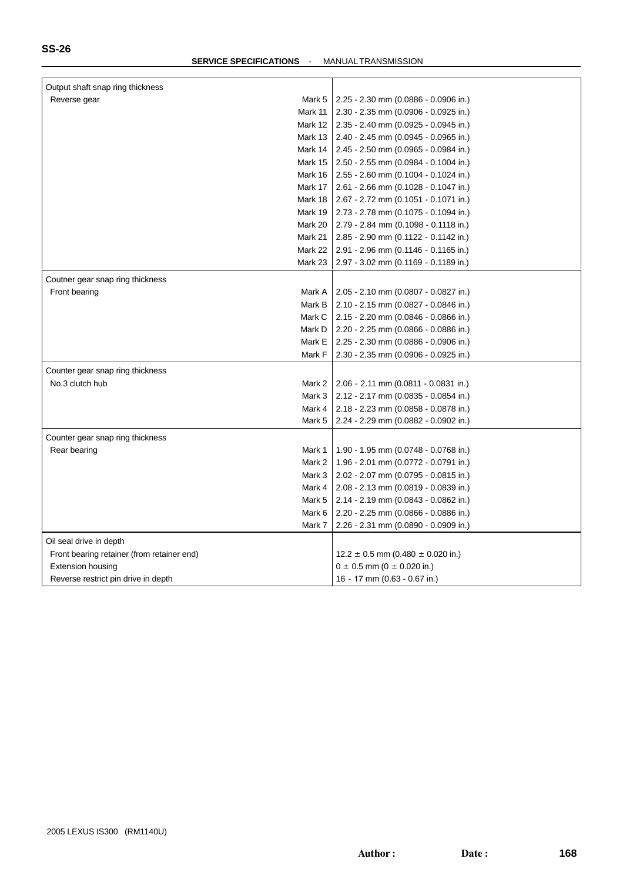| Output shaft snap ring thickness           |                                                  |
|--------------------------------------------|--------------------------------------------------|
| Reverse gear                               | Mark 5<br>$2.25 - 2.30$ mm (0.0886 - 0.0906 in.) |
| Mark 11                                    | $2.30 - 2.35$ mm (0.0906 - 0.0925 in.)           |
| Mark 12                                    | $2.35 - 2.40$ mm (0.0925 - 0.0945 in.)           |
| Mark 13                                    | 2.40 - 2.45 mm (0.0945 - 0.0965 in.)             |
| Mark 14                                    | $2.45 - 2.50$ mm (0.0965 - 0.0984 in.)           |
| Mark 15                                    | $2.50 - 2.55$ mm (0.0984 - 0.1004 in.)           |
| Mark 16                                    | 2.55 - 2.60 mm (0.1004 - 0.1024 in.)             |
| Mark 17                                    | 2.61 - 2.66 mm (0.1028 - 0.1047 in.)             |
| Mark 18                                    | 2.67 - 2.72 mm (0.1051 - 0.1071 in.)             |
| Mark 19                                    | 2.73 - 2.78 mm (0.1075 - 0.1094 in.)             |
| Mark 20                                    | $2.79 - 2.84$ mm (0.1098 - 0.1118 in.)           |
| Mark 21                                    | 2.85 - 2.90 mm (0.1122 - 0.1142 in.)             |
| Mark 22                                    | 2.91 - 2.96 mm (0.1146 - 0.1165 in.)             |
| Mark 23                                    | $2.97 - 3.02$ mm (0.1169 - 0.1189 in.)           |
| Coutner gear snap ring thickness           |                                                  |
| Front bearing                              | 2.05 - 2.10 mm (0.0807 - 0.0827 in.)<br>Mark A   |
|                                            | Mark B<br>$2.10 - 2.15$ mm (0.0827 - 0.0846 in.) |
|                                            | Mark C<br>2.15 - 2.20 mm (0.0846 - 0.0866 in.)   |
|                                            | Mark D<br>2.20 - 2.25 mm (0.0866 - 0.0886 in.)   |
|                                            | Mark E<br>2.25 - 2.30 mm (0.0886 - 0.0906 in.)   |
|                                            | Mark F<br>2.30 - 2.35 mm (0.0906 - 0.0925 in.)   |
|                                            |                                                  |
| Counter gear snap ring thickness           |                                                  |
| No.3 clutch hub                            | 2.06 - 2.11 mm (0.0811 - 0.0831 in.)<br>Mark 2   |
|                                            | Mark 3<br>$2.12 - 2.17$ mm (0.0835 - 0.0854 in.) |
|                                            | Mark 4<br>2.18 - 2.23 mm (0.0858 - 0.0878 in.)   |
|                                            | Mark 5<br>2.24 - 2.29 mm (0.0882 - 0.0902 in.)   |
| Counter gear snap ring thickness           |                                                  |
| Rear bearing                               | Mark 1<br>1.90 - 1.95 mm (0.0748 - 0.0768 in.)   |
|                                            | Mark 2<br>1.96 - 2.01 mm (0.0772 - 0.0791 in.)   |
|                                            | Mark 3<br>2.02 - 2.07 mm (0.0795 - 0.0815 in.)   |
|                                            | Mark 4<br>2.08 - 2.13 mm (0.0819 - 0.0839 in.)   |
|                                            | Mark 5<br>2.14 - 2.19 mm (0.0843 - 0.0862 in.)   |
|                                            | Mark 6<br>2.20 - 2.25 mm (0.0866 - 0.0886 in.)   |
|                                            | Mark 7<br>2.26 - 2.31 mm (0.0890 - 0.0909 in.)   |
|                                            |                                                  |
| Oil seal drive in depth                    |                                                  |
| Front bearing retainer (from retainer end) | $12.2 \pm 0.5$ mm (0.480 $\pm$ 0.020 in.)        |
| <b>Extension housing</b>                   | $0 \pm 0.5$ mm (0 $\pm$ 0.020 in.)               |
| Reverse restrict pin drive in depth        | 16 - 17 mm (0.63 - 0.67 in.)                     |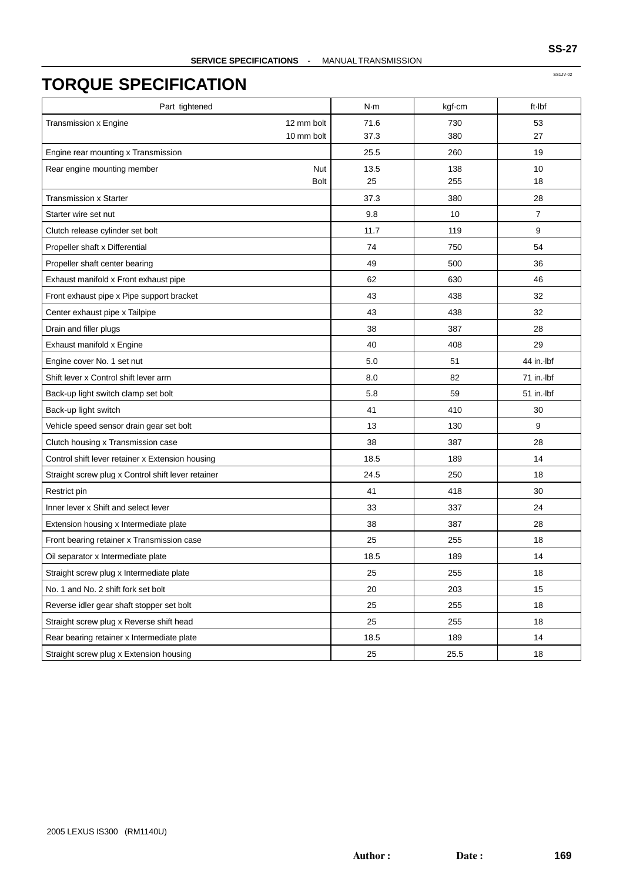| Part tightened                                     | N·m                | kgf-cm | ft-Ibf         |
|----------------------------------------------------|--------------------|--------|----------------|
| <b>Transmission x Engine</b><br>12 mm bolt         | 71.6               | 730    | 53             |
| 10 mm bolt                                         | 37.3               | 380    | 27             |
| Engine rear mounting x Transmission                | 25.5               | 260    | 19             |
| Rear engine mounting member                        | <b>Nut</b><br>13.5 | 138    | 10             |
|                                                    | 25<br><b>Bolt</b>  | 255    | 18             |
| <b>Transmission x Starter</b>                      | 37.3               | 380    | 28             |
| Starter wire set nut                               | 9.8                | 10     | $\overline{7}$ |
| Clutch release cylinder set bolt                   | 11.7               | 119    | 9              |
| Propeller shaft x Differential                     | 74                 | 750    | 54             |
| Propeller shaft center bearing                     | 49                 | 500    | 36             |
| Exhaust manifold x Front exhaust pipe              | 62                 | 630    | 46             |
| Front exhaust pipe x Pipe support bracket          | 43                 | 438    | 32             |
| Center exhaust pipe x Tailpipe                     | 43                 | 438    | 32             |
| Drain and filler plugs                             | 38                 | 387    | 28             |
| Exhaust manifold x Engine                          | 40                 | 408    | 29             |
| Engine cover No. 1 set nut                         | 5.0                | 51     | 44 in. Ibf     |
| Shift lever x Control shift lever arm              | 8.0                | 82     | 71 in. Ibf     |
| Back-up light switch clamp set bolt                | 5.8                | 59     | $51$ in. Ibf   |
| Back-up light switch                               | 41                 | 410    | 30             |
| Vehicle speed sensor drain gear set bolt           | 13                 | 130    | 9              |
| Clutch housing x Transmission case                 | 38                 | 387    | 28             |
| Control shift lever retainer x Extension housing   | 18.5               | 189    | 14             |
| Straight screw plug x Control shift lever retainer | 24.5               | 250    | 18             |
| Restrict pin                                       | 41                 | 418    | 30             |
| Inner lever x Shift and select lever               | 33                 | 337    | 24             |
| Extension housing x Intermediate plate             | 38                 | 387    | 28             |
| Front bearing retainer x Transmission case         | 25                 | 255    | 18             |
| Oil separator x Intermediate plate                 | 18.5               | 189    | 14             |
| Straight screw plug x Intermediate plate           | 25                 | 255    | 18             |
| No. 1 and No. 2 shift fork set bolt                | 20                 | 203    | 15             |
| Reverse idler gear shaft stopper set bolt          | 25                 | 255    | 18             |
| Straight screw plug x Reverse shift head           | 25                 | 255    | 18             |
| Rear bearing retainer x Intermediate plate         | 18.5               | 189    | 14             |
| Straight screw plug x Extension housing            | 25                 | 25.5   | 18             |

SS1JV-02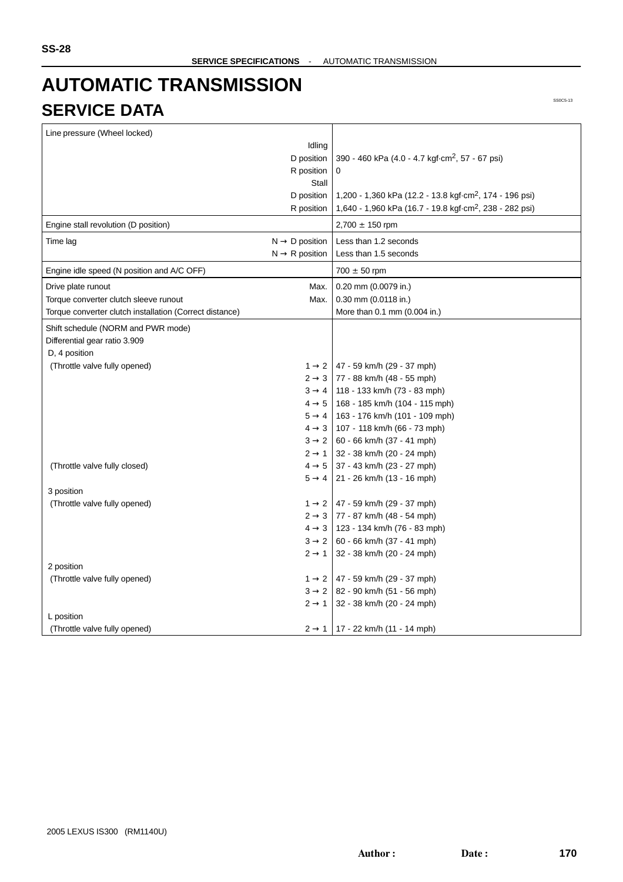# **AUTOMATIC TRANSMISSION SERVICE DATA**

| Line pressure (Wheel locked)                            |                            |                                                                     |
|---------------------------------------------------------|----------------------------|---------------------------------------------------------------------|
|                                                         | Idling                     |                                                                     |
|                                                         | D position                 | 390 - 460 kPa (4.0 - 4.7 kgf·cm <sup>2</sup> , 57 - 67 psi)         |
|                                                         | R position                 | 0                                                                   |
|                                                         | Stall                      |                                                                     |
|                                                         | D position                 | 1,200 - 1,360 kPa (12.2 - 13.8 kgf cm <sup>2</sup> , 174 - 196 psi) |
|                                                         | R position                 | 1,640 - 1,960 kPa (16.7 - 19.8 kgf·cm <sup>2</sup> , 238 - 282 psi) |
| Engine stall revolution (D position)                    |                            | $2,700 \pm 150$ rpm                                                 |
| Time lag                                                | $N \rightarrow D$ position | Less than 1.2 seconds                                               |
|                                                         | $N \rightarrow R$ position | Less than 1.5 seconds                                               |
| Engine idle speed (N position and A/C OFF)              |                            | $700 \pm 50$ rpm                                                    |
| Drive plate runout                                      | Max.                       | 0.20 mm (0.0079 in.)                                                |
| Torque converter clutch sleeve runout                   | Max.                       | $0.30$ mm $(0.0118$ in.)                                            |
| Torque converter clutch installation (Correct distance) |                            | More than 0.1 mm (0.004 in.)                                        |
| Shift schedule (NORM and PWR mode)                      |                            |                                                                     |
| Differential gear ratio 3.909                           |                            |                                                                     |
| D, 4 position                                           |                            |                                                                     |
| (Throttle valve fully opened)                           |                            | $1 \rightarrow 2$ 47 - 59 km/h (29 - 37 mph)                        |
|                                                         |                            | $2 \rightarrow 3$ 77 - 88 km/h (48 - 55 mph)                        |
|                                                         |                            | $3 \rightarrow 4$   118 - 133 km/h (73 - 83 mph)                    |
|                                                         | $4 \rightarrow 5$          | 168 - 185 km/h (104 - 115 mph)                                      |
|                                                         | $5 \rightarrow 4$          | 163 - 176 km/h (101 - 109 mph)                                      |
|                                                         | $4 \rightarrow 3$          | 107 - 118 km/h (66 - 73 mph)                                        |
|                                                         | $3 \rightarrow 2$          | 60 - 66 km/h (37 - 41 mph)                                          |
|                                                         | $2 \rightarrow 1$          | 32 - 38 km/h (20 - 24 mph)                                          |
| (Throttle valve fully closed)                           |                            | $4 \rightarrow 5$ 37 - 43 km/h (23 - 27 mph)                        |
|                                                         | $5 \rightarrow 4$          | 21 - 26 km/h (13 - 16 mph)                                          |
| 3 position                                              |                            |                                                                     |
| (Throttle valve fully opened)                           |                            | $1 \rightarrow 2$ 47 - 59 km/h (29 - 37 mph)                        |
|                                                         |                            | $2 \rightarrow 3$   77 - 87 km/h (48 - 54 mph)                      |
|                                                         |                            | $4 \rightarrow 3$   123 - 134 km/h (76 - 83 mph)                    |
|                                                         | $3 \rightarrow 2$          | 60 - 66 km/h (37 - 41 mph)                                          |
|                                                         | $2 \rightarrow 1$          | 32 - 38 km/h (20 - 24 mph)                                          |
| 2 position                                              |                            |                                                                     |
| (Throttle valve fully opened)                           |                            | $1 \rightarrow 2$ 47 - 59 km/h (29 - 37 mph)                        |
|                                                         |                            | $3 \rightarrow 2$ 82 - 90 km/h (51 - 56 mph)                        |
|                                                         | $2 \rightarrow 1$          | 32 - 38 km/h (20 - 24 mph)                                          |
| L position                                              |                            |                                                                     |
| (Throttle valve fully opened)                           |                            | $2 \rightarrow 1$   17 - 22 km/h (11 - 14 mph)                      |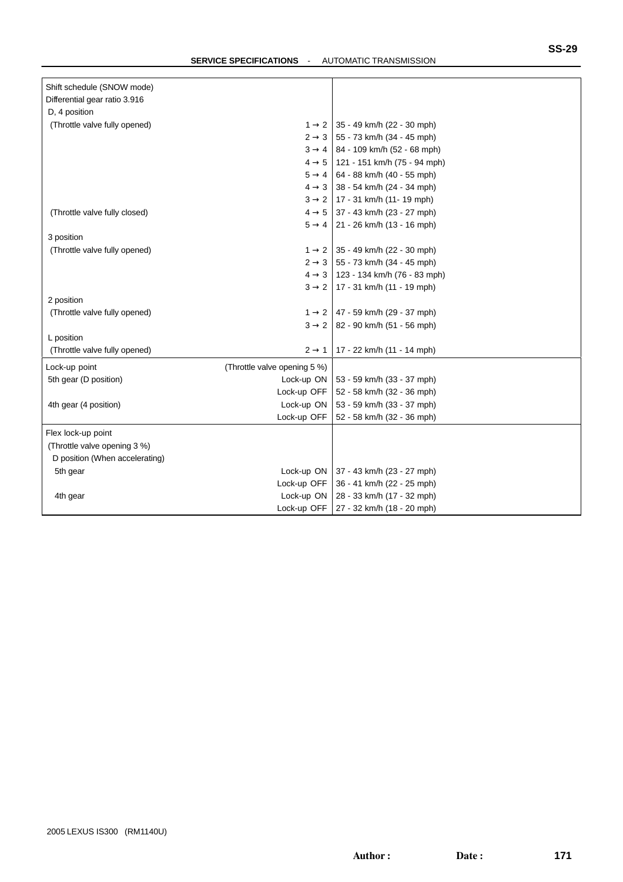| Shift schedule (SNOW mode)     |                              |                                                  |
|--------------------------------|------------------------------|--------------------------------------------------|
| Differential gear ratio 3.916  |                              |                                                  |
| D, 4 position                  |                              |                                                  |
| (Throttle valve fully opened)  |                              | $1 \rightarrow 2$ 35 - 49 km/h (22 - 30 mph)     |
|                                |                              | $2 \rightarrow 3$ 55 - 73 km/h (34 - 45 mph)     |
|                                |                              | $3 \rightarrow 4$   84 - 109 km/h (52 - 68 mph)  |
|                                |                              | $4 \rightarrow 5$   121 - 151 km/h (75 - 94 mph) |
|                                |                              | $5 \rightarrow 4$ 64 - 88 km/h (40 - 55 mph)     |
|                                |                              | $4 \rightarrow 3$ 38 - 54 km/h (24 - 34 mph)     |
|                                |                              | $3 \rightarrow 2$   17 - 31 km/h (11 - 19 mph)   |
| (Throttle valve fully closed)  |                              | $4 \rightarrow 5$ 37 - 43 km/h (23 - 27 mph)     |
|                                |                              | $5 \rightarrow 4$   21 - 26 km/h (13 - 16 mph)   |
| 3 position                     |                              |                                                  |
| (Throttle valve fully opened)  |                              | $1 \rightarrow 2$ 35 - 49 km/h (22 - 30 mph)     |
|                                |                              | $2 \rightarrow 3$ 55 - 73 km/h (34 - 45 mph)     |
|                                |                              | $4 \rightarrow 3$   123 - 134 km/h (76 - 83 mph) |
|                                |                              | $3 \rightarrow 2$   17 - 31 km/h (11 - 19 mph)   |
| 2 position                     |                              |                                                  |
| (Throttle valve fully opened)  |                              | $1 \rightarrow 2$   47 - 59 km/h (29 - 37 mph)   |
|                                |                              | $3 \rightarrow 2$   82 - 90 km/h (51 - 56 mph)   |
| L position                     |                              |                                                  |
| (Throttle valve fully opened)  | $2 \rightarrow 1$            | 17 - 22 km/h (11 - 14 mph)                       |
| Lock-up point                  | (Throttle valve opening 5 %) |                                                  |
| 5th gear (D position)          | Lock-up ON                   | 53 - 59 km/h (33 - 37 mph)                       |
|                                | Lock-up OFF                  | 52 - 58 km/h (32 - 36 mph)                       |
| 4th gear (4 position)          | Lock-up ON                   | 53 - 59 km/h (33 - 37 mph)                       |
|                                | Lock-up OFF                  | 52 - 58 km/h (32 - 36 mph)                       |
| Flex lock-up point             |                              |                                                  |
| (Throttle valve opening 3 %)   |                              |                                                  |
| D position (When accelerating) |                              |                                                  |
| 5th gear                       |                              | Lock-up ON   37 - 43 km/h (23 - 27 mph)          |
|                                | Lock-up OFF                  | 36 - 41 km/h (22 - 25 mph)                       |
| 4th gear                       | Lock-up ON                   | 28 - 33 km/h (17 - 32 mph)                       |
|                                | Lock-up OFF                  | 27 - 32 km/h (18 - 20 mph)                       |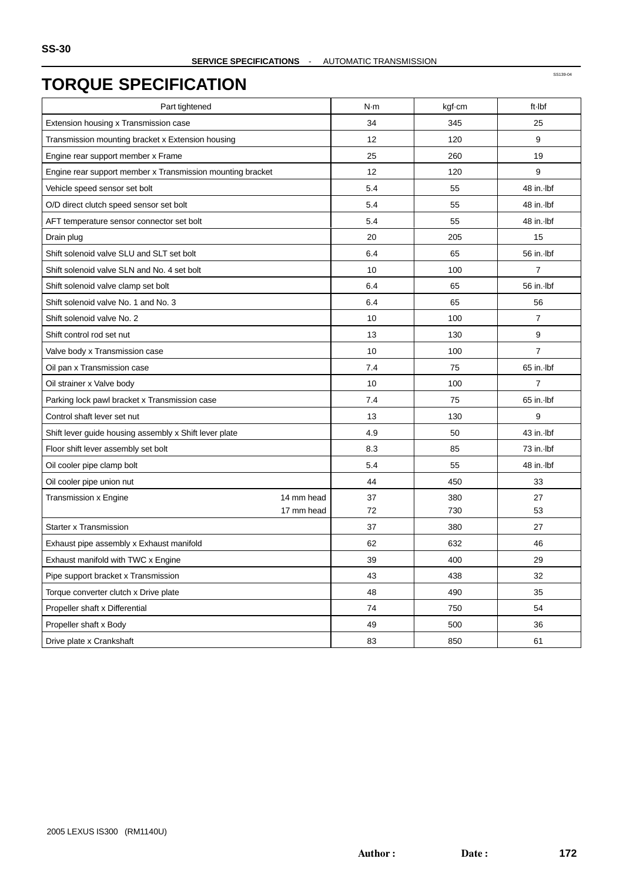| Part tightened                                             | N·m | kgf-cm | ft Ibf         |
|------------------------------------------------------------|-----|--------|----------------|
| Extension housing x Transmission case                      | 34  | 345    | 25             |
| Transmission mounting bracket x Extension housing          | 12  | 120    | 9              |
| Engine rear support member x Frame                         | 25  | 260    | 19             |
| Engine rear support member x Transmission mounting bracket | 12  | 120    | 9              |
| Vehicle speed sensor set bolt                              | 5.4 | 55     | 48 in. Ibf     |
| O/D direct clutch speed sensor set bolt                    | 5.4 | 55     | 48 in. Ibf     |
| AFT temperature sensor connector set bolt                  | 5.4 | 55     | 48 in. Ibf     |
| Drain plug                                                 | 20  | 205    | 15             |
| Shift solenoid valve SLU and SLT set bolt                  | 6.4 | 65     | 56 in. Ibf     |
| Shift solenoid valve SLN and No. 4 set bolt                | 10  | 100    | 7              |
| Shift solenoid valve clamp set bolt                        | 6.4 | 65     | 56 in. lbf     |
| Shift solenoid valve No. 1 and No. 3                       | 6.4 | 65     | 56             |
| Shift solenoid valve No. 2                                 | 10  | 100    | $\overline{7}$ |
| Shift control rod set nut                                  | 13  | 130    | 9              |
| Valve body x Transmission case                             | 10  | 100    | $\overline{7}$ |
| Oil pan x Transmission case                                | 7.4 | 75     | 65 in. Ibf     |
| Oil strainer x Valve body                                  | 10  | 100    | $\overline{7}$ |
| Parking lock pawl bracket x Transmission case              | 7.4 | 75     | 65 in. Ibf     |
| Control shaft lever set nut                                | 13  | 130    | 9              |
| Shift lever guide housing assembly x Shift lever plate     | 4.9 | 50     | 43 in. Ibf     |
| Floor shift lever assembly set bolt                        | 8.3 | 85     | 73 in. Ibf     |
| Oil cooler pipe clamp bolt                                 | 5.4 | 55     | 48 in. Ibf     |
| Oil cooler pipe union nut                                  | 44  | 450    | 33             |
| 14 mm head<br>Transmission x Engine                        | 37  | 380    | 27             |
| 17 mm head                                                 | 72  | 730    | 53             |
| <b>Starter x Transmission</b>                              | 37  | 380    | 27             |
| Exhaust pipe assembly x Exhaust manifold                   | 62  | 632    | 46             |
| Exhaust manifold with TWC x Engine                         | 39  | 400    | 29             |
| Pipe support bracket x Transmission                        | 43  | 438    | 32             |
| Torque converter clutch x Drive plate                      | 48  | 490    | 35             |
| Propeller shaft x Differential                             | 74  | 750    | 54             |
| Propeller shaft x Body                                     | 49  | 500    | 36             |
| Drive plate x Crankshaft                                   | 83  | 850    | 61             |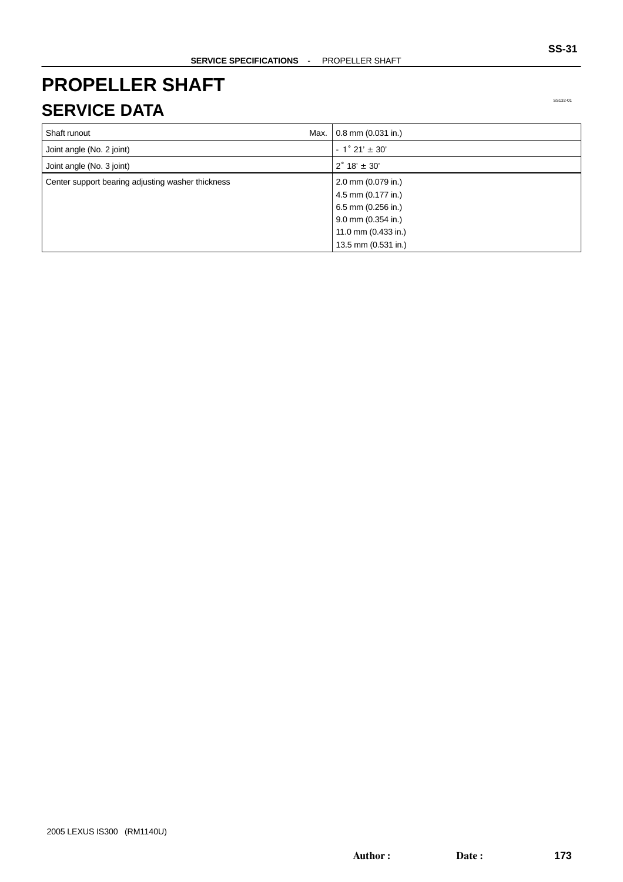## **PROPELLER SHAFT SERVICE DATA**

| Max.<br>Shaft runout                              | $0.8$ mm $(0.031$ in.)    |
|---------------------------------------------------|---------------------------|
| Joint angle (No. 2 joint)                         | $-1^{\circ} 21' \pm 30'$  |
| Joint angle (No. 3 joint)                         | $2^{\circ}$ 18' $\pm$ 30' |
| Center support bearing adjusting washer thickness | 2.0 mm (0.079 in.)        |
|                                                   | 4.5 mm (0.177 in.)        |
|                                                   | 6.5 mm (0.256 in.)        |
|                                                   | 9.0 mm (0.354 in.)        |
|                                                   | 11.0 mm (0.433 in.)       |
|                                                   | 13.5 mm (0.531 in.)       |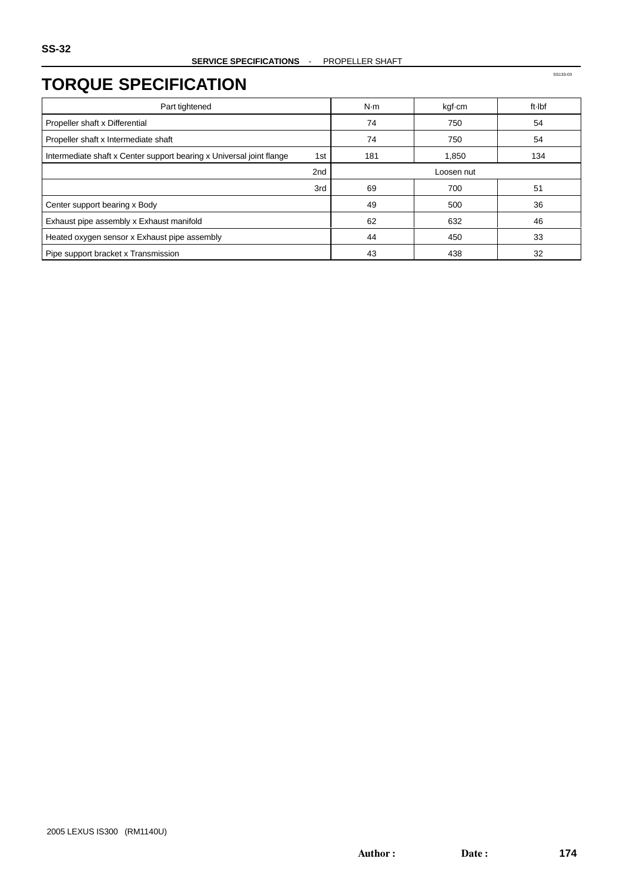| Part tightened                                                              | N·m | kgf-cm     | ft Ibf |
|-----------------------------------------------------------------------------|-----|------------|--------|
| Propeller shaft x Differential                                              | 74  | 750        | 54     |
| Propeller shaft x Intermediate shaft                                        | 74  | 750        | 54     |
| Intermediate shaft x Center support bearing x Universal joint flange<br>1st | 181 | 1,850      | 134    |
| 2nd                                                                         |     | Loosen nut |        |
| 3rd                                                                         | 69  | 700        | 51     |
| Center support bearing x Body                                               | 49  | 500        | 36     |
| Exhaust pipe assembly x Exhaust manifold                                    | 62  | 632        | 46     |
| Heated oxygen sensor x Exhaust pipe assembly                                | 44  | 450        | 33     |
| Pipe support bracket x Transmission                                         | 43  | 438        | 32     |

SS133-03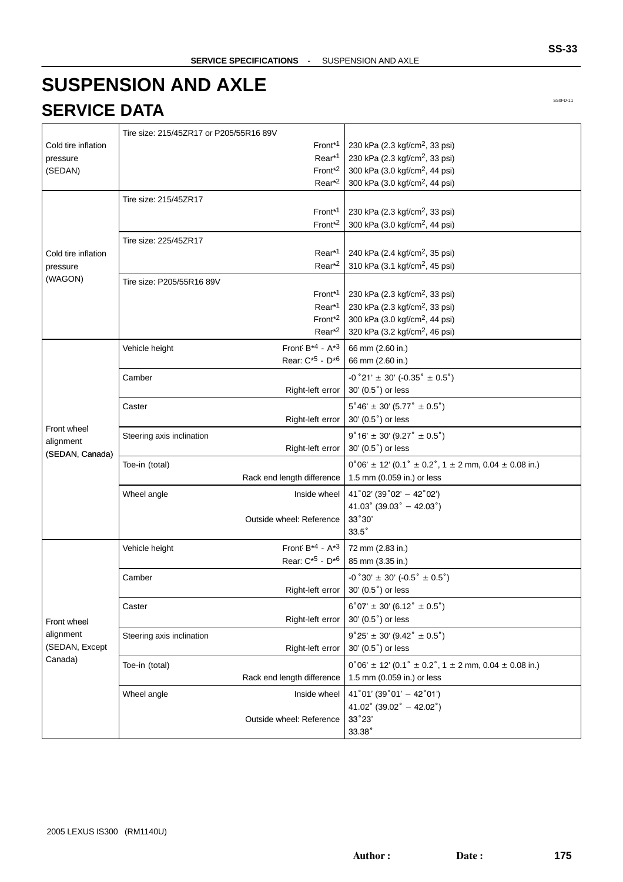# **SUSPENSION AND AXLE SERVICE DATA**

|                     | Tire size: 215/45ZR17 or P205/55R16 89V |                                         |                                                                                      |
|---------------------|-----------------------------------------|-----------------------------------------|--------------------------------------------------------------------------------------|
| Cold tire inflation |                                         | Front <sup>*1</sup>                     | 230 kPa (2.3 kgf/cm <sup>2</sup> , 33 psi)                                           |
| pressure            |                                         | Rear <sup>*1</sup>                      | 230 kPa (2.3 kgf/cm <sup>2</sup> , 33 psi)                                           |
| (SEDAN)             |                                         | Front <sup>*2</sup>                     | 300 kPa (3.0 kgf/cm <sup>2</sup> , 44 psi)                                           |
|                     |                                         | Rear <sup>*2</sup>                      | 300 kPa (3.0 kgf/cm <sup>2</sup> , 44 psi)                                           |
|                     | Tire size: 215/45ZR17                   |                                         |                                                                                      |
|                     |                                         | Front <sup>*1</sup>                     | 230 kPa (2.3 kgf/cm <sup>2</sup> , 33 psi)                                           |
|                     |                                         | Front <sup>*2</sup>                     | 300 kPa (3.0 kgf/cm <sup>2</sup> , 44 psi)                                           |
|                     | Tire size: 225/45ZR17                   |                                         |                                                                                      |
| Cold tire inflation |                                         | Rear <sup>*1</sup>                      | 240 kPa (2.4 kgf/cm <sup>2</sup> , 35 psi)                                           |
| pressure            |                                         | Rear <sup>*2</sup>                      | 310 kPa (3.1 kgf/cm <sup>2</sup> , 45 psi)                                           |
| (WAGON)             | Tire size: P205/55R16 89V               |                                         |                                                                                      |
|                     |                                         | Front <sup>*1</sup>                     | 230 kPa (2.3 kgf/cm <sup>2</sup> , 33 psi)                                           |
|                     |                                         | Rear <sup>*1</sup>                      | 230 kPa (2.3 kgf/cm <sup>2</sup> , 33 psi)                                           |
|                     |                                         | Front <sup>*2</sup>                     | 300 kPa (3.0 kgf/cm <sup>2</sup> , 44 psi)                                           |
|                     |                                         | Rear <sup>*2</sup>                      | 320 kPa (3.2 kgf/cm <sup>2</sup> , 46 psi)                                           |
|                     | Vehicle height                          | Front $B^{*4}$ - $A^{*3}$               | 66 mm (2.60 in.)                                                                     |
|                     |                                         | Rear: C <sup>*5</sup> - D <sup>*6</sup> | 66 mm (2.60 in.)                                                                     |
|                     | Camber                                  |                                         | $-0°21' \pm 30' (-0.35° \pm 0.5°)$                                                   |
|                     |                                         | Right-left error                        | 30' (0.5°) or less                                                                   |
|                     | Caster                                  |                                         | $5^{\circ}46' \pm 30' (5.77^{\circ} \pm 0.5^{\circ})$                                |
|                     |                                         | Right-left error                        | 30' (0.5°) or less                                                                   |
| Front wheel         | Steering axis inclination               |                                         | $9°16' \pm 30' (9.27° \pm 0.5°)$                                                     |
| alignment           |                                         | Right-left error                        | 30' (0.5°) or less                                                                   |
| (SEDAN, Canada)     |                                         |                                         | $0^{\circ}06' \pm 12'$ (0.1° $\pm$ 0.2°, 1 $\pm$ 2 mm, 0.04 $\pm$ 0.08 in.)          |
|                     | Toe-in (total)                          | Rack end length difference              | 1.5 mm (0.059 in.) or less                                                           |
|                     |                                         |                                         |                                                                                      |
|                     | Wheel angle                             | Inside wheel                            | $41^{\circ}$ 02' (39 $^{\circ}$ 02' - 42 $^{\circ}$ 02')<br>41.03° (39.03° - 42.03°) |
|                     |                                         | Outside wheel: Reference                | 33°30'                                                                               |
|                     |                                         |                                         | $33.5^\circ$                                                                         |
|                     |                                         | Front $B^{*4}$ - $A^{*3}$               |                                                                                      |
|                     | Vehicle height                          | Rear: C <sup>*5</sup> - D <sup>*6</sup> | 72 mm (2.83 in.)<br>85 mm (3.35 in.)                                                 |
|                     |                                         |                                         |                                                                                      |
|                     | Camber                                  |                                         | $-0°30' \pm 30' (-0.5° \pm 0.5°)$                                                    |
|                     |                                         |                                         | Right-left error 30' (0.5°) or less                                                  |
|                     | Caster                                  |                                         | $6°07' \pm 30' (6.12° \pm 0.5°)$                                                     |
| Front wheel         |                                         | Right-left error                        | 30' (0.5°) or less                                                                   |
| alignment           | Steering axis inclination               |                                         | $9°25' \pm 30' (9.42° \pm 0.5°)$                                                     |
| (SEDAN, Except      |                                         | Right-left error                        | 30' (0.5°) or less                                                                   |
| Canada)             | Toe-in (total)                          |                                         | $0^{\circ}06' \pm 12'$ (0.1° $\pm$ 0.2°, 1 $\pm$ 2 mm, 0.04 $\pm$ 0.08 in.)          |
|                     |                                         | Rack end length difference              | 1.5 mm (0.059 in.) or less                                                           |
|                     | Wheel angle                             | Inside wheel                            | $41°01'$ (39°01' - 42°01')                                                           |
|                     |                                         |                                         | 41.02° (39.02° - 42.02°)                                                             |
|                     |                                         | Outside wheel: Reference                | 33°23'                                                                               |
|                     |                                         |                                         | 33.38°                                                                               |

SS0FD-11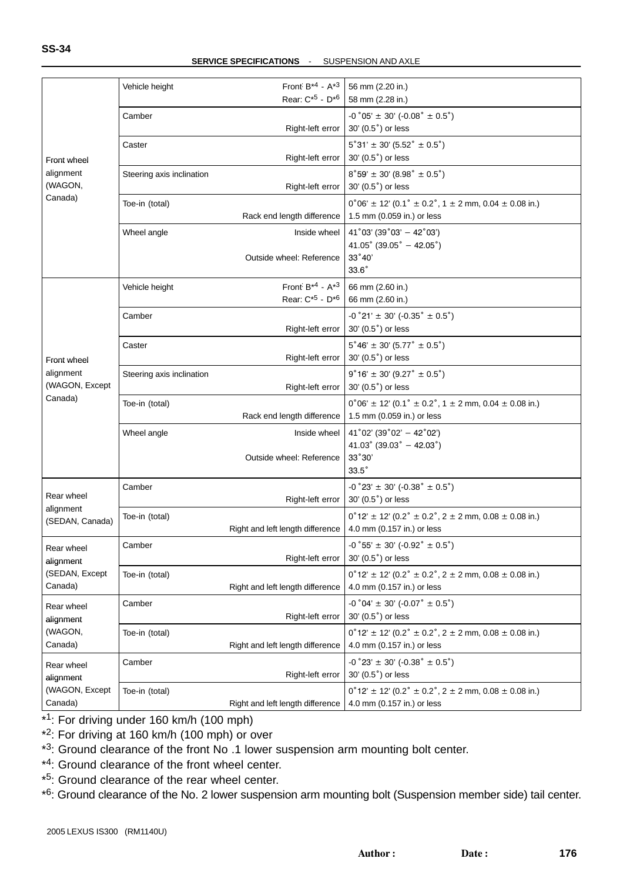|                 | Vehicle height            | Front $B^{*4}$ - $A^{*3}$<br>Rear: C <sup>*5</sup> - D <sup>*6</sup> | 56 mm (2.20 in.)<br>58 mm (2.28 in.)                                        |
|-----------------|---------------------------|----------------------------------------------------------------------|-----------------------------------------------------------------------------|
|                 |                           |                                                                      |                                                                             |
|                 | Camber                    |                                                                      | $-0°05' \pm 30' (-0.08° \pm 0.5°)$                                          |
|                 |                           | Right-left error                                                     | 30' (0.5°) or less                                                          |
|                 | Caster                    |                                                                      | $5°31' \pm 30' (5.52° \pm 0.5°)$                                            |
| Front wheel     |                           | Right-left error                                                     | 30' (0.5 <sup>°</sup> ) or less                                             |
| alignment       | Steering axis inclination |                                                                      | $8°59' \pm 30' (8.98° \pm 0.5°)$                                            |
| (WAGON,         |                           | Right-left error                                                     | 30' (0.5°) or less                                                          |
| Canada)         | Toe-in (total)            |                                                                      | $0^{\circ}06' \pm 12'$ (0.1° $\pm$ 0.2°, 1 $\pm$ 2 mm, 0.04 $\pm$ 0.08 in.) |
|                 |                           | Rack end length difference                                           | 1.5 mm (0.059 in.) or less                                                  |
|                 |                           |                                                                      |                                                                             |
|                 | Wheel angle               | Inside wheel                                                         | $41°03'$ (39°03' - 42°03')<br>41.05° (39.05° - 42.05°)                      |
|                 |                           | Outside wheel: Reference                                             | 33°40'                                                                      |
|                 |                           |                                                                      | $33.6^\circ$                                                                |
|                 |                           | Front $B^{*4}$ - $A^{*3}$                                            |                                                                             |
|                 | Vehicle height            | Rear: C <sup>*5</sup> - D <sup>*6</sup>                              | 66 mm (2.60 in.)<br>66 mm (2.60 in.)                                        |
|                 |                           |                                                                      |                                                                             |
|                 | Camber                    |                                                                      | $-0°21' \pm 30' (-0.35° \pm 0.5°)$                                          |
|                 |                           | Right-left error                                                     | 30' (0.5°) or less                                                          |
|                 | Caster                    |                                                                      | $5^{\circ}46' \pm 30' (5.77^{\circ} \pm 0.5^{\circ})$                       |
| Front wheel     |                           | Right-left error                                                     | 30' (0.5°) or less                                                          |
| alignment       | Steering axis inclination |                                                                      | $9°16' \pm 30' (9.27° \pm 0.5°)$                                            |
| (WAGON, Except  |                           | Right-left error                                                     | 30' (0.5°) or less                                                          |
| Canada)         | Toe-in (total)            |                                                                      | $0^{\circ}06' \pm 12'$ (0.1° $\pm$ 0.2°, 1 $\pm$ 2 mm, 0.04 $\pm$ 0.08 in.) |
|                 |                           | Rack end length difference                                           | 1.5 mm (0.059 in.) or less                                                  |
|                 | Wheel angle               | Inside wheel                                                         | $41^{\circ}02'$ (39 $^{\circ}02' - 42^{\circ}02'$ )                         |
|                 |                           |                                                                      | $41.03^{\circ}$ (39.03 $^{\circ}$ - 42.03 $^{\circ}$ )                      |
|                 |                           | Outside wheel: Reference                                             | 33°30'                                                                      |
|                 |                           |                                                                      | $33.5^\circ$                                                                |
|                 | Camber                    |                                                                      | $-0°23' \pm 30' (-0.38° \pm 0.5°)$                                          |
| Rear wheel      |                           | Right-left error                                                     | 30' (0.5°) or less                                                          |
| alignment       | Toe-in (total)            |                                                                      | $0°12' \pm 12'$ (0.2° $\pm$ 0.2°, 2 $\pm$ 2 mm, 0.08 $\pm$ 0.08 in.)        |
| (SEDAN, Canada) |                           | Right and left length difference                                     | 4.0 mm (0.157 in.) or less                                                  |
|                 |                           |                                                                      |                                                                             |
| Rear wheel      | Camber                    |                                                                      | $-0°55' \pm 30' (-0.92° \pm 0.5°)$<br>30' (0.5°) or less                    |
| alignment       |                           | Right-left error                                                     |                                                                             |
| (SEDAN, Except  | Toe-in (total)            |                                                                      | $0°12' \pm 12'$ (0.2° $\pm$ 0.2°, 2 $\pm$ 2 mm, 0.08 $\pm$ 0.08 in.)        |
| Canada)         |                           | Right and left length difference                                     | 4.0 mm (0.157 in.) or less                                                  |
| Rear wheel      | Camber                    |                                                                      | $-0°04' \pm 30' (-0.07° \pm 0.5°)$                                          |
| alignment       |                           | Right-left error                                                     | 30' (0.5°) or less                                                          |
| (WAGON,         | Toe-in (total)            |                                                                      | $0^{\circ}12' \pm 12'$ (0.2° $\pm$ 0.2°, 2 $\pm$ 2 mm, 0.08 $\pm$ 0.08 in.) |
| Canada)         |                           | Right and left length difference                                     | 4.0 mm (0.157 in.) or less                                                  |
| Rear wheel      | Camber                    |                                                                      | $-0°23' \pm 30' (-0.38° \pm 0.5°)$                                          |
| alignment       |                           | Right-left error                                                     | 30' (0.5°) or less                                                          |
| (WAGON, Except  | Toe-in (total)            |                                                                      | $0^{\circ}12' \pm 12'$ (0.2° $\pm$ 0.2°, 2 $\pm$ 2 mm, 0.08 $\pm$ 0.08 in.) |
| Canada)         |                           | Right and left length difference                                     | 4.0 mm (0.157 in.) or less                                                  |
|                 |                           |                                                                      |                                                                             |

\*1: For driving under 160 km/h (100 mph)

- \*2: For driving at 160 km/h (100 mph) or over
- \*3: Ground clearance of the front No .1 lower suspension arm mounting bolt center.
- \*4: Ground clearance of the front wheel center.
- \*5: Ground clearance of the rear wheel center.

\*6: Ground clearance of the No. 2 lower suspension arm mounting bolt (Suspension member side) tail center.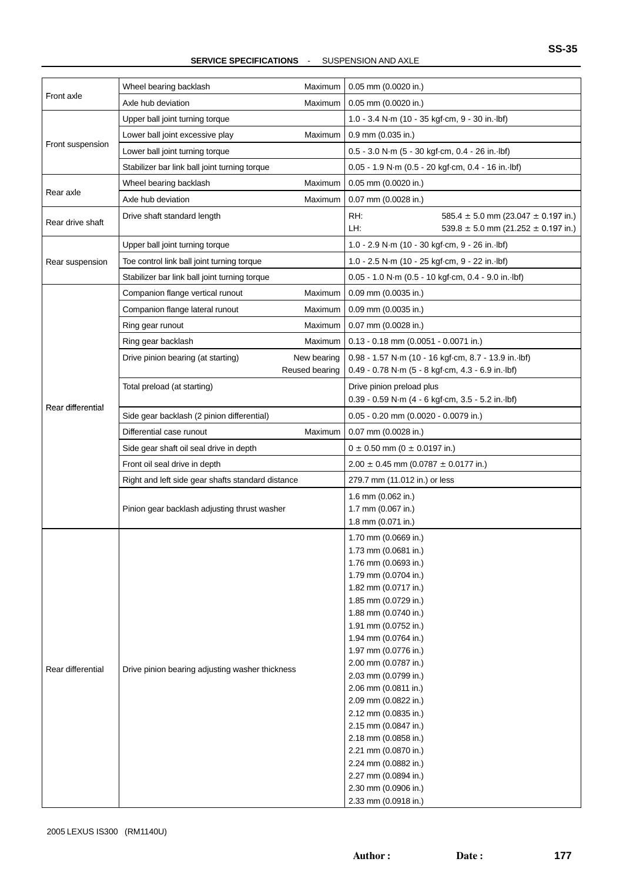|                   | Wheel bearing backlash<br>Maximum                                   | 0.05 mm (0.0020 in.)                                                                                      |  |
|-------------------|---------------------------------------------------------------------|-----------------------------------------------------------------------------------------------------------|--|
| Front axle        | Axle hub deviation<br>Maximum                                       | $0.05$ mm $(0.0020$ in.)                                                                                  |  |
|                   | Upper ball joint turning torque                                     | 1.0 - 3.4 N·m (10 - 35 kgf·cm, 9 - 30 in. lbf)                                                            |  |
| Front suspension  | Maximum<br>Lower ball joint excessive play                          | 0.9 mm (0.035 in.)                                                                                        |  |
|                   | Lower ball joint turning torque                                     | 0.5 - 3.0 N·m (5 - 30 kgf·cm, 0.4 - 26 in. lbf)                                                           |  |
|                   | Stabilizer bar link ball joint turning torque                       | 0.05 - 1.9 N·m (0.5 - 20 kgf·cm, 0.4 - 16 in. lbf)                                                        |  |
|                   | Wheel bearing backlash<br>Maximum                                   | 0.05 mm (0.0020 in.)                                                                                      |  |
| Rear axle         | Axle hub deviation<br>Maximum                                       | 0.07 mm (0.0028 in.)                                                                                      |  |
| Rear drive shaft  | Drive shaft standard length                                         | RH:<br>585.4 $\pm$ 5.0 mm (23.047 $\pm$ 0.197 in.)<br>LH:<br>$539.8 \pm 5.0$ mm (21.252 $\pm$ 0.197 in.)  |  |
|                   | Upper ball joint turning torque                                     | 1.0 - 2.9 N·m (10 - 30 kgf·cm, 9 - 26 in. lbf)                                                            |  |
| Rear suspension   | Toe control link ball joint turning torque                          | 1.0 - 2.5 N·m (10 - 25 kgf·cm, 9 - 22 in. lbf)                                                            |  |
|                   | Stabilizer bar link ball joint turning torque                       | 0.05 - 1.0 N·m (0.5 - 10 kgf·cm, 0.4 - 9.0 in. lbf)                                                       |  |
|                   | Companion flange vertical runout<br>Maximum                         | 0.09 mm (0.0035 in.)                                                                                      |  |
|                   | Companion flange lateral runout<br>Maximum                          | 0.09 mm (0.0035 in.)                                                                                      |  |
|                   | Ring gear runout<br>Maximum                                         | $0.07$ mm $(0.0028$ in.)                                                                                  |  |
|                   | Ring gear backlash<br>Maximum                                       | $0.13 - 0.18$ mm (0.0051 - 0.0071 in.)                                                                    |  |
|                   | New bearing<br>Drive pinion bearing (at starting)<br>Reused bearing | 0.98 - 1.57 N·m (10 - 16 kgf·cm, 8.7 - 13.9 in. lbf)<br>0.49 - 0.78 N·m (5 - 8 kgf·cm, 4.3 - 6.9 in. lbf) |  |
|                   | Total preload (at starting)                                         | Drive pinion preload plus                                                                                 |  |
| Rear differential |                                                                     | 0.39 - 0.59 N·m (4 - 6 kgf·cm, 3.5 - 5.2 in. lbf)                                                         |  |
|                   | Side gear backlash (2 pinion differential)                          | 0.05 - 0.20 mm (0.0020 - 0.0079 in.)                                                                      |  |
|                   | Differential case runout<br>Maximum                                 | 0.07 mm (0.0028 in.)                                                                                      |  |
|                   | Side gear shaft oil seal drive in depth                             | $0 \pm 0.50$ mm (0 $\pm$ 0.0197 in.)                                                                      |  |
|                   | Front oil seal drive in depth                                       | $2.00 \pm 0.45$ mm (0.0787 $\pm$ 0.0177 in.)                                                              |  |
|                   | Right and left side gear shafts standard distance                   | 279.7 mm (11.012 in.) or less                                                                             |  |
|                   |                                                                     | 1.6 mm (0.062 in.)                                                                                        |  |
|                   | Pinion gear backlash adjusting thrust washer                        | 1.7 mm (0.067 in.)                                                                                        |  |
|                   |                                                                     | 1.8 mm (0.071 in.)                                                                                        |  |
|                   |                                                                     | 1.70 mm (0.0669 in.)                                                                                      |  |
|                   |                                                                     | 1.73 mm (0.0681 in.)<br>1.76 mm (0.0693 in.)                                                              |  |
|                   |                                                                     | 1.79 mm (0.0704 in.)                                                                                      |  |
|                   |                                                                     | 1.82 mm (0.0717 in.)                                                                                      |  |
|                   |                                                                     | 1.85 mm (0.0729 in.)                                                                                      |  |
|                   |                                                                     | 1.88 mm (0.0740 in.)                                                                                      |  |
|                   |                                                                     | 1.91 mm (0.0752 in.)                                                                                      |  |
|                   |                                                                     | 1.94 mm (0.0764 in.)                                                                                      |  |
|                   |                                                                     | 1.97 mm (0.0776 in.)                                                                                      |  |
| Rear differential | Drive pinion bearing adjusting washer thickness                     | 2.00 mm (0.0787 in.)                                                                                      |  |
|                   |                                                                     | 2.03 mm (0.0799 in.)                                                                                      |  |
|                   |                                                                     | 2.06 mm (0.0811 in.)                                                                                      |  |
|                   |                                                                     | 2.09 mm (0.0822 in.)                                                                                      |  |
|                   |                                                                     | 2.12 mm (0.0835 in.)                                                                                      |  |
|                   |                                                                     | 2.15 mm (0.0847 in.)                                                                                      |  |
|                   |                                                                     | 2.18 mm (0.0858 in.)                                                                                      |  |
|                   |                                                                     | 2.21 mm (0.0870 in.)<br>2.24 mm (0.0882 in.)                                                              |  |
|                   |                                                                     |                                                                                                           |  |
|                   |                                                                     | 2.27 mm (0.0894 in.)<br>2.30 mm (0.0906 in.)                                                              |  |
|                   |                                                                     | 2.33 mm (0.0918 in.)                                                                                      |  |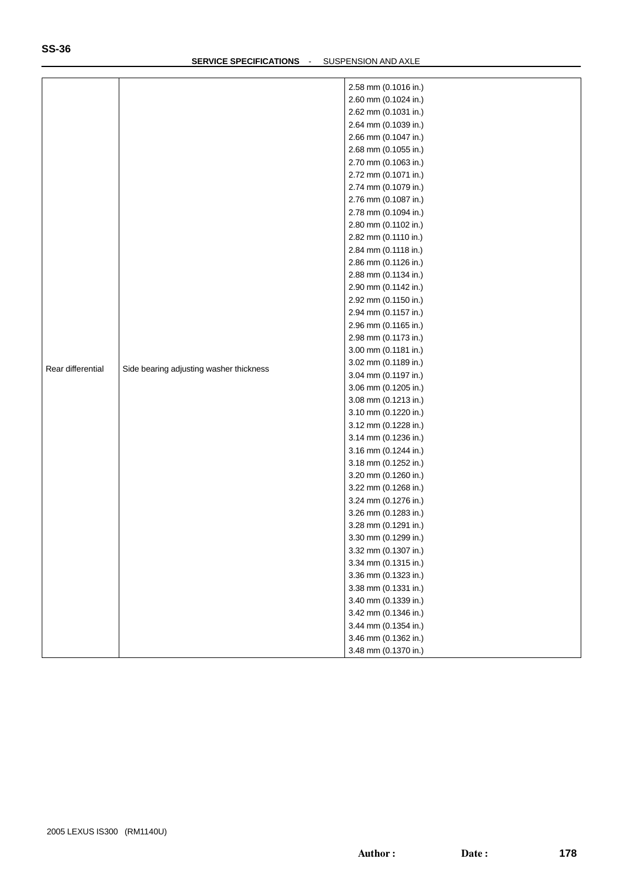| 2.58 mm (0.1016 in.)<br>2.60 mm (0.1024 in.)<br>2.62 mm (0.1031 in.)<br>2.64 mm (0.1039 in.)<br>2.66 mm (0.1047 in.)<br>2.68 mm (0.1055 in.)<br>2.70 mm (0.1063 in.)<br>2.72 mm (0.1071 in.)<br>2.74 mm (0.1079 in.)<br>2.76 mm (0.1087 in.)<br>2.78 mm (0.1094 in.)<br>2.80 mm (0.1102 in.)<br>2.82 mm (0.1110 in.)<br>2.84 mm (0.1118 in.)<br>2.86 mm (0.1126 in.)<br>2.88 mm (0.1134 in.)<br>2.90 mm (0.1142 in.)<br>2.92 mm (0.1150 in.)<br>2.94 mm (0.1157 in.)<br>2.96 mm (0.1165 in.)<br>2.98 mm (0.1173 in.)<br>3.00 mm (0.1181 in.)<br>3.02 mm (0.1189 in.)<br>Rear differential<br>Side bearing adjusting washer thickness<br>3.04 mm (0.1197 in.)<br>3.06 mm (0.1205 in.)<br>3.08 mm (0.1213 in.)<br>3.10 mm (0.1220 in.)<br>3.12 mm (0.1228 in.)<br>3.14 mm (0.1236 in.)<br>3.16 mm (0.1244 in.)<br>3.18 mm (0.1252 in.)<br>3.20 mm (0.1260 in.)<br>3.22 mm (0.1268 in.)<br>3.24 mm (0.1276 in.)<br>3.26 mm (0.1283 in.)<br>3.28 mm (0.1291 in.)<br>3.30 mm (0.1299 in.)<br>3.32 mm (0.1307 in.)<br>3.34 mm (0.1315 in.)<br>3.36 mm (0.1323 in.)<br>3.38 mm (0.1331 in.)<br>3.40 mm (0.1339 in.)<br>3.42 mm (0.1346 in.)<br>3.44 mm (0.1354 in.)<br>3.46 mm (0.1362 in.) |  |  |                      |
|--------------------------------------------------------------------------------------------------------------------------------------------------------------------------------------------------------------------------------------------------------------------------------------------------------------------------------------------------------------------------------------------------------------------------------------------------------------------------------------------------------------------------------------------------------------------------------------------------------------------------------------------------------------------------------------------------------------------------------------------------------------------------------------------------------------------------------------------------------------------------------------------------------------------------------------------------------------------------------------------------------------------------------------------------------------------------------------------------------------------------------------------------------------------------------------|--|--|----------------------|
|                                                                                                                                                                                                                                                                                                                                                                                                                                                                                                                                                                                                                                                                                                                                                                                                                                                                                                                                                                                                                                                                                                                                                                                      |  |  |                      |
|                                                                                                                                                                                                                                                                                                                                                                                                                                                                                                                                                                                                                                                                                                                                                                                                                                                                                                                                                                                                                                                                                                                                                                                      |  |  |                      |
|                                                                                                                                                                                                                                                                                                                                                                                                                                                                                                                                                                                                                                                                                                                                                                                                                                                                                                                                                                                                                                                                                                                                                                                      |  |  |                      |
|                                                                                                                                                                                                                                                                                                                                                                                                                                                                                                                                                                                                                                                                                                                                                                                                                                                                                                                                                                                                                                                                                                                                                                                      |  |  |                      |
|                                                                                                                                                                                                                                                                                                                                                                                                                                                                                                                                                                                                                                                                                                                                                                                                                                                                                                                                                                                                                                                                                                                                                                                      |  |  |                      |
|                                                                                                                                                                                                                                                                                                                                                                                                                                                                                                                                                                                                                                                                                                                                                                                                                                                                                                                                                                                                                                                                                                                                                                                      |  |  |                      |
|                                                                                                                                                                                                                                                                                                                                                                                                                                                                                                                                                                                                                                                                                                                                                                                                                                                                                                                                                                                                                                                                                                                                                                                      |  |  |                      |
|                                                                                                                                                                                                                                                                                                                                                                                                                                                                                                                                                                                                                                                                                                                                                                                                                                                                                                                                                                                                                                                                                                                                                                                      |  |  |                      |
|                                                                                                                                                                                                                                                                                                                                                                                                                                                                                                                                                                                                                                                                                                                                                                                                                                                                                                                                                                                                                                                                                                                                                                                      |  |  |                      |
|                                                                                                                                                                                                                                                                                                                                                                                                                                                                                                                                                                                                                                                                                                                                                                                                                                                                                                                                                                                                                                                                                                                                                                                      |  |  |                      |
|                                                                                                                                                                                                                                                                                                                                                                                                                                                                                                                                                                                                                                                                                                                                                                                                                                                                                                                                                                                                                                                                                                                                                                                      |  |  |                      |
|                                                                                                                                                                                                                                                                                                                                                                                                                                                                                                                                                                                                                                                                                                                                                                                                                                                                                                                                                                                                                                                                                                                                                                                      |  |  |                      |
|                                                                                                                                                                                                                                                                                                                                                                                                                                                                                                                                                                                                                                                                                                                                                                                                                                                                                                                                                                                                                                                                                                                                                                                      |  |  |                      |
|                                                                                                                                                                                                                                                                                                                                                                                                                                                                                                                                                                                                                                                                                                                                                                                                                                                                                                                                                                                                                                                                                                                                                                                      |  |  |                      |
|                                                                                                                                                                                                                                                                                                                                                                                                                                                                                                                                                                                                                                                                                                                                                                                                                                                                                                                                                                                                                                                                                                                                                                                      |  |  |                      |
|                                                                                                                                                                                                                                                                                                                                                                                                                                                                                                                                                                                                                                                                                                                                                                                                                                                                                                                                                                                                                                                                                                                                                                                      |  |  |                      |
|                                                                                                                                                                                                                                                                                                                                                                                                                                                                                                                                                                                                                                                                                                                                                                                                                                                                                                                                                                                                                                                                                                                                                                                      |  |  |                      |
|                                                                                                                                                                                                                                                                                                                                                                                                                                                                                                                                                                                                                                                                                                                                                                                                                                                                                                                                                                                                                                                                                                                                                                                      |  |  |                      |
|                                                                                                                                                                                                                                                                                                                                                                                                                                                                                                                                                                                                                                                                                                                                                                                                                                                                                                                                                                                                                                                                                                                                                                                      |  |  |                      |
|                                                                                                                                                                                                                                                                                                                                                                                                                                                                                                                                                                                                                                                                                                                                                                                                                                                                                                                                                                                                                                                                                                                                                                                      |  |  |                      |
|                                                                                                                                                                                                                                                                                                                                                                                                                                                                                                                                                                                                                                                                                                                                                                                                                                                                                                                                                                                                                                                                                                                                                                                      |  |  |                      |
|                                                                                                                                                                                                                                                                                                                                                                                                                                                                                                                                                                                                                                                                                                                                                                                                                                                                                                                                                                                                                                                                                                                                                                                      |  |  |                      |
|                                                                                                                                                                                                                                                                                                                                                                                                                                                                                                                                                                                                                                                                                                                                                                                                                                                                                                                                                                                                                                                                                                                                                                                      |  |  |                      |
|                                                                                                                                                                                                                                                                                                                                                                                                                                                                                                                                                                                                                                                                                                                                                                                                                                                                                                                                                                                                                                                                                                                                                                                      |  |  |                      |
|                                                                                                                                                                                                                                                                                                                                                                                                                                                                                                                                                                                                                                                                                                                                                                                                                                                                                                                                                                                                                                                                                                                                                                                      |  |  |                      |
|                                                                                                                                                                                                                                                                                                                                                                                                                                                                                                                                                                                                                                                                                                                                                                                                                                                                                                                                                                                                                                                                                                                                                                                      |  |  |                      |
|                                                                                                                                                                                                                                                                                                                                                                                                                                                                                                                                                                                                                                                                                                                                                                                                                                                                                                                                                                                                                                                                                                                                                                                      |  |  |                      |
|                                                                                                                                                                                                                                                                                                                                                                                                                                                                                                                                                                                                                                                                                                                                                                                                                                                                                                                                                                                                                                                                                                                                                                                      |  |  |                      |
|                                                                                                                                                                                                                                                                                                                                                                                                                                                                                                                                                                                                                                                                                                                                                                                                                                                                                                                                                                                                                                                                                                                                                                                      |  |  |                      |
|                                                                                                                                                                                                                                                                                                                                                                                                                                                                                                                                                                                                                                                                                                                                                                                                                                                                                                                                                                                                                                                                                                                                                                                      |  |  |                      |
|                                                                                                                                                                                                                                                                                                                                                                                                                                                                                                                                                                                                                                                                                                                                                                                                                                                                                                                                                                                                                                                                                                                                                                                      |  |  |                      |
|                                                                                                                                                                                                                                                                                                                                                                                                                                                                                                                                                                                                                                                                                                                                                                                                                                                                                                                                                                                                                                                                                                                                                                                      |  |  |                      |
|                                                                                                                                                                                                                                                                                                                                                                                                                                                                                                                                                                                                                                                                                                                                                                                                                                                                                                                                                                                                                                                                                                                                                                                      |  |  |                      |
|                                                                                                                                                                                                                                                                                                                                                                                                                                                                                                                                                                                                                                                                                                                                                                                                                                                                                                                                                                                                                                                                                                                                                                                      |  |  |                      |
|                                                                                                                                                                                                                                                                                                                                                                                                                                                                                                                                                                                                                                                                                                                                                                                                                                                                                                                                                                                                                                                                                                                                                                                      |  |  |                      |
|                                                                                                                                                                                                                                                                                                                                                                                                                                                                                                                                                                                                                                                                                                                                                                                                                                                                                                                                                                                                                                                                                                                                                                                      |  |  |                      |
|                                                                                                                                                                                                                                                                                                                                                                                                                                                                                                                                                                                                                                                                                                                                                                                                                                                                                                                                                                                                                                                                                                                                                                                      |  |  |                      |
|                                                                                                                                                                                                                                                                                                                                                                                                                                                                                                                                                                                                                                                                                                                                                                                                                                                                                                                                                                                                                                                                                                                                                                                      |  |  |                      |
|                                                                                                                                                                                                                                                                                                                                                                                                                                                                                                                                                                                                                                                                                                                                                                                                                                                                                                                                                                                                                                                                                                                                                                                      |  |  |                      |
|                                                                                                                                                                                                                                                                                                                                                                                                                                                                                                                                                                                                                                                                                                                                                                                                                                                                                                                                                                                                                                                                                                                                                                                      |  |  |                      |
|                                                                                                                                                                                                                                                                                                                                                                                                                                                                                                                                                                                                                                                                                                                                                                                                                                                                                                                                                                                                                                                                                                                                                                                      |  |  |                      |
|                                                                                                                                                                                                                                                                                                                                                                                                                                                                                                                                                                                                                                                                                                                                                                                                                                                                                                                                                                                                                                                                                                                                                                                      |  |  |                      |
|                                                                                                                                                                                                                                                                                                                                                                                                                                                                                                                                                                                                                                                                                                                                                                                                                                                                                                                                                                                                                                                                                                                                                                                      |  |  |                      |
|                                                                                                                                                                                                                                                                                                                                                                                                                                                                                                                                                                                                                                                                                                                                                                                                                                                                                                                                                                                                                                                                                                                                                                                      |  |  |                      |
|                                                                                                                                                                                                                                                                                                                                                                                                                                                                                                                                                                                                                                                                                                                                                                                                                                                                                                                                                                                                                                                                                                                                                                                      |  |  |                      |
|                                                                                                                                                                                                                                                                                                                                                                                                                                                                                                                                                                                                                                                                                                                                                                                                                                                                                                                                                                                                                                                                                                                                                                                      |  |  | 3.48 mm (0.1370 in.) |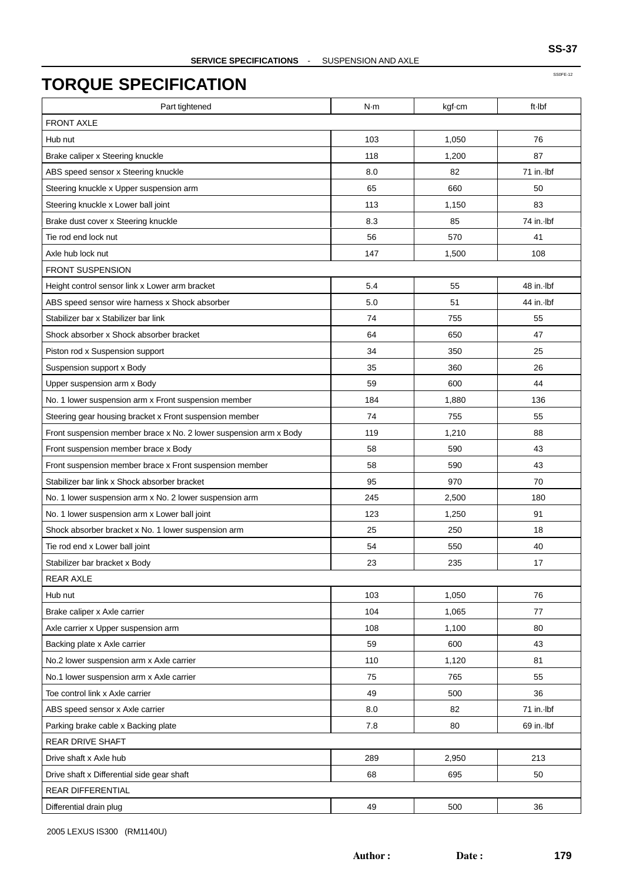| Part tightened                                                    | N·m | kgf-cm | ft-Ibf     |  |
|-------------------------------------------------------------------|-----|--------|------------|--|
| <b>FRONT AXLE</b>                                                 |     |        |            |  |
| Hub nut                                                           | 103 | 1,050  | 76         |  |
| Brake caliper x Steering knuckle                                  | 118 | 1.200  | 87         |  |
| ABS speed sensor x Steering knuckle                               | 8.0 | 82     | 71 in. Ibf |  |
| Steering knuckle x Upper suspension arm                           | 65  | 660    | 50         |  |
| Steering knuckle x Lower ball joint                               | 113 | 1,150  | 83         |  |
| Brake dust cover x Steering knuckle                               | 8.3 | 85     | 74 in. Ibf |  |
| Tie rod end lock nut                                              | 56  | 570    | 41         |  |
| Axle hub lock nut                                                 | 147 | 1,500  | 108        |  |
| <b>FRONT SUSPENSION</b>                                           |     |        |            |  |
| Height control sensor link x Lower arm bracket                    | 5.4 | 55     | 48 in. Ibf |  |
| ABS speed sensor wire harness x Shock absorber                    | 5.0 | 51     | 44 in. Ibf |  |
| Stabilizer bar x Stabilizer bar link                              | 74  | 755    | 55         |  |
| Shock absorber x Shock absorber bracket                           | 64  | 650    | 47         |  |
| Piston rod x Suspension support                                   | 34  | 350    | 25         |  |
| Suspension support x Body                                         | 35  | 360    | 26         |  |
| Upper suspension arm x Body                                       | 59  | 600    | 44         |  |
| No. 1 lower suspension arm x Front suspension member              | 184 | 1,880  | 136        |  |
| Steering gear housing bracket x Front suspension member           | 74  | 755    | 55         |  |
| Front suspension member brace x No. 2 lower suspension arm x Body | 119 | 1,210  | 88         |  |
| Front suspension member brace x Body                              | 58  | 590    | 43         |  |
| Front suspension member brace x Front suspension member           | 58  | 590    | 43         |  |
| Stabilizer bar link x Shock absorber bracket                      | 95  | 970    | 70         |  |
| No. 1 lower suspension arm x No. 2 lower suspension arm           | 245 | 2,500  | 180        |  |
| No. 1 lower suspension arm x Lower ball joint                     | 123 | 1,250  | 91         |  |
| Shock absorber bracket x No. 1 lower suspension arm               | 25  | 250    | 18         |  |
| Tie rod end x Lower ball joint                                    | 54  | 550    | 40         |  |
| Stabilizer bar bracket x Body                                     | 23  | 235    | 17         |  |
| <b>REAR AXLE</b>                                                  |     |        |            |  |
| Hub nut                                                           | 103 | 1,050  | 76         |  |
| Brake caliper x Axle carrier                                      | 104 | 1,065  | 77         |  |
| Axle carrier x Upper suspension arm                               | 108 | 1,100  | 80         |  |
| Backing plate x Axle carrier                                      | 59  | 600    | 43         |  |
| No.2 lower suspension arm x Axle carrier                          | 110 | 1,120  | 81         |  |
| No.1 lower suspension arm x Axle carrier                          | 75  | 765    | 55         |  |
| Toe control link x Axle carrier                                   | 49  | 500    | 36         |  |
| ABS speed sensor x Axle carrier                                   | 8.0 | 82     | 71 in. Ibf |  |
| Parking brake cable x Backing plate                               | 7.8 | 80     | 69 in. Ibf |  |
| REAR DRIVE SHAFT                                                  |     |        |            |  |
| Drive shaft x Axle hub                                            | 289 | 2,950  | 213        |  |
| Drive shaft x Differential side gear shaft                        | 68  | 695    | 50         |  |
| <b>REAR DIFFERENTIAL</b>                                          |     |        |            |  |
| Differential drain plug                                           | 49  | 500    | 36         |  |
|                                                                   |     |        |            |  |

2005 LEXUS IS300 (RM1140U)

SS0FE-12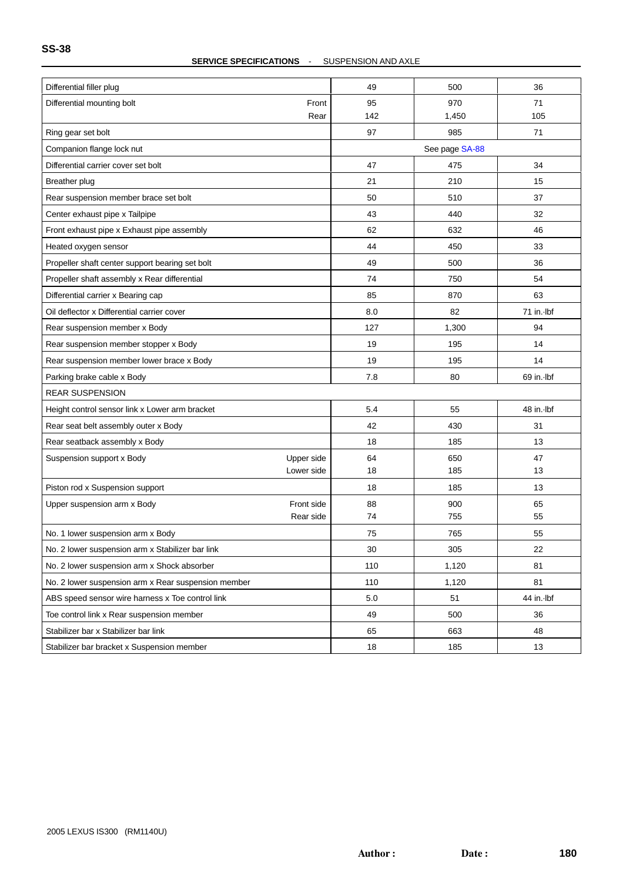#### **SERVICE SPECIFICATIONS** - SUSPENSION AND AXLE

| Differential filler plug                            | 49  | 500            | 36         |
|-----------------------------------------------------|-----|----------------|------------|
| Differential mounting bolt<br>Front                 | 95  | 970            | 71         |
| Rear                                                | 142 | 1,450          | 105        |
| Ring gear set bolt                                  | 97  | 985            | 71         |
| Companion flange lock nut                           |     | See page SA-88 |            |
| Differential carrier cover set bolt                 | 47  | 475            | 34         |
| <b>Breather plug</b>                                | 21  | 210            | 15         |
| Rear suspension member brace set bolt               | 50  | 510            | 37         |
| Center exhaust pipe x Tailpipe                      | 43  | 440            | 32         |
| Front exhaust pipe x Exhaust pipe assembly          | 62  | 632            | 46         |
| Heated oxygen sensor                                | 44  | 450            | 33         |
| Propeller shaft center support bearing set bolt     | 49  | 500            | 36         |
| Propeller shaft assembly x Rear differential        | 74  | 750            | 54         |
| Differential carrier x Bearing cap                  | 85  | 870            | 63         |
| Oil deflector x Differential carrier cover          | 8.0 | 82             | 71 in. Ibf |
| Rear suspension member x Body                       | 127 | 1,300          | 94         |
| Rear suspension member stopper x Body               | 19  | 195            | 14         |
| Rear suspension member lower brace x Body           | 19  | 195            | 14         |
| Parking brake cable x Body                          | 7.8 | 80             | 69 in. Ibf |
| <b>REAR SUSPENSION</b>                              |     |                |            |
| Height control sensor link x Lower arm bracket      | 5.4 | 55             | 48 in. Ibf |
| Rear seat belt assembly outer x Body                | 42  | 430            | 31         |
| Rear seatback assembly x Body                       | 18  | 185            | 13         |
| Upper side<br>Suspension support x Body             | 64  | 650            | 47         |
| Lower side                                          | 18  | 185            | 13         |
| Piston rod x Suspension support                     | 18  | 185            | 13         |
| Front side<br>Upper suspension arm x Body           | 88  | 900            | 65         |
| Rear side                                           | 74  | 755            | 55         |
| No. 1 lower suspension arm x Body                   | 75  | 765            | 55         |
| No. 2 lower suspension arm x Stabilizer bar link    | 30  | 305            | 22         |
| No. 2 lower suspension arm x Shock absorber         | 110 | 1,120          | 81         |
| No. 2 lower suspension arm x Rear suspension member | 110 | 1,120          | 81         |
| ABS speed sensor wire harness x Toe control link    | 5.0 | 51             | 44 in. lbf |
| Toe control link x Rear suspension member           | 49  | 500            | 36         |
| Stabilizer bar x Stabilizer bar link                | 65  | 663            | 48         |
| Stabilizer bar bracket x Suspension member          | 18  | 185            | 13         |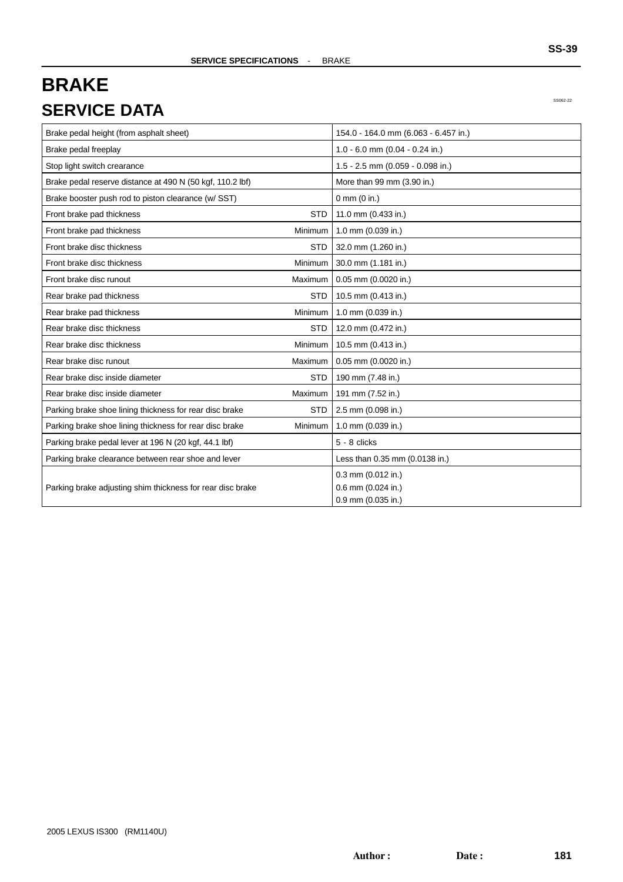## **BRAKE SERVICE DATA**

SS062-22

| Brake pedal height (from asphalt sheet)                    |                | 154.0 - 164.0 mm (6.063 - 6.457 in.) |
|------------------------------------------------------------|----------------|--------------------------------------|
| Brake pedal freeplay                                       |                | 1.0 - 6.0 mm (0.04 - 0.24 in.)       |
| Stop light switch crearance                                |                | 1.5 - 2.5 mm (0.059 - 0.098 in.)     |
| Brake pedal reserve distance at 490 N (50 kgf, 110.2 lbf)  |                | More than 99 mm (3.90 in.)           |
| Brake booster push rod to piston clearance (w/ SST)        |                | $0 \text{ mm}$ (0 in.)               |
| Front brake pad thickness                                  | <b>STD</b>     | 11.0 mm (0.433 in.)                  |
| Front brake pad thickness                                  | <b>Minimum</b> | 1.0 mm (0.039 in.)                   |
| Front brake disc thickness                                 | <b>STD</b>     | 32.0 mm (1.260 in.)                  |
| Front brake disc thickness                                 | Minimum        | 30.0 mm (1.181 in.)                  |
| Front brake disc runout                                    | Maximum        | 0.05 mm (0.0020 in.)                 |
| Rear brake pad thickness                                   | <b>STD</b>     | 10.5 mm (0.413 in.)                  |
| Rear brake pad thickness                                   | Minimum        | 1.0 mm (0.039 in.)                   |
| Rear brake disc thickness                                  | <b>STD</b>     | 12.0 mm (0.472 in.)                  |
| Rear brake disc thickness                                  | Minimum        | 10.5 mm (0.413 in.)                  |
| Rear brake disc runout                                     | Maximum        | 0.05 mm (0.0020 in.)                 |
| Rear brake disc inside diameter                            | <b>STD</b>     | 190 mm (7.48 in.)                    |
| Rear brake disc inside diameter                            | Maximum        | 191 mm (7.52 in.)                    |
| Parking brake shoe lining thickness for rear disc brake    | <b>STD</b>     | 2.5 mm (0.098 in.)                   |
| Parking brake shoe lining thickness for rear disc brake    | Minimum        | 1.0 mm (0.039 in.)                   |
| Parking brake pedal lever at 196 N (20 kgf, 44.1 lbf)      |                | 5 - 8 clicks                         |
| Parking brake clearance between rear shoe and lever        |                | Less than 0.35 mm (0.0138 in.)       |
|                                                            |                | 0.3 mm (0.012 in.)                   |
| Parking brake adjusting shim thickness for rear disc brake |                | 0.6 mm (0.024 in.)                   |
|                                                            |                | 0.9 mm (0.035 in.)                   |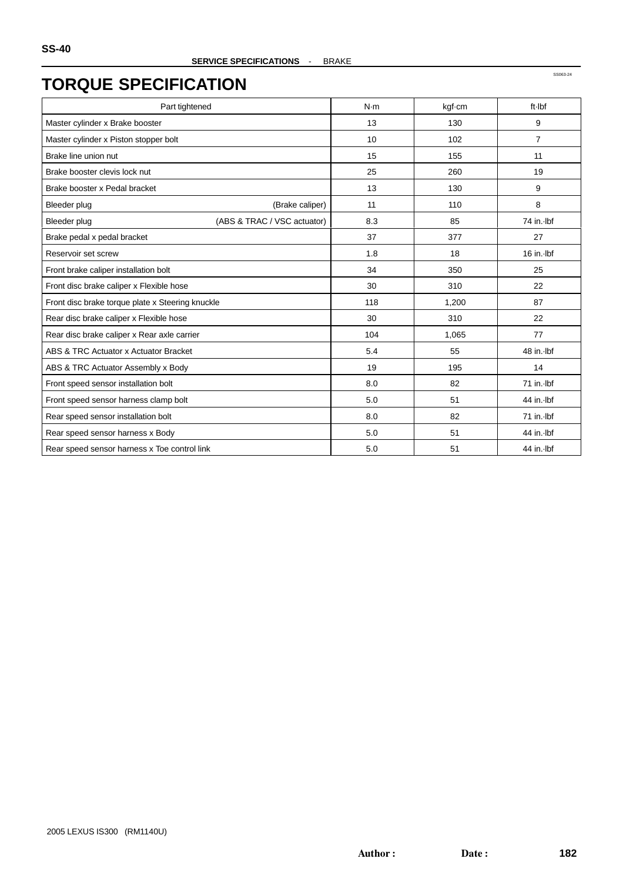| Part tightened                                   | N·m | kgf-cm | ft-Ibf         |
|--------------------------------------------------|-----|--------|----------------|
| Master cylinder x Brake booster                  | 13  | 130    | 9              |
| Master cylinder x Piston stopper bolt            | 10  | 102    | $\overline{7}$ |
| Brake line union nut                             | 15  | 155    | 11             |
| Brake booster clevis lock nut                    | 25  | 260    | 19             |
| Brake booster x Pedal bracket                    | 13  | 130    | 9              |
| <b>Bleeder plug</b><br>(Brake caliper)           | 11  | 110    | 8              |
| (ABS & TRAC / VSC actuator)<br>Bleeder plug      | 8.3 | 85     | 74 in. Ibf     |
| Brake pedal x pedal bracket                      | 37  | 377    | 27             |
| Reservoir set screw                              | 1.8 | 18     | $16$ in. Ibf   |
| Front brake caliper installation bolt            | 34  | 350    | 25             |
| Front disc brake caliper x Flexible hose         | 30  | 310    | 22             |
| Front disc brake torque plate x Steering knuckle | 118 | 1,200  | 87             |
| Rear disc brake caliper x Flexible hose          | 30  | 310    | 22             |
| Rear disc brake caliper x Rear axle carrier      | 104 | 1,065  | 77             |
| ABS & TRC Actuator x Actuator Bracket            | 5.4 | 55     | 48 in. Ibf     |
| ABS & TRC Actuator Assembly x Body               | 19  | 195    | 14             |
| Front speed sensor installation bolt             | 8.0 | 82     | 71 in. Ibf     |
| Front speed sensor harness clamp bolt            | 5.0 | 51     | 44 in. Ibf     |
| Rear speed sensor installation bolt              | 8.0 | 82     | 71 in. Ibf     |
| Rear speed sensor harness x Body                 | 5.0 | 51     | 44 in. Ibf     |
| Rear speed sensor harness x Toe control link     | 5.0 | 51     | 44 in. Ibf     |

Author: Date: **182**

SS063-24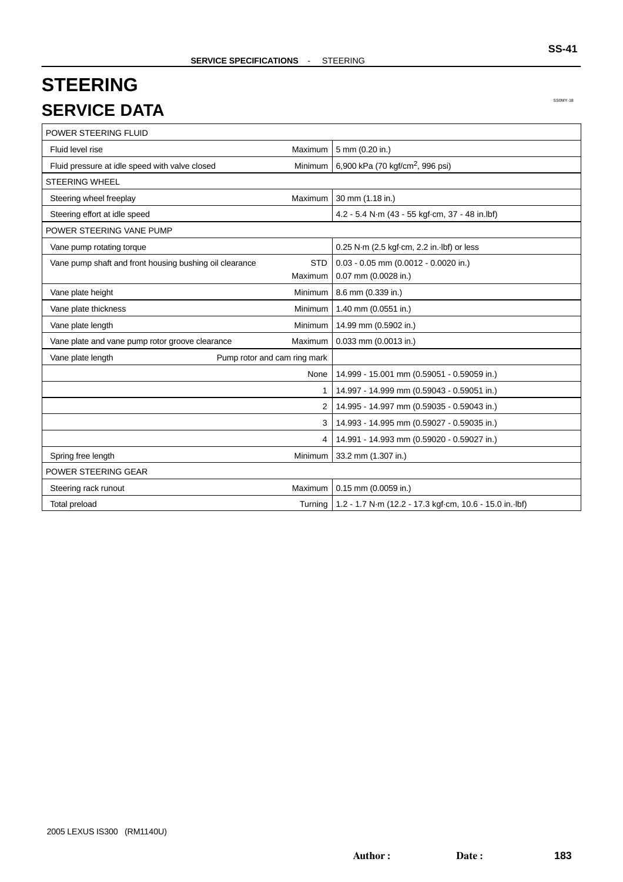# **STEERING SERVICE DATA**

SS0MY-18

| POWER STEERING FLUID                                    |                              |                                                                   |  |
|---------------------------------------------------------|------------------------------|-------------------------------------------------------------------|--|
| Fluid level rise                                        | Maximum                      | 5 mm (0.20 in.)                                                   |  |
| Fluid pressure at idle speed with valve closed          | Minimum                      | 6,900 kPa (70 kgf/cm <sup>2</sup> , 996 psi)                      |  |
| <b>STEERING WHEEL</b>                                   |                              |                                                                   |  |
| Steering wheel freeplay                                 | Maximum                      | 30 mm (1.18 in.)                                                  |  |
| Steering effort at idle speed                           |                              | 4.2 - 5.4 N·m (43 - 55 kgf·cm, 37 - 48 in.lbf)                    |  |
| POWER STEERING VANE PUMP                                |                              |                                                                   |  |
| Vane pump rotating torque                               |                              | 0.25 N·m (2.5 kgf·cm, 2.2 in. lbf) or less                        |  |
| Vane pump shaft and front housing bushing oil clearance | <b>STD</b>                   | $0.03 - 0.05$ mm (0.0012 - 0.0020 in.)                            |  |
|                                                         | Maximum                      | 0.07 mm (0.0028 in.)                                              |  |
| Vane plate height                                       | Minimum                      | 8.6 mm (0.339 in.)                                                |  |
| Vane plate thickness                                    | Minimum                      | 1.40 mm (0.0551 in.)                                              |  |
| Vane plate length                                       | Minimum                      | 14.99 mm (0.5902 in.)                                             |  |
| Vane plate and vane pump rotor groove clearance         | Maximum                      | 0.033 mm (0.0013 in.)                                             |  |
| Vane plate length                                       | Pump rotor and cam ring mark |                                                                   |  |
|                                                         | None                         | 14.999 - 15.001 mm (0.59051 - 0.59059 in.)                        |  |
|                                                         | 1                            | 14.997 - 14.999 mm (0.59043 - 0.59051 in.)                        |  |
|                                                         | 2                            | 14.995 - 14.997 mm (0.59035 - 0.59043 in.)                        |  |
|                                                         | 3                            | 14.993 - 14.995 mm (0.59027 - 0.59035 in.)                        |  |
|                                                         | 4                            | 14.991 - 14.993 mm (0.59020 - 0.59027 in.)                        |  |
| Spring free length                                      |                              | Minimum 33.2 mm (1.307 in.)                                       |  |
| POWER STEERING GEAR                                     |                              |                                                                   |  |
| Steering rack runout                                    | Maximum                      | 0.15 mm (0.0059 in.)                                              |  |
| Total preload                                           |                              | Turning   1.2 - 1.7 N·m (12.2 - 17.3 kgf·cm, 10.6 - 15.0 in. lbf) |  |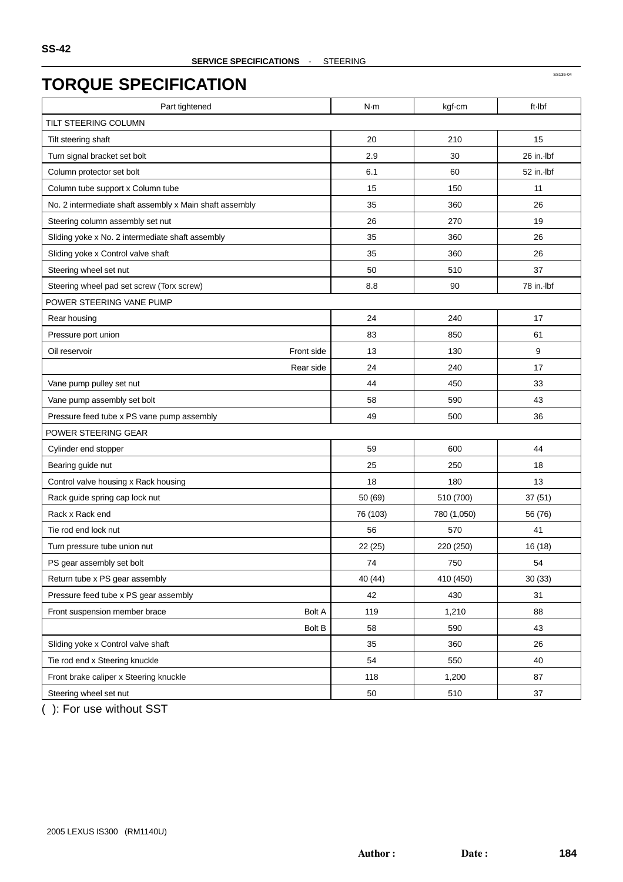| Part tightened                                          | N·m      | kgf-cm      | ft-Ibf     |
|---------------------------------------------------------|----------|-------------|------------|
| TILT STEERING COLUMN                                    |          |             |            |
| Tilt steering shaft                                     | 20       | 210         | 15         |
| Turn signal bracket set bolt                            | 2.9      | 30          | 26 in. Ibf |
| Column protector set bolt                               | 6.1      | 60          | 52 in. Ibf |
| Column tube support x Column tube                       | 15       | 150         | 11         |
| No. 2 intermediate shaft assembly x Main shaft assembly | 35       | 360         | 26         |
| Steering column assembly set nut                        | 26       | 270         | 19         |
| Sliding yoke x No. 2 intermediate shaft assembly        | 35       | 360         | 26         |
| Sliding yoke x Control valve shaft                      | 35       | 360         | 26         |
| Steering wheel set nut                                  | 50       | 510         | 37         |
| Steering wheel pad set screw (Torx screw)               | 8.8      | 90          | 78 in. lbf |
| POWER STEERING VANE PUMP                                |          |             |            |
| Rear housing                                            | 24       | 240         | 17         |
| Pressure port union                                     | 83       | 850         | 61         |
| Front side<br>Oil reservoir                             | 13       | 130         | 9          |
| Rear side                                               | 24       | 240         | 17         |
| Vane pump pulley set nut                                | 44       | 450         | 33         |
| Vane pump assembly set bolt                             | 58       | 590         | 43         |
| Pressure feed tube x PS vane pump assembly              | 49       | 500         | 36         |
| POWER STEERING GEAR                                     |          |             |            |
| Cylinder end stopper                                    | 59       | 600         | 44         |
| Bearing guide nut                                       | 25       | 250         | 18         |
| Control valve housing x Rack housing                    | 18       | 180         | 13         |
| Rack guide spring cap lock nut                          | 50 (69)  | 510 (700)   | 37(51)     |
| Rack x Rack end                                         | 76 (103) | 780 (1,050) | 56 (76)    |
| Tie rod end lock nut                                    | 56       | 570         | 41         |
| Turn pressure tube union nut                            | 22(25)   | 220 (250)   | 16 (18)    |
| PS gear assembly set bolt                               | 74       | 750         | 54         |
| Return tube x PS gear assembly                          | 40 (44)  | 410 (450)   | 30(33)     |
| Pressure feed tube x PS gear assembly                   | 42       | 430         | 31         |
| Front suspension member brace<br><b>Bolt A</b>          | 119      | 1,210       | 88         |
| <b>Bolt B</b>                                           | 58       | 590         | 43         |
| Sliding yoke x Control valve shaft                      | 35       | 360         | 26         |
| Tie rod end x Steering knuckle                          | 54       | 550         | 40         |
| Front brake caliper x Steering knuckle                  | 118      | 1,200       | 87         |
| Steering wheel set nut                                  | 50       | 510         | 37         |

( ): For use without SST

SS136-04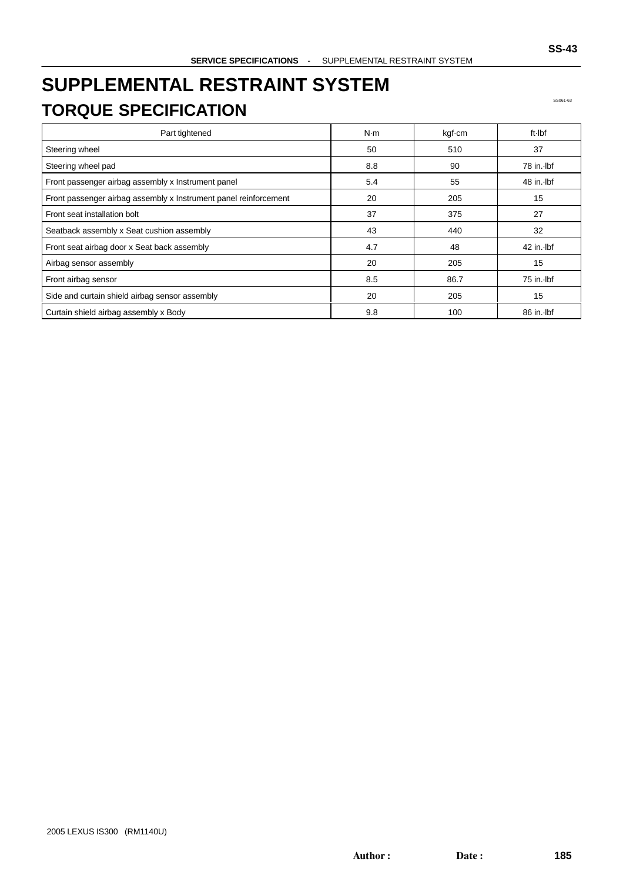# **SUPPLEMENTAL RESTRAINT SYSTEM TORQUE SPECIFICATION**

SS061-63

| Part tightened                                                   | N·m | kgf-cm | ft Ibf       |
|------------------------------------------------------------------|-----|--------|--------------|
| Steering wheel                                                   | 50  | 510    | 37           |
| Steering wheel pad                                               | 8.8 | 90     | 78 in. Ibf   |
| Front passenger airbag assembly x Instrument panel               | 5.4 | 55     | 48 in. Ibf   |
| Front passenger airbag assembly x Instrument panel reinforcement | 20  | 205    | 15           |
| Front seat installation bolt                                     | 37  | 375    | 27           |
| Seatback assembly x Seat cushion assembly                        | 43  | 440    | 32           |
| Front seat airbag door x Seat back assembly                      | 4.7 | 48     | $42$ in. Ibf |
| Airbag sensor assembly                                           | 20  | 205    | 15           |
| Front airbag sensor                                              | 8.5 | 86.7   | 75 in. Ibf   |
| Side and curtain shield airbag sensor assembly                   | 20  | 205    | 15           |
| Curtain shield airbag assembly x Body                            | 9.8 | 100    | 86 in. Ibf   |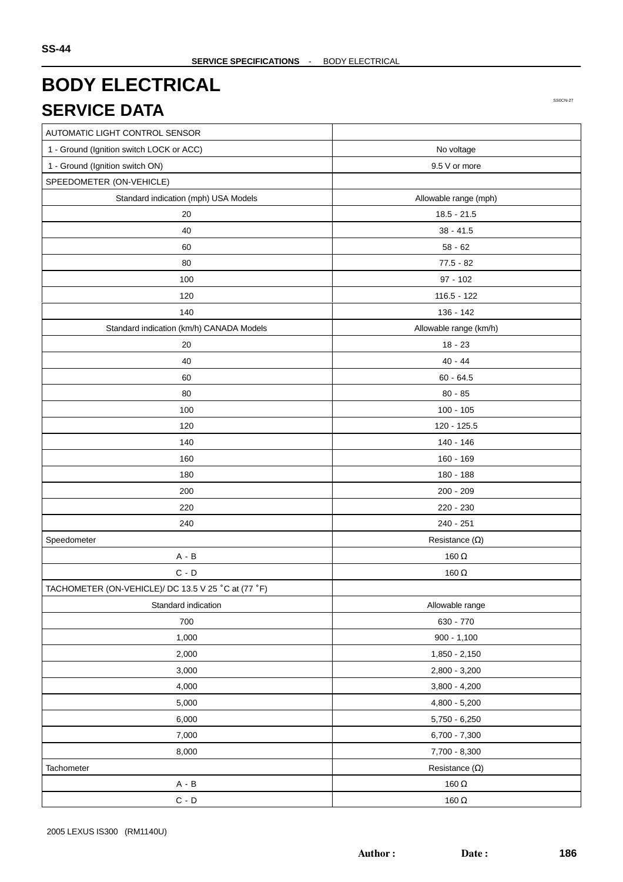## **BODY ELECTRICAL SERVICE DATA**

SS0CN-27

| AUTOMATIC LIGHT CONTROL SENSOR                      |                        |
|-----------------------------------------------------|------------------------|
| 1 - Ground (Ignition switch LOCK or ACC)            | No voltage             |
| 1 - Ground (Ignition switch ON)                     | 9.5 V or more          |
| SPEEDOMETER (ON-VEHICLE)                            |                        |
| Standard indication (mph) USA Models                | Allowable range (mph)  |
| 20                                                  | $18.5 - 21.5$          |
| 40                                                  | $38 - 41.5$            |
| 60                                                  | $58 - 62$              |
| 80                                                  | $77.5 - 82$            |
| 100                                                 | $97 - 102$             |
| 120                                                 | $116.5 - 122$          |
| 140                                                 | 136 - 142              |
| Standard indication (km/h) CANADA Models            | Allowable range (km/h) |
| 20                                                  | $18 - 23$              |
| 40                                                  | $40 - 44$              |
| 60                                                  | $60 - 64.5$            |
| 80                                                  | $80 - 85$              |
| 100                                                 | $100 - 105$            |
| 120                                                 | 120 - 125.5            |
| 140                                                 | 140 - 146              |
| 160                                                 | 160 - 169              |
| 180                                                 | 180 - 188              |
| 200                                                 | 200 - 209              |
| 220                                                 | 220 - 230              |
| 240                                                 | 240 - 251              |
| Speedometer                                         | Resistance $(\Omega)$  |
| $A - B$                                             | 160 $\Omega$           |
| $C - D$                                             | 160 $\Omega$           |
| TACHOMETER (ON-VEHICLE)/ DC 13.5 V 25 °C at (77 °F) |                        |
| Standard indication                                 | Allowable range        |
| 700                                                 | 630 - 770              |
| 1,000                                               | $900 - 1,100$          |
| 2,000                                               | 1,850 - 2,150          |
| 3,000                                               | 2,800 - 3,200          |
| 4,000                                               | $3,800 - 4,200$        |
| 5,000                                               | 4,800 - 5,200          |
| 6,000                                               | $5,750 - 6,250$        |
| 7,000                                               | $6,700 - 7,300$        |
| 8,000                                               | 7,700 - 8,300          |
| Tachometer                                          | Resistance $(\Omega)$  |
| $A - B$                                             | 160 $\Omega$           |
| $\mathsf C$ - $\mathsf D$                           | 160 $\Omega$           |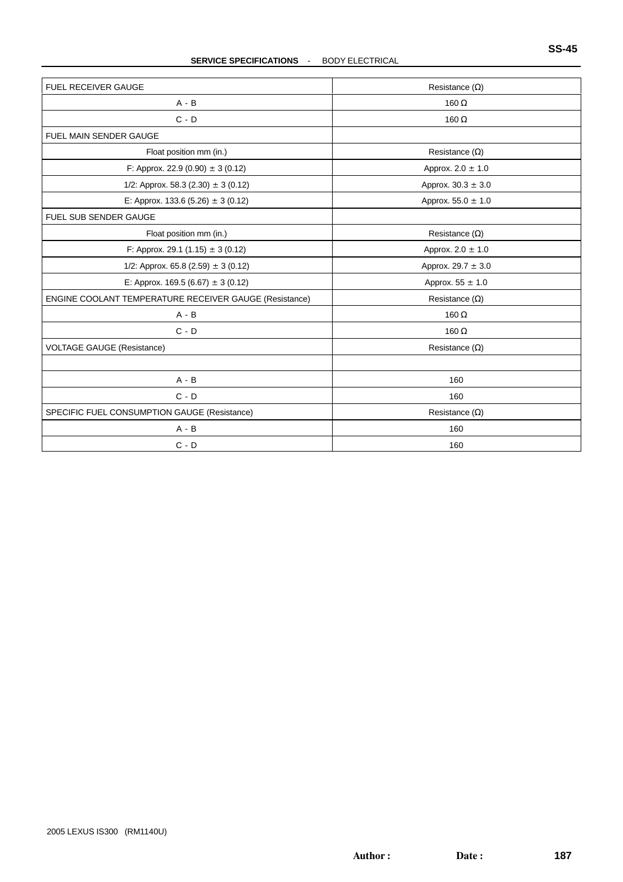#### **SERVICE SPECIFICATIONS** - BODY ELECTRICAL

| FUEL RECEIVER GAUGE                                    | Resistance $(\Omega)$  |
|--------------------------------------------------------|------------------------|
| $A - B$                                                | 160 $\Omega$           |
| $C - D$                                                | 160 $\Omega$           |
| <b>FUEL MAIN SENDER GAUGE</b>                          |                        |
| Float position mm (in.)                                | Resistance $(\Omega)$  |
| F: Approx. 22.9 (0.90) $\pm$ 3 (0.12)                  | Approx. $2.0 \pm 1.0$  |
| 1/2: Approx. 58.3 (2.30) $\pm$ 3 (0.12)                | Approx. $30.3 \pm 3.0$ |
| E: Approx. 133.6 (5.26) $\pm$ 3 (0.12)                 | Approx. $55.0 \pm 1.0$ |
| FUEL SUB SENDER GAUGE                                  |                        |
| Float position mm (in.)                                | Resistance $(\Omega)$  |
| F: Approx. 29.1 (1.15) $\pm$ 3 (0.12)                  | Approx. $2.0 \pm 1.0$  |
| 1/2: Approx. 65.8 (2.59) $\pm$ 3 (0.12)                | Approx. $29.7 \pm 3.0$ |
| E: Approx. 169.5 (6.67) $\pm$ 3 (0.12)                 | Approx. $55 \pm 1.0$   |
| ENGINE COOLANT TEMPERATURE RECEIVER GAUGE (Resistance) | Resistance $(\Omega)$  |
| $A - B$                                                | 160 $\Omega$           |
| $C - D$                                                | 160 $\Omega$           |
| <b>VOLTAGE GAUGE (Resistance)</b>                      | Resistance $(\Omega)$  |
| $A - B$                                                | 160                    |
| $C - D$                                                | 160                    |
| SPECIFIC FUEL CONSUMPTION GAUGE (Resistance)           | Resistance $(\Omega)$  |
| $A - B$                                                | 160                    |
| $C - D$                                                | 160                    |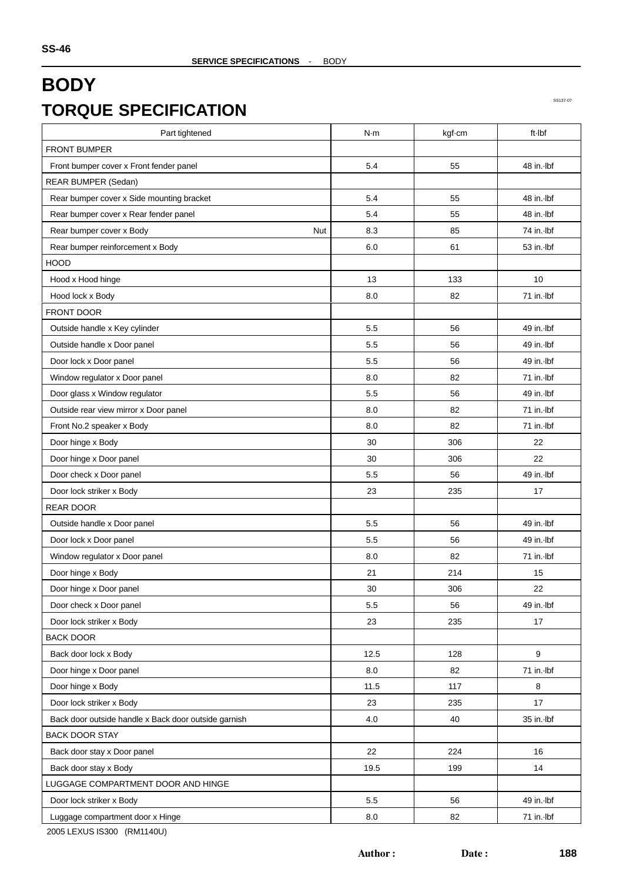| <b>FRONT BUMPER</b><br>Front bumper cover x Front fender panel<br>48 in. Ibf<br>5.4<br>55<br>REAR BUMPER (Sedan)<br>Rear bumper cover x Side mounting bracket<br>5.4<br>48 in. Ibf<br>55<br>Rear bumper cover x Rear fender panel<br>5.4<br>55<br>48 in. Ibf<br>8.3<br>85<br>Rear bumper cover x Body<br>Nut<br>74 in. Ibf<br>Rear bumper reinforcement x Body<br>53 in. lbf<br>6.0<br>61<br><b>HOOD</b><br>133<br>10<br>Hood x Hood hinge<br>13<br>8.0<br>82<br>71 in. lbf<br>Hood lock x Body<br>FRONT DOOR<br>49 in. Ibf<br>Outside handle x Key cylinder<br>5.5<br>56<br>5.5<br>56<br>Outside handle x Door panel<br>$49$ in. Ibf<br>49 in. Ibf<br>Door lock x Door panel<br>5.5<br>56<br>Window regulator x Door panel<br>8.0<br>82<br>71 in. Ibf<br>Door glass x Window regulator<br>5.5<br>56<br>49 in. Ibf<br>Outside rear view mirror x Door panel<br>8.0<br>82<br>71 in. Ibf<br>8.0<br>82<br>71 in. Ibf<br>Front No.2 speaker x Body<br>Door hinge x Body<br>30<br>306<br>22<br>Door hinge x Door panel<br>22<br>30<br>306<br>49 in. lbf<br>Door check x Door panel<br>5.5<br>56<br>23<br>235<br>17<br>Door lock striker x Body<br><b>REAR DOOR</b><br>Outside handle x Door panel<br>49 in. Ibf<br>5.5<br>56<br>Door lock x Door panel<br>5.5<br>56<br>49 in. Ibf<br>Window regulator x Door panel<br>8.0<br>82<br>71 in. Ibf<br>Door hinge x Body<br>214<br>21<br>15<br>Door hinge x Door panel<br>30<br>306<br>22<br>Door check x Door panel<br>5.5<br>49 in. lbf<br>56<br>23<br>235<br>17<br>Door lock striker x Body<br><b>BACK DOOR</b><br>9<br>Back door lock x Body<br>12.5<br>128<br>71 in. Ibf<br>Door hinge x Door panel<br>8.0<br>82<br>Door hinge x Body<br>11.5<br>117<br>8<br>Door lock striker x Body<br>23<br>235<br>17<br>35 in. Ibf<br>4.0<br>40<br>Back door outside handle x Back door outside garnish<br><b>BACK DOOR STAY</b><br>Back door stay x Door panel<br>22<br>224<br>16<br>Back door stay x Body<br>19.5<br>199<br>14<br>LUGGAGE COMPARTMENT DOOR AND HINGE<br>$5.5\,$<br>56<br>49 in. Ibf | Part tightened           | N·m | kgf-cm | ft-Ibf |
|-------------------------------------------------------------------------------------------------------------------------------------------------------------------------------------------------------------------------------------------------------------------------------------------------------------------------------------------------------------------------------------------------------------------------------------------------------------------------------------------------------------------------------------------------------------------------------------------------------------------------------------------------------------------------------------------------------------------------------------------------------------------------------------------------------------------------------------------------------------------------------------------------------------------------------------------------------------------------------------------------------------------------------------------------------------------------------------------------------------------------------------------------------------------------------------------------------------------------------------------------------------------------------------------------------------------------------------------------------------------------------------------------------------------------------------------------------------------------------------------------------------------------------------------------------------------------------------------------------------------------------------------------------------------------------------------------------------------------------------------------------------------------------------------------------------------------------------------------------------------------------------------------------------------------------------------------------------------------------------------------------------------------------------|--------------------------|-----|--------|--------|
|                                                                                                                                                                                                                                                                                                                                                                                                                                                                                                                                                                                                                                                                                                                                                                                                                                                                                                                                                                                                                                                                                                                                                                                                                                                                                                                                                                                                                                                                                                                                                                                                                                                                                                                                                                                                                                                                                                                                                                                                                                     |                          |     |        |        |
|                                                                                                                                                                                                                                                                                                                                                                                                                                                                                                                                                                                                                                                                                                                                                                                                                                                                                                                                                                                                                                                                                                                                                                                                                                                                                                                                                                                                                                                                                                                                                                                                                                                                                                                                                                                                                                                                                                                                                                                                                                     |                          |     |        |        |
|                                                                                                                                                                                                                                                                                                                                                                                                                                                                                                                                                                                                                                                                                                                                                                                                                                                                                                                                                                                                                                                                                                                                                                                                                                                                                                                                                                                                                                                                                                                                                                                                                                                                                                                                                                                                                                                                                                                                                                                                                                     |                          |     |        |        |
|                                                                                                                                                                                                                                                                                                                                                                                                                                                                                                                                                                                                                                                                                                                                                                                                                                                                                                                                                                                                                                                                                                                                                                                                                                                                                                                                                                                                                                                                                                                                                                                                                                                                                                                                                                                                                                                                                                                                                                                                                                     |                          |     |        |        |
|                                                                                                                                                                                                                                                                                                                                                                                                                                                                                                                                                                                                                                                                                                                                                                                                                                                                                                                                                                                                                                                                                                                                                                                                                                                                                                                                                                                                                                                                                                                                                                                                                                                                                                                                                                                                                                                                                                                                                                                                                                     |                          |     |        |        |
|                                                                                                                                                                                                                                                                                                                                                                                                                                                                                                                                                                                                                                                                                                                                                                                                                                                                                                                                                                                                                                                                                                                                                                                                                                                                                                                                                                                                                                                                                                                                                                                                                                                                                                                                                                                                                                                                                                                                                                                                                                     |                          |     |        |        |
|                                                                                                                                                                                                                                                                                                                                                                                                                                                                                                                                                                                                                                                                                                                                                                                                                                                                                                                                                                                                                                                                                                                                                                                                                                                                                                                                                                                                                                                                                                                                                                                                                                                                                                                                                                                                                                                                                                                                                                                                                                     |                          |     |        |        |
|                                                                                                                                                                                                                                                                                                                                                                                                                                                                                                                                                                                                                                                                                                                                                                                                                                                                                                                                                                                                                                                                                                                                                                                                                                                                                                                                                                                                                                                                                                                                                                                                                                                                                                                                                                                                                                                                                                                                                                                                                                     |                          |     |        |        |
|                                                                                                                                                                                                                                                                                                                                                                                                                                                                                                                                                                                                                                                                                                                                                                                                                                                                                                                                                                                                                                                                                                                                                                                                                                                                                                                                                                                                                                                                                                                                                                                                                                                                                                                                                                                                                                                                                                                                                                                                                                     |                          |     |        |        |
|                                                                                                                                                                                                                                                                                                                                                                                                                                                                                                                                                                                                                                                                                                                                                                                                                                                                                                                                                                                                                                                                                                                                                                                                                                                                                                                                                                                                                                                                                                                                                                                                                                                                                                                                                                                                                                                                                                                                                                                                                                     |                          |     |        |        |
|                                                                                                                                                                                                                                                                                                                                                                                                                                                                                                                                                                                                                                                                                                                                                                                                                                                                                                                                                                                                                                                                                                                                                                                                                                                                                                                                                                                                                                                                                                                                                                                                                                                                                                                                                                                                                                                                                                                                                                                                                                     |                          |     |        |        |
|                                                                                                                                                                                                                                                                                                                                                                                                                                                                                                                                                                                                                                                                                                                                                                                                                                                                                                                                                                                                                                                                                                                                                                                                                                                                                                                                                                                                                                                                                                                                                                                                                                                                                                                                                                                                                                                                                                                                                                                                                                     |                          |     |        |        |
|                                                                                                                                                                                                                                                                                                                                                                                                                                                                                                                                                                                                                                                                                                                                                                                                                                                                                                                                                                                                                                                                                                                                                                                                                                                                                                                                                                                                                                                                                                                                                                                                                                                                                                                                                                                                                                                                                                                                                                                                                                     |                          |     |        |        |
|                                                                                                                                                                                                                                                                                                                                                                                                                                                                                                                                                                                                                                                                                                                                                                                                                                                                                                                                                                                                                                                                                                                                                                                                                                                                                                                                                                                                                                                                                                                                                                                                                                                                                                                                                                                                                                                                                                                                                                                                                                     |                          |     |        |        |
|                                                                                                                                                                                                                                                                                                                                                                                                                                                                                                                                                                                                                                                                                                                                                                                                                                                                                                                                                                                                                                                                                                                                                                                                                                                                                                                                                                                                                                                                                                                                                                                                                                                                                                                                                                                                                                                                                                                                                                                                                                     |                          |     |        |        |
|                                                                                                                                                                                                                                                                                                                                                                                                                                                                                                                                                                                                                                                                                                                                                                                                                                                                                                                                                                                                                                                                                                                                                                                                                                                                                                                                                                                                                                                                                                                                                                                                                                                                                                                                                                                                                                                                                                                                                                                                                                     |                          |     |        |        |
|                                                                                                                                                                                                                                                                                                                                                                                                                                                                                                                                                                                                                                                                                                                                                                                                                                                                                                                                                                                                                                                                                                                                                                                                                                                                                                                                                                                                                                                                                                                                                                                                                                                                                                                                                                                                                                                                                                                                                                                                                                     |                          |     |        |        |
|                                                                                                                                                                                                                                                                                                                                                                                                                                                                                                                                                                                                                                                                                                                                                                                                                                                                                                                                                                                                                                                                                                                                                                                                                                                                                                                                                                                                                                                                                                                                                                                                                                                                                                                                                                                                                                                                                                                                                                                                                                     |                          |     |        |        |
|                                                                                                                                                                                                                                                                                                                                                                                                                                                                                                                                                                                                                                                                                                                                                                                                                                                                                                                                                                                                                                                                                                                                                                                                                                                                                                                                                                                                                                                                                                                                                                                                                                                                                                                                                                                                                                                                                                                                                                                                                                     |                          |     |        |        |
|                                                                                                                                                                                                                                                                                                                                                                                                                                                                                                                                                                                                                                                                                                                                                                                                                                                                                                                                                                                                                                                                                                                                                                                                                                                                                                                                                                                                                                                                                                                                                                                                                                                                                                                                                                                                                                                                                                                                                                                                                                     |                          |     |        |        |
|                                                                                                                                                                                                                                                                                                                                                                                                                                                                                                                                                                                                                                                                                                                                                                                                                                                                                                                                                                                                                                                                                                                                                                                                                                                                                                                                                                                                                                                                                                                                                                                                                                                                                                                                                                                                                                                                                                                                                                                                                                     |                          |     |        |        |
|                                                                                                                                                                                                                                                                                                                                                                                                                                                                                                                                                                                                                                                                                                                                                                                                                                                                                                                                                                                                                                                                                                                                                                                                                                                                                                                                                                                                                                                                                                                                                                                                                                                                                                                                                                                                                                                                                                                                                                                                                                     |                          |     |        |        |
|                                                                                                                                                                                                                                                                                                                                                                                                                                                                                                                                                                                                                                                                                                                                                                                                                                                                                                                                                                                                                                                                                                                                                                                                                                                                                                                                                                                                                                                                                                                                                                                                                                                                                                                                                                                                                                                                                                                                                                                                                                     |                          |     |        |        |
|                                                                                                                                                                                                                                                                                                                                                                                                                                                                                                                                                                                                                                                                                                                                                                                                                                                                                                                                                                                                                                                                                                                                                                                                                                                                                                                                                                                                                                                                                                                                                                                                                                                                                                                                                                                                                                                                                                                                                                                                                                     |                          |     |        |        |
|                                                                                                                                                                                                                                                                                                                                                                                                                                                                                                                                                                                                                                                                                                                                                                                                                                                                                                                                                                                                                                                                                                                                                                                                                                                                                                                                                                                                                                                                                                                                                                                                                                                                                                                                                                                                                                                                                                                                                                                                                                     |                          |     |        |        |
|                                                                                                                                                                                                                                                                                                                                                                                                                                                                                                                                                                                                                                                                                                                                                                                                                                                                                                                                                                                                                                                                                                                                                                                                                                                                                                                                                                                                                                                                                                                                                                                                                                                                                                                                                                                                                                                                                                                                                                                                                                     |                          |     |        |        |
|                                                                                                                                                                                                                                                                                                                                                                                                                                                                                                                                                                                                                                                                                                                                                                                                                                                                                                                                                                                                                                                                                                                                                                                                                                                                                                                                                                                                                                                                                                                                                                                                                                                                                                                                                                                                                                                                                                                                                                                                                                     |                          |     |        |        |
|                                                                                                                                                                                                                                                                                                                                                                                                                                                                                                                                                                                                                                                                                                                                                                                                                                                                                                                                                                                                                                                                                                                                                                                                                                                                                                                                                                                                                                                                                                                                                                                                                                                                                                                                                                                                                                                                                                                                                                                                                                     |                          |     |        |        |
|                                                                                                                                                                                                                                                                                                                                                                                                                                                                                                                                                                                                                                                                                                                                                                                                                                                                                                                                                                                                                                                                                                                                                                                                                                                                                                                                                                                                                                                                                                                                                                                                                                                                                                                                                                                                                                                                                                                                                                                                                                     |                          |     |        |        |
|                                                                                                                                                                                                                                                                                                                                                                                                                                                                                                                                                                                                                                                                                                                                                                                                                                                                                                                                                                                                                                                                                                                                                                                                                                                                                                                                                                                                                                                                                                                                                                                                                                                                                                                                                                                                                                                                                                                                                                                                                                     |                          |     |        |        |
|                                                                                                                                                                                                                                                                                                                                                                                                                                                                                                                                                                                                                                                                                                                                                                                                                                                                                                                                                                                                                                                                                                                                                                                                                                                                                                                                                                                                                                                                                                                                                                                                                                                                                                                                                                                                                                                                                                                                                                                                                                     |                          |     |        |        |
|                                                                                                                                                                                                                                                                                                                                                                                                                                                                                                                                                                                                                                                                                                                                                                                                                                                                                                                                                                                                                                                                                                                                                                                                                                                                                                                                                                                                                                                                                                                                                                                                                                                                                                                                                                                                                                                                                                                                                                                                                                     |                          |     |        |        |
|                                                                                                                                                                                                                                                                                                                                                                                                                                                                                                                                                                                                                                                                                                                                                                                                                                                                                                                                                                                                                                                                                                                                                                                                                                                                                                                                                                                                                                                                                                                                                                                                                                                                                                                                                                                                                                                                                                                                                                                                                                     |                          |     |        |        |
|                                                                                                                                                                                                                                                                                                                                                                                                                                                                                                                                                                                                                                                                                                                                                                                                                                                                                                                                                                                                                                                                                                                                                                                                                                                                                                                                                                                                                                                                                                                                                                                                                                                                                                                                                                                                                                                                                                                                                                                                                                     |                          |     |        |        |
|                                                                                                                                                                                                                                                                                                                                                                                                                                                                                                                                                                                                                                                                                                                                                                                                                                                                                                                                                                                                                                                                                                                                                                                                                                                                                                                                                                                                                                                                                                                                                                                                                                                                                                                                                                                                                                                                                                                                                                                                                                     |                          |     |        |        |
|                                                                                                                                                                                                                                                                                                                                                                                                                                                                                                                                                                                                                                                                                                                                                                                                                                                                                                                                                                                                                                                                                                                                                                                                                                                                                                                                                                                                                                                                                                                                                                                                                                                                                                                                                                                                                                                                                                                                                                                                                                     |                          |     |        |        |
|                                                                                                                                                                                                                                                                                                                                                                                                                                                                                                                                                                                                                                                                                                                                                                                                                                                                                                                                                                                                                                                                                                                                                                                                                                                                                                                                                                                                                                                                                                                                                                                                                                                                                                                                                                                                                                                                                                                                                                                                                                     |                          |     |        |        |
|                                                                                                                                                                                                                                                                                                                                                                                                                                                                                                                                                                                                                                                                                                                                                                                                                                                                                                                                                                                                                                                                                                                                                                                                                                                                                                                                                                                                                                                                                                                                                                                                                                                                                                                                                                                                                                                                                                                                                                                                                                     |                          |     |        |        |
|                                                                                                                                                                                                                                                                                                                                                                                                                                                                                                                                                                                                                                                                                                                                                                                                                                                                                                                                                                                                                                                                                                                                                                                                                                                                                                                                                                                                                                                                                                                                                                                                                                                                                                                                                                                                                                                                                                                                                                                                                                     |                          |     |        |        |
|                                                                                                                                                                                                                                                                                                                                                                                                                                                                                                                                                                                                                                                                                                                                                                                                                                                                                                                                                                                                                                                                                                                                                                                                                                                                                                                                                                                                                                                                                                                                                                                                                                                                                                                                                                                                                                                                                                                                                                                                                                     |                          |     |        |        |
|                                                                                                                                                                                                                                                                                                                                                                                                                                                                                                                                                                                                                                                                                                                                                                                                                                                                                                                                                                                                                                                                                                                                                                                                                                                                                                                                                                                                                                                                                                                                                                                                                                                                                                                                                                                                                                                                                                                                                                                                                                     | Door lock striker x Body |     |        |        |
| 71 in. lbf<br>Luggage compartment door x Hinge<br>8.0<br>82<br>2005   EYLIS IS300 (RM1140LI)                                                                                                                                                                                                                                                                                                                                                                                                                                                                                                                                                                                                                                                                                                                                                                                                                                                                                                                                                                                                                                                                                                                                                                                                                                                                                                                                                                                                                                                                                                                                                                                                                                                                                                                                                                                                                                                                                                                                        |                          |     |        |        |

2005 LEXUS IS300 (RM1140U)

SS137-07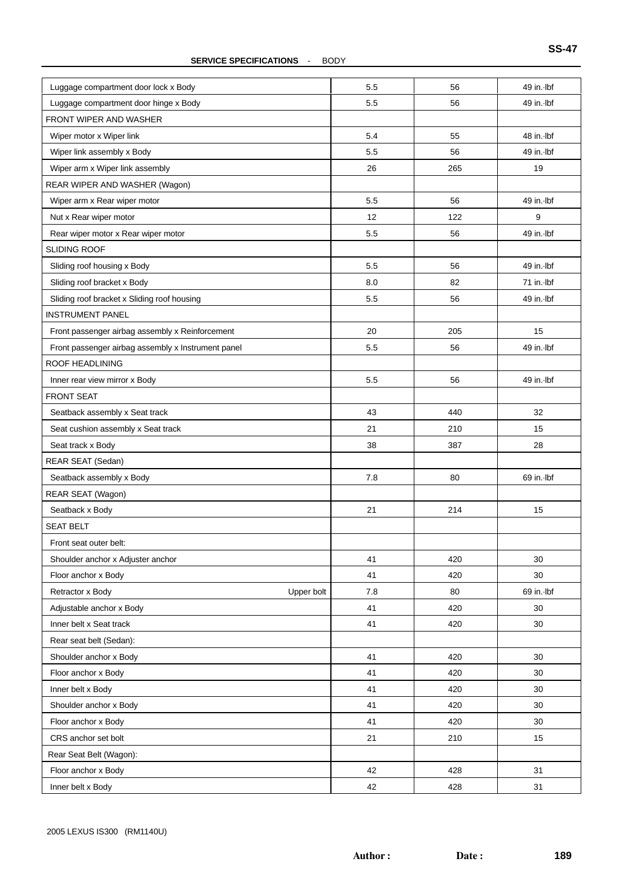#### **SERVICE SPECIFICATIONS** - BODY

| Luggage compartment door lock x Body               | 5.5 | 56  | 49 in. Ibf |
|----------------------------------------------------|-----|-----|------------|
| Luggage compartment door hinge x Body              | 5.5 | 56  | 49 in. Ibf |
| FRONT WIPER AND WASHER                             |     |     |            |
| Wiper motor x Wiper link                           | 5.4 | 55  | 48 in. Ibf |
| Wiper link assembly x Body                         | 5.5 | 56  | 49 in. Ibf |
| Wiper arm x Wiper link assembly                    | 26  | 265 | 19         |
| REAR WIPER AND WASHER (Wagon)                      |     |     |            |
| Wiper arm x Rear wiper motor                       | 5.5 | 56  | 49 in. Ibf |
| Nut x Rear wiper motor                             | 12  | 122 | 9          |
| Rear wiper motor x Rear wiper motor                | 5.5 | 56  | 49 in. Ibf |
| SLIDING ROOF                                       |     |     |            |
| Sliding roof housing x Body                        | 5.5 | 56  | 49 in. Ibf |
| Sliding roof bracket x Body                        | 8.0 | 82  | 71 in. Ibf |
| Sliding roof bracket x Sliding roof housing        | 5.5 | 56  | 49 in. Ibf |
| <b>INSTRUMENT PANEL</b>                            |     |     |            |
| Front passenger airbag assembly x Reinforcement    | 20  | 205 | 15         |
| Front passenger airbag assembly x Instrument panel | 5.5 | 56  | 49 in. Ibf |
| <b>ROOF HEADLINING</b>                             |     |     |            |
| Inner rear view mirror x Body                      | 5.5 | 56  | 49 in. Ibf |
| <b>FRONT SEAT</b>                                  |     |     |            |
| Seatback assembly x Seat track                     | 43  | 440 | 32         |
| Seat cushion assembly x Seat track                 | 21  | 210 | 15         |
| Seat track x Body                                  | 38  | 387 | 28         |
| REAR SEAT (Sedan)                                  |     |     |            |
| Seatback assembly x Body                           | 7.8 | 80  | 69 in. Ibf |
| REAR SEAT (Wagon)                                  |     |     |            |
| Seatback x Body                                    | 21  | 214 | 15         |
| <b>SEAT BELT</b>                                   |     |     |            |
| Front seat outer belt:                             |     |     |            |
| Shoulder anchor x Adjuster anchor                  | 41  | 420 | 30         |
| Floor anchor x Body                                | 41  | 420 | 30         |
| Retractor x Body<br>Upper bolt                     | 7.8 | 80  | 69 in. Ibf |
| Adjustable anchor x Body                           | 41  | 420 | 30         |
| Inner belt x Seat track                            | 41  | 420 | 30         |
| Rear seat belt (Sedan):                            |     |     |            |
| Shoulder anchor x Body                             | 41  | 420 | 30         |
| Floor anchor x Body                                | 41  | 420 | 30         |
| Inner belt x Body                                  | 41  | 420 | 30         |
| Shoulder anchor x Body                             | 41  | 420 | 30         |
| Floor anchor x Body                                | 41  | 420 | 30         |
| CRS anchor set bolt                                | 21  | 210 | 15         |
| Rear Seat Belt (Wagon):                            |     |     |            |
| Floor anchor x Body                                | 42  | 428 | 31         |
| Inner belt x Body                                  | 42  | 428 | 31         |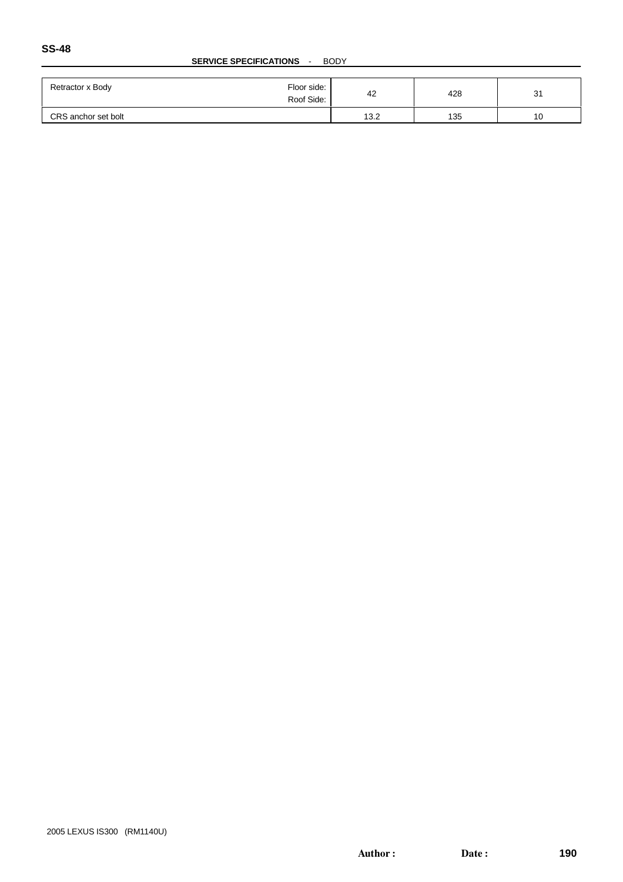#### **SERVICE SPECIFICATIONS** - BODY

| Retractor x Body    | Floor side:<br>42<br>Roof Side: | 428 | 3 <sup>′</sup> |
|---------------------|---------------------------------|-----|----------------|
| CRS anchor set bolt | 13.2                            | 135 | 10             |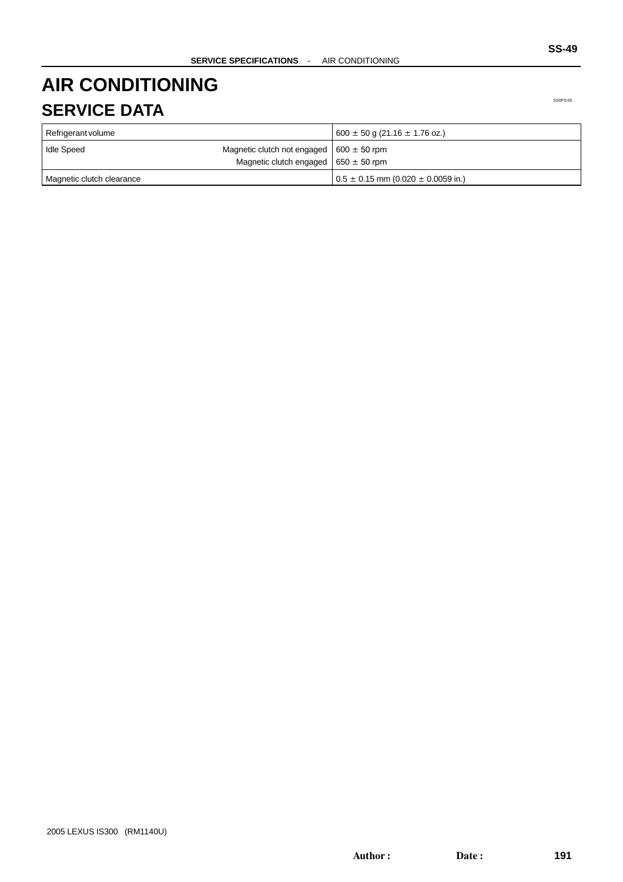## **AIR CONDITIONING SERVICE DATA**

| Refrigerant volume        |                                                                                          | $600 \pm 50$ g (21.16 $\pm$ 1.76 oz.)      |
|---------------------------|------------------------------------------------------------------------------------------|--------------------------------------------|
| Idle Speed                | Magnetic clutch not engaged $600 \pm 50$ rpm<br>Magnetic clutch engaged $650 \pm 50$ rpm |                                            |
| Magnetic clutch clearance |                                                                                          | $0.5 \pm 0.15$ mm (0.020 $\pm$ 0.0059 in.) |

SS0F5-05